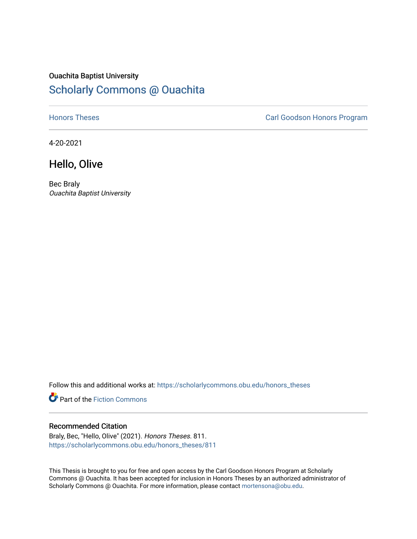# Ouachita Baptist University [Scholarly Commons @ Ouachita](https://scholarlycommons.obu.edu/)

**[Honors Theses](https://scholarlycommons.obu.edu/honors_theses) Carl Goodson Honors Program** 

4-20-2021

## Hello, Olive

Bec Braly Ouachita Baptist University

Follow this and additional works at: [https://scholarlycommons.obu.edu/honors\\_theses](https://scholarlycommons.obu.edu/honors_theses?utm_source=scholarlycommons.obu.edu%2Fhonors_theses%2F811&utm_medium=PDF&utm_campaign=PDFCoverPages) 

Part of the [Fiction Commons](http://network.bepress.com/hgg/discipline/1151?utm_source=scholarlycommons.obu.edu%2Fhonors_theses%2F811&utm_medium=PDF&utm_campaign=PDFCoverPages) 

## Recommended Citation

Braly, Bec, "Hello, Olive" (2021). Honors Theses. 811. [https://scholarlycommons.obu.edu/honors\\_theses/811](https://scholarlycommons.obu.edu/honors_theses/811?utm_source=scholarlycommons.obu.edu%2Fhonors_theses%2F811&utm_medium=PDF&utm_campaign=PDFCoverPages) 

This Thesis is brought to you for free and open access by the Carl Goodson Honors Program at Scholarly Commons @ Ouachita. It has been accepted for inclusion in Honors Theses by an authorized administrator of Scholarly Commons @ Ouachita. For more information, please contact [mortensona@obu.edu](mailto:mortensona@obu.edu).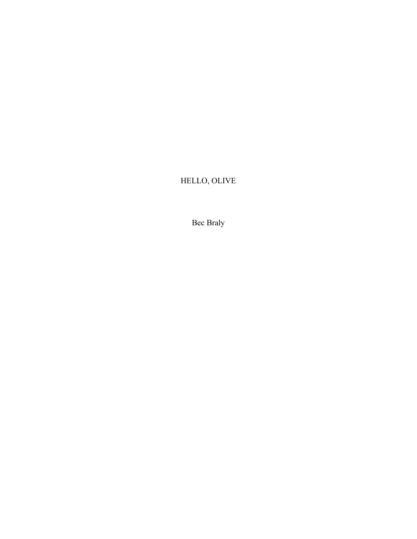# HELLO, OLIVE

Bec Braly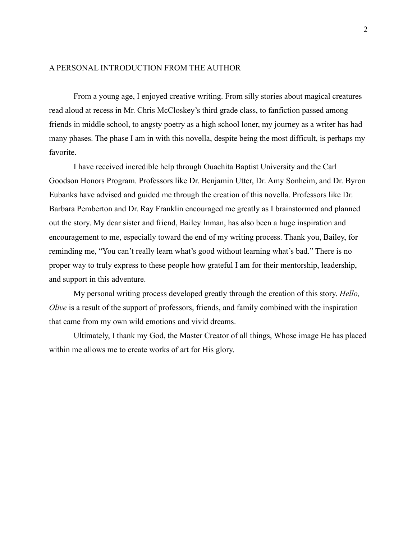### A PERSONAL INTRODUCTION FROM THE AUTHOR

From a young age, I enjoyed creative writing. From silly stories about magical creatures read aloud at recess in Mr. Chris McCloskey's third grade class, to fanfiction passed among friends in middle school, to angsty poetry as a high school loner, my journey as a writer has had many phases. The phase I am in with this novella, despite being the most difficult, is perhaps my favorite.

I have received incredible help through Ouachita Baptist University and the Carl Goodson Honors Program. Professors like Dr. Benjamin Utter, Dr. Amy Sonheim, and Dr. Byron Eubanks have advised and guided me through the creation of this novella. Professors like Dr. Barbara Pemberton and Dr. Ray Franklin encouraged me greatly as I brainstormed and planned out the story. My dear sister and friend, Bailey Inman, has also been a huge inspiration and encouragement to me, especially toward the end of my writing process. Thank you, Bailey, for reminding me, "You can't really learn what's good without learning what's bad." There is no proper way to truly express to these people how grateful I am for their mentorship, leadership, and support in this adventure.

My personal writing process developed greatly through the creation of this story. *Hello, Olive* is a result of the support of professors, friends, and family combined with the inspiration that came from my own wild emotions and vivid dreams.

Ultimately, I thank my God, the Master Creator of all things, Whose image He has placed within me allows me to create works of art for His glory.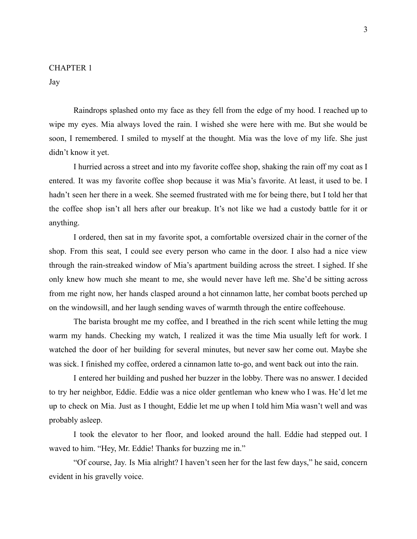### CHAPTER 1

Jay

Raindrops splashed onto my face as they fell from the edge of my hood. I reached up to wipe my eyes. Mia always loved the rain. I wished she were here with me. But she would be soon, I remembered. I smiled to myself at the thought. Mia was the love of my life. She just didn't know it yet.

I hurried across a street and into my favorite coffee shop, shaking the rain off my coat as I entered. It was my favorite coffee shop because it was Mia's favorite. At least, it used to be. I hadn't seen her there in a week. She seemed frustrated with me for being there, but I told her that the coffee shop isn't all hers after our breakup. It's not like we had a custody battle for it or anything.

I ordered, then sat in my favorite spot, a comfortable oversized chair in the corner of the shop. From this seat, I could see every person who came in the door. I also had a nice view through the rain-streaked window of Mia's apartment building across the street. I sighed. If she only knew how much she meant to me, she would never have left me. She'd be sitting across from me right now, her hands clasped around a hot cinnamon latte, her combat boots perched up on the windowsill, and her laugh sending waves of warmth through the entire coffeehouse.

The barista brought me my coffee, and I breathed in the rich scent while letting the mug warm my hands. Checking my watch, I realized it was the time Mia usually left for work. I watched the door of her building for several minutes, but never saw her come out. Maybe she was sick. I finished my coffee, ordered a cinnamon latte to-go, and went back out into the rain.

I entered her building and pushed her buzzer in the lobby. There was no answer. I decided to try her neighbor, Eddie. Eddie was a nice older gentleman who knew who I was. He'd let me up to check on Mia. Just as I thought, Eddie let me up when I told him Mia wasn't well and was probably asleep.

I took the elevator to her floor, and looked around the hall. Eddie had stepped out. I waved to him. "Hey, Mr. Eddie! Thanks for buzzing me in."

"Of course, Jay. Is Mia alright? I haven't seen her for the last few days," he said, concern evident in his gravelly voice.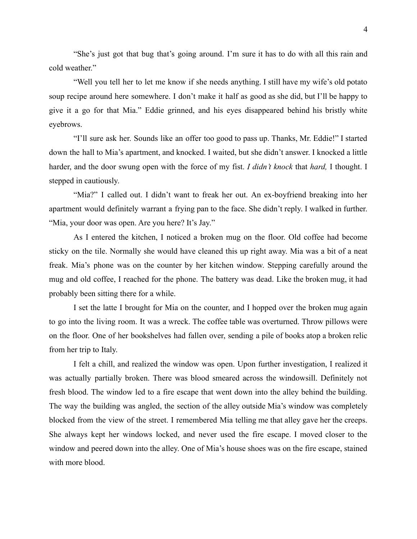"She's just got that bug that's going around. I'm sure it has to do with all this rain and cold weather."

"Well you tell her to let me know if she needs anything. I still have my wife's old potato soup recipe around here somewhere. I don't make it half as good as she did, but I'll be happy to give it a go for that Mia." Eddie grinned, and his eyes disappeared behind his bristly white eyebrows.

"I'll sure ask her. Sounds like an offer too good to pass up. Thanks, Mr. Eddie!" I started down the hall to Mia's apartment, and knocked. I waited, but she didn't answer. I knocked a little harder, and the door swung open with the force of my fist. *I didn't knock* that *hard,* I thought. I stepped in cautiously.

"Mia?" I called out. I didn't want to freak her out. An ex-boyfriend breaking into her apartment would definitely warrant a frying pan to the face. She didn't reply. I walked in further. "Mia, your door was open. Are you here? It's Jay."

As I entered the kitchen, I noticed a broken mug on the floor. Old coffee had become sticky on the tile. Normally she would have cleaned this up right away. Mia was a bit of a neat freak. Mia's phone was on the counter by her kitchen window. Stepping carefully around the mug and old coffee, I reached for the phone. The battery was dead. Like the broken mug, it had probably been sitting there for a while.

I set the latte I brought for Mia on the counter, and I hopped over the broken mug again to go into the living room. It was a wreck. The coffee table was overturned. Throw pillows were on the floor. One of her bookshelves had fallen over, sending a pile of books atop a broken relic from her trip to Italy.

I felt a chill, and realized the window was open. Upon further investigation, I realized it was actually partially broken. There was blood smeared across the windowsill. Definitely not fresh blood. The window led to a fire escape that went down into the alley behind the building. The way the building was angled, the section of the alley outside Mia's window was completely blocked from the view of the street. I remembered Mia telling me that alley gave her the creeps. She always kept her windows locked, and never used the fire escape. I moved closer to the window and peered down into the alley. One of Mia's house shoes was on the fire escape, stained with more blood.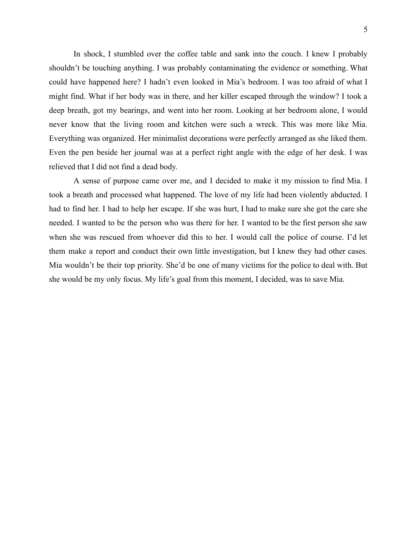In shock, I stumbled over the coffee table and sank into the couch. I knew I probably shouldn't be touching anything. I was probably contaminating the evidence or something. What could have happened here? I hadn't even looked in Mia's bedroom. I was too afraid of what I might find. What if her body was in there, and her killer escaped through the window? I took a deep breath, got my bearings, and went into her room. Looking at her bedroom alone, I would never know that the living room and kitchen were such a wreck. This was more like Mia. Everything was organized. Her minimalist decorations were perfectly arranged as she liked them. Even the pen beside her journal was at a perfect right angle with the edge of her desk. I was relieved that I did not find a dead body.

A sense of purpose came over me, and I decided to make it my mission to find Mia. I took a breath and processed what happened. The love of my life had been violently abducted. I had to find her. I had to help her escape. If she was hurt, I had to make sure she got the care she needed. I wanted to be the person who was there for her. I wanted to be the first person she saw when she was rescued from whoever did this to her. I would call the police of course. I'd let them make a report and conduct their own little investigation, but I knew they had other cases. Mia wouldn't be their top priority. She'd be one of many victims for the police to deal with. But she would be my only focus. My life's goal from this moment, I decided, was to save Mia.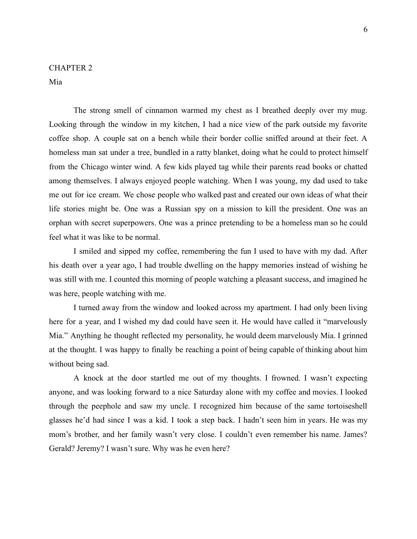## CHAPTER 2

Mia

The strong smell of cinnamon warmed my chest as I breathed deeply over my mug. Looking through the window in my kitchen, I had a nice view of the park outside my favorite coffee shop. A couple sat on a bench while their border collie sniffed around at their feet. A homeless man sat under a tree, bundled in a ratty blanket, doing what he could to protect himself from the Chicago winter wind. A few kids played tag while their parents read books or chatted among themselves. I always enjoyed people watching. When I was young, my dad used to take me out for ice cream. We chose people who walked past and created our own ideas of what their life stories might be. One was a Russian spy on a mission to kill the president. One was an orphan with secret superpowers. One was a prince pretending to be a homeless man so he could feel what it was like to be normal.

I smiled and sipped my coffee, remembering the fun I used to have with my dad. After his death over a year ago, I had trouble dwelling on the happy memories instead of wishing he was still with me. I counted this morning of people watching a pleasant success, and imagined he was here, people watching with me.

I turned away from the window and looked across my apartment. I had only been living here for a year, and I wished my dad could have seen it. He would have called it "marvelously Mia." Anything he thought reflected my personality, he would deem marvelously Mia. I grinned at the thought. I was happy to finally be reaching a point of being capable of thinking about him without being sad.

A knock at the door startled me out of my thoughts. I frowned. I wasn't expecting anyone, and was looking forward to a nice Saturday alone with my coffee and movies. I looked through the peephole and saw my uncle. I recognized him because of the same tortoiseshell glasses he'd had since I was a kid. I took a step back. I hadn't seen him in years. He was my mom's brother, and her family wasn't very close. I couldn't even remember his name. James? Gerald? Jeremy? I wasn't sure. Why was he even here?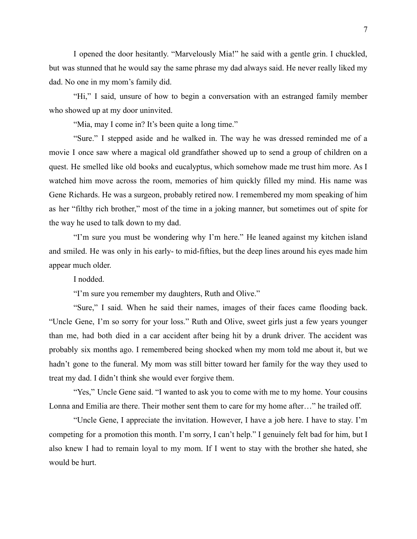I opened the door hesitantly. "Marvelously Mia!" he said with a gentle grin. I chuckled, but was stunned that he would say the same phrase my dad always said. He never really liked my dad. No one in my mom's family did.

"Hi," I said, unsure of how to begin a conversation with an estranged family member who showed up at my door uninvited.

"Mia, may I come in? It's been quite a long time."

"Sure." I stepped aside and he walked in. The way he was dressed reminded me of a movie I once saw where a magical old grandfather showed up to send a group of children on a quest. He smelled like old books and eucalyptus, which somehow made me trust him more. As I watched him move across the room, memories of him quickly filled my mind. His name was Gene Richards. He was a surgeon, probably retired now. I remembered my mom speaking of him as her "filthy rich brother," most of the time in a joking manner, but sometimes out of spite for the way he used to talk down to my dad.

"I'm sure you must be wondering why I'm here." He leaned against my kitchen island and smiled. He was only in his early- to mid-fifties, but the deep lines around his eyes made him appear much older.

I nodded.

"I'm sure you remember my daughters, Ruth and Olive."

"Sure," I said. When he said their names, images of their faces came flooding back. "Uncle Gene, I'm so sorry for your loss." Ruth and Olive, sweet girls just a few years younger than me, had both died in a car accident after being hit by a drunk driver. The accident was probably six months ago. I remembered being shocked when my mom told me about it, but we hadn't gone to the funeral. My mom was still bitter toward her family for the way they used to treat my dad. I didn't think she would ever forgive them.

"Yes," Uncle Gene said. "I wanted to ask you to come with me to my home. Your cousins Lonna and Emilia are there. Their mother sent them to care for my home after…" he trailed off.

"Uncle Gene, I appreciate the invitation. However, I have a job here. I have to stay. I'm competing for a promotion this month. I'm sorry, I can't help." I genuinely felt bad for him, but I also knew I had to remain loyal to my mom. If I went to stay with the brother she hated, she would be hurt.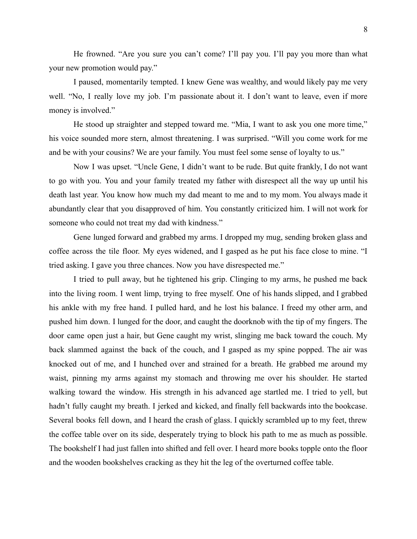He frowned. "Are you sure you can't come? I'll pay you. I'll pay you more than what your new promotion would pay."

I paused, momentarily tempted. I knew Gene was wealthy, and would likely pay me very well. "No, I really love my job. I'm passionate about it. I don't want to leave, even if more money is involved."

He stood up straighter and stepped toward me. "Mia, I want to ask you one more time," his voice sounded more stern, almost threatening. I was surprised. "Will you come work for me and be with your cousins? We are your family. You must feel some sense of loyalty to us."

Now I was upset. "Uncle Gene, I didn't want to be rude. But quite frankly, I do not want to go with you. You and your family treated my father with disrespect all the way up until his death last year. You know how much my dad meant to me and to my mom. You always made it abundantly clear that you disapproved of him. You constantly criticized him. I will not work for someone who could not treat my dad with kindness."

Gene lunged forward and grabbed my arms. I dropped my mug, sending broken glass and coffee across the tile floor. My eyes widened, and I gasped as he put his face close to mine. "I tried asking. I gave you three chances. Now you have disrespected me."

I tried to pull away, but he tightened his grip. Clinging to my arms, he pushed me back into the living room. I went limp, trying to free myself. One of his hands slipped, and I grabbed his ankle with my free hand. I pulled hard, and he lost his balance. I freed my other arm, and pushed him down. I lunged for the door, and caught the doorknob with the tip of my fingers. The door came open just a hair, but Gene caught my wrist, slinging me back toward the couch. My back slammed against the back of the couch, and I gasped as my spine popped. The air was knocked out of me, and I hunched over and strained for a breath. He grabbed me around my waist, pinning my arms against my stomach and throwing me over his shoulder. He started walking toward the window. His strength in his advanced age startled me. I tried to yell, but hadn't fully caught my breath. I jerked and kicked, and finally fell backwards into the bookcase. Several books fell down, and I heard the crash of glass. I quickly scrambled up to my feet, threw the coffee table over on its side, desperately trying to block his path to me as much as possible. The bookshelf I had just fallen into shifted and fell over. I heard more books topple onto the floor and the wooden bookshelves cracking as they hit the leg of the overturned coffee table.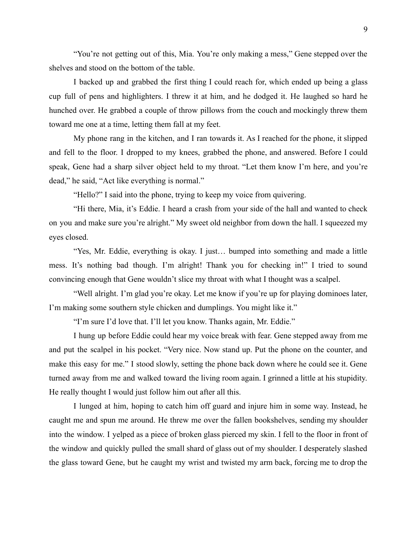"You're not getting out of this, Mia. You're only making a mess," Gene stepped over the shelves and stood on the bottom of the table.

I backed up and grabbed the first thing I could reach for, which ended up being a glass cup full of pens and highlighters. I threw it at him, and he dodged it. He laughed so hard he hunched over. He grabbed a couple of throw pillows from the couch and mockingly threw them toward me one at a time, letting them fall at my feet.

My phone rang in the kitchen, and I ran towards it. As I reached for the phone, it slipped and fell to the floor. I dropped to my knees, grabbed the phone, and answered. Before I could speak, Gene had a sharp silver object held to my throat. "Let them know I'm here, and you're dead," he said, "Act like everything is normal."

"Hello?" I said into the phone, trying to keep my voice from quivering.

"Hi there, Mia, it's Eddie. I heard a crash from your side of the hall and wanted to check on you and make sure you're alright." My sweet old neighbor from down the hall. I squeezed my eyes closed.

"Yes, Mr. Eddie, everything is okay. I just… bumped into something and made a little mess. It's nothing bad though. I'm alright! Thank you for checking in!" I tried to sound convincing enough that Gene wouldn't slice my throat with what I thought was a scalpel.

"Well alright. I'm glad you're okay. Let me know if you're up for playing dominoes later, I'm making some southern style chicken and dumplings. You might like it."

"I'm sure I'd love that. I'll let you know. Thanks again, Mr. Eddie."

I hung up before Eddie could hear my voice break with fear. Gene stepped away from me and put the scalpel in his pocket. "Very nice. Now stand up. Put the phone on the counter, and make this easy for me." I stood slowly, setting the phone back down where he could see it. Gene turned away from me and walked toward the living room again. I grinned a little at his stupidity. He really thought I would just follow him out after all this.

I lunged at him, hoping to catch him off guard and injure him in some way. Instead, he caught me and spun me around. He threw me over the fallen bookshelves, sending my shoulder into the window. I yelped as a piece of broken glass pierced my skin. I fell to the floor in front of the window and quickly pulled the small shard of glass out of my shoulder. I desperately slashed the glass toward Gene, but he caught my wrist and twisted my arm back, forcing me to drop the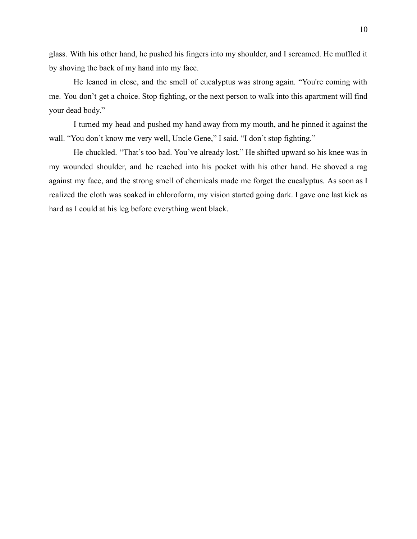glass. With his other hand, he pushed his fingers into my shoulder, and I screamed. He muffled it by shoving the back of my hand into my face.

He leaned in close, and the smell of eucalyptus was strong again. "You're coming with me. You don't get a choice. Stop fighting, or the next person to walk into this apartment will find your dead body."

I turned my head and pushed my hand away from my mouth, and he pinned it against the wall. "You don't know me very well, Uncle Gene," I said. "I don't stop fighting."

He chuckled. "That's too bad. You've already lost." He shifted upward so his knee was in my wounded shoulder, and he reached into his pocket with his other hand. He shoved a rag against my face, and the strong smell of chemicals made me forget the eucalyptus. As soon as I realized the cloth was soaked in chloroform, my vision started going dark. I gave one last kick as hard as I could at his leg before everything went black.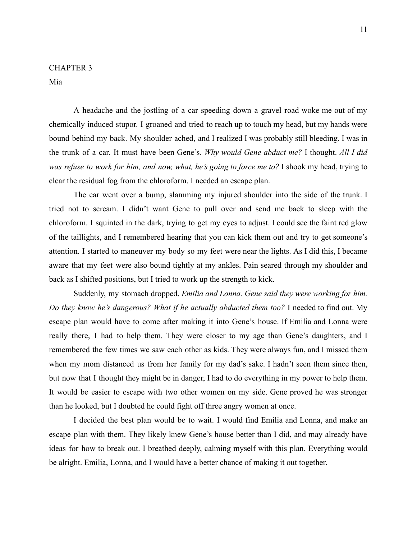Mia

A headache and the jostling of a car speeding down a gravel road woke me out of my chemically induced stupor. I groaned and tried to reach up to touch my head, but my hands were bound behind my back. My shoulder ached, and I realized I was probably still bleeding. I was in the trunk of a car. It must have been Gene's. *Why would Gene abduct me?* I thought. *All I did was refuse to work for him, and now, what, he's going to force me to?* I shook my head, trying to clear the residual fog from the chloroform. I needed an escape plan.

The car went over a bump, slamming my injured shoulder into the side of the trunk. I tried not to scream. I didn't want Gene to pull over and send me back to sleep with the chloroform. I squinted in the dark, trying to get my eyes to adjust. I could see the faint red glow of the taillights, and I remembered hearing that you can kick them out and try to get someone's attention. I started to maneuver my body so my feet were near the lights. As I did this, I became aware that my feet were also bound tightly at my ankles. Pain seared through my shoulder and back as I shifted positions, but I tried to work up the strength to kick.

Suddenly, my stomach dropped. *Emilia and Lonna. Gene said they were working for him. Do they know he's dangerous? What if he actually abducted them too?* I needed to find out. My escape plan would have to come after making it into Gene's house. If Emilia and Lonna were really there, I had to help them. They were closer to my age than Gene's daughters, and I remembered the few times we saw each other as kids. They were always fun, and I missed them when my mom distanced us from her family for my dad's sake. I hadn't seen them since then, but now that I thought they might be in danger, I had to do everything in my power to help them. It would be easier to escape with two other women on my side. Gene proved he was stronger than he looked, but I doubted he could fight off three angry women at once.

I decided the best plan would be to wait. I would find Emilia and Lonna, and make an escape plan with them. They likely knew Gene's house better than I did, and may already have ideas for how to break out. I breathed deeply, calming myself with this plan. Everything would be alright. Emilia, Lonna, and I would have a better chance of making it out together.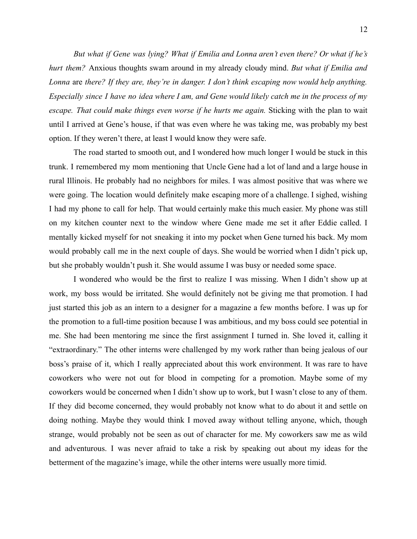*But what if Gene was lying? What if Emilia and Lonna aren't even there? Or what if he's hurt them?* Anxious thoughts swam around in my already cloudy mind. *But what if Emilia and Lonna* are *there? If they are, they're in danger. I don't think escaping now would help anything.* Especially since I have no idea where I am, and Gene would likely catch me in the process of my *escape. That could make things even worse if he hurts me again.* Sticking with the plan to wait until I arrived at Gene's house, if that was even where he was taking me, was probably my best option. If they weren't there, at least I would know they were safe.

The road started to smooth out, and I wondered how much longer I would be stuck in this trunk. I remembered my mom mentioning that Uncle Gene had a lot of land and a large house in rural Illinois. He probably had no neighbors for miles. I was almost positive that was where we were going. The location would definitely make escaping more of a challenge. I sighed, wishing I had my phone to call for help. That would certainly make this much easier. My phone was still on my kitchen counter next to the window where Gene made me set it after Eddie called. I mentally kicked myself for not sneaking it into my pocket when Gene turned his back. My mom would probably call me in the next couple of days. She would be worried when I didn't pick up, but she probably wouldn't push it. She would assume I was busy or needed some space.

I wondered who would be the first to realize I was missing. When I didn't show up at work, my boss would be irritated. She would definitely not be giving me that promotion. I had just started this job as an intern to a designer for a magazine a few months before. I was up for the promotion to a full-time position because I was ambitious, and my boss could see potential in me. She had been mentoring me since the first assignment I turned in. She loved it, calling it "extraordinary." The other interns were challenged by my work rather than being jealous of our boss's praise of it, which I really appreciated about this work environment. It was rare to have coworkers who were not out for blood in competing for a promotion. Maybe some of my coworkers would be concerned when I didn't show up to work, but I wasn't close to any of them. If they did become concerned, they would probably not know what to do about it and settle on doing nothing. Maybe they would think I moved away without telling anyone, which, though strange, would probably not be seen as out of character for me. My coworkers saw me as wild and adventurous. I was never afraid to take a risk by speaking out about my ideas for the betterment of the magazine's image, while the other interns were usually more timid.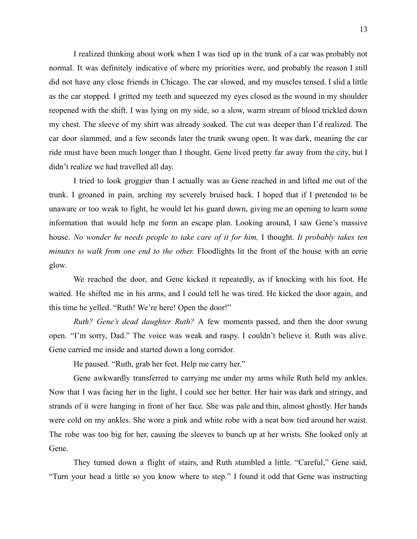I realized thinking about work when I was tied up in the trunk of a car was probably not normal. It was definitely indicative of where my priorities were, and probably the reason I still did not have any close friends in Chicago. The car slowed, and my muscles tensed. I slid a little as the car stopped. I gritted my teeth and squeezed my eyes closed as the wound in my shoulder reopened with the shift. I was lying on my side, so a slow, warm stream of blood trickled down my chest. The sleeve of my shirt was already soaked. The cut was deeper than I'd realized. The car door slammed, and a few seconds later the trunk swung open. It was dark, meaning the car ride must have been much longer than I thought. Gene lived pretty far away from the city, but I didn't realize we had travelled all day.

I tried to look groggier than I actually was as Gene reached in and lifted me out of the trunk. I groaned in pain, arching my severely bruised back. I hoped that if I pretended to be unaware or too weak to fight, he would let his guard down, giving me an opening to learn some information that would help me form an escape plan. Looking around, I saw Gene's massive house. *No wonder he needs people to take care of it for him,* I thought. *It probably takes ten minutes to walk from one end to the other.* Floodlights lit the front of the house with an eerie glow.

We reached the door, and Gene kicked it repeatedly, as if knocking with his foot. He waited. He shifted me in his arms, and I could tell he was tired. He kicked the door again, and this time he yelled. "Ruth! We're here! Open the door!"

*Ruth? Gene's dead daughter Ruth?* A few moments passed, and then the door swung open. "I'm sorry, Dad." The voice was weak and raspy. I couldn't believe it. Ruth was alive. Gene carried me inside and started down a long corridor.

He paused. "Ruth, grab her feet. Help me carry her."

Gene awkwardly transferred to carrying me under my arms while Ruth held my ankles. Now that I was facing her in the light, I could see her better. Her hair was dark and stringy, and strands of it were hanging in front of her face. She was pale and thin, almost ghostly. Her hands were cold on my ankles. She wore a pink and white robe with a neat bow tied around her waist. The robe was too big for her, causing the sleeves to bunch up at her wrists. She looked only at Gene.

They turned down a flight of stairs, and Ruth stumbled a little. "Careful," Gene said, "Turn your head a little so you know where to step." I found it odd that Gene was instructing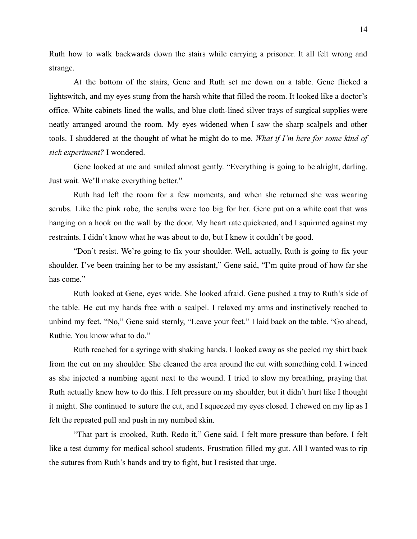Ruth how to walk backwards down the stairs while carrying a prisoner. It all felt wrong and strange.

At the bottom of the stairs, Gene and Ruth set me down on a table. Gene flicked a lightswitch, and my eyes stung from the harsh white that filled the room. It looked like a doctor's office. White cabinets lined the walls, and blue cloth-lined silver trays of surgical supplies were neatly arranged around the room. My eyes widened when I saw the sharp scalpels and other tools. I shuddered at the thought of what he might do to me. *What if I'm here for some kind of sick experiment?* I wondered.

Gene looked at me and smiled almost gently. "Everything is going to be alright, darling. Just wait. We'll make everything better."

Ruth had left the room for a few moments, and when she returned she was wearing scrubs. Like the pink robe, the scrubs were too big for her. Gene put on a white coat that was hanging on a hook on the wall by the door. My heart rate quickened, and I squirmed against my restraints. I didn't know what he was about to do, but I knew it couldn't be good.

"Don't resist. We're going to fix your shoulder. Well, actually, Ruth is going to fix your shoulder. I've been training her to be my assistant," Gene said, "I'm quite proud of how far she has come."

Ruth looked at Gene, eyes wide. She looked afraid. Gene pushed a tray to Ruth's side of the table. He cut my hands free with a scalpel. I relaxed my arms and instinctively reached to unbind my feet. "No," Gene said sternly, "Leave your feet." I laid back on the table. "Go ahead, Ruthie. You know what to do."

Ruth reached for a syringe with shaking hands. I looked away as she peeled my shirt back from the cut on my shoulder. She cleaned the area around the cut with something cold. I winced as she injected a numbing agent next to the wound. I tried to slow my breathing, praying that Ruth actually knew how to do this. I felt pressure on my shoulder, but it didn't hurt like I thought it might. She continued to suture the cut, and I squeezed my eyes closed. I chewed on my lip as I felt the repeated pull and push in my numbed skin.

"That part is crooked, Ruth. Redo it," Gene said. I felt more pressure than before. I felt like a test dummy for medical school students. Frustration filled my gut. All I wanted was to rip the sutures from Ruth's hands and try to fight, but I resisted that urge.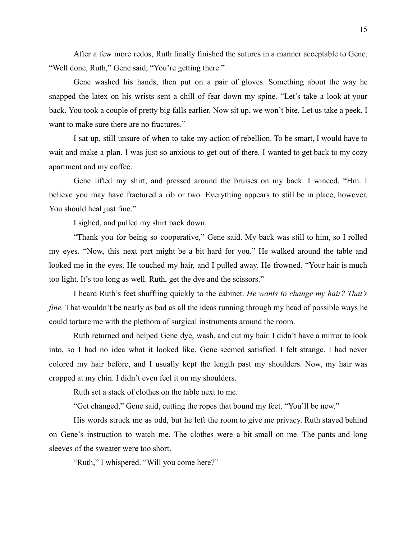After a few more redos, Ruth finally finished the sutures in a manner acceptable to Gene. "Well done, Ruth," Gene said, "You're getting there."

Gene washed his hands, then put on a pair of gloves. Something about the way he snapped the latex on his wrists sent a chill of fear down my spine. "Let's take a look at your back. You took a couple of pretty big falls earlier. Now sit up, we won't bite. Let us take a peek. I want to make sure there are no fractures."

I sat up, still unsure of when to take my action of rebellion. To be smart, I would have to wait and make a plan. I was just so anxious to get out of there. I wanted to get back to my cozy apartment and my coffee.

Gene lifted my shirt, and pressed around the bruises on my back. I winced. "Hm. I believe you may have fractured a rib or two. Everything appears to still be in place, however. You should heal just fine."

I sighed, and pulled my shirt back down.

"Thank you for being so cooperative," Gene said. My back was still to him, so I rolled my eyes. "Now, this next part might be a bit hard for you." He walked around the table and looked me in the eyes. He touched my hair, and I pulled away. He frowned. "Your hair is much too light. It's too long as well. Ruth, get the dye and the scissors."

I heard Ruth's feet shuffling quickly to the cabinet. *He wants to change my hair? That's fine.* That wouldn't be nearly as bad as all the ideas running through my head of possible ways he could torture me with the plethora of surgical instruments around the room.

Ruth returned and helped Gene dye, wash, and cut my hair. I didn't have a mirror to look into, so I had no idea what it looked like. Gene seemed satisfied. I felt strange. I had never colored my hair before, and I usually kept the length past my shoulders. Now, my hair was cropped at my chin. I didn't even feel it on my shoulders.

Ruth set a stack of clothes on the table next to me.

"Get changed," Gene said, cutting the ropes that bound my feet. "You'll be new."

His words struck me as odd, but he left the room to give me privacy. Ruth stayed behind on Gene's instruction to watch me. The clothes were a bit small on me. The pants and long sleeves of the sweater were too short.

"Ruth," I whispered. "Will you come here?"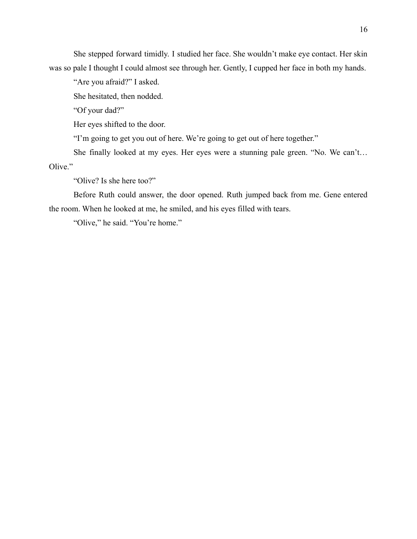She stepped forward timidly. I studied her face. She wouldn't make eye contact. Her skin was so pale I thought I could almost see through her. Gently, I cupped her face in both my hands.

"Are you afraid?" I asked.

She hesitated, then nodded.

"Of your dad?"

Her eyes shifted to the door.

"I'm going to get you out of here. We're going to get out of here together."

She finally looked at my eyes. Her eyes were a stunning pale green. "No. We can't… Olive."

"Olive? Is she here too?"

Before Ruth could answer, the door opened. Ruth jumped back from me. Gene entered the room. When he looked at me, he smiled, and his eyes filled with tears.

"Olive," he said. "You're home."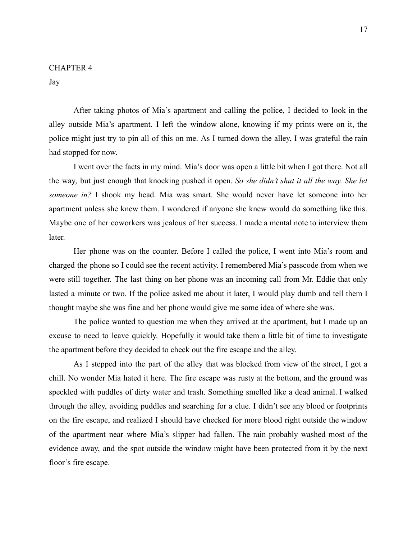#### CHAPTER 4

Jay

After taking photos of Mia's apartment and calling the police, I decided to look in the alley outside Mia's apartment. I left the window alone, knowing if my prints were on it, the police might just try to pin all of this on me. As I turned down the alley, I was grateful the rain had stopped for now.

I went over the facts in my mind. Mia's door was open a little bit when I got there. Not all the way, but just enough that knocking pushed it open. *So she didn't shut it all the way. She let someone in?* I shook my head. Mia was smart. She would never have let someone into her apartment unless she knew them. I wondered if anyone she knew would do something like this. Maybe one of her coworkers was jealous of her success. I made a mental note to interview them later.

Her phone was on the counter. Before I called the police, I went into Mia's room and charged the phone so I could see the recent activity. I remembered Mia's passcode from when we were still together. The last thing on her phone was an incoming call from Mr. Eddie that only lasted a minute or two. If the police asked me about it later, I would play dumb and tell them I thought maybe she was fine and her phone would give me some idea of where she was.

The police wanted to question me when they arrived at the apartment, but I made up an excuse to need to leave quickly. Hopefully it would take them a little bit of time to investigate the apartment before they decided to check out the fire escape and the alley.

As I stepped into the part of the alley that was blocked from view of the street, I got a chill. No wonder Mia hated it here. The fire escape was rusty at the bottom, and the ground was speckled with puddles of dirty water and trash. Something smelled like a dead animal. I walked through the alley, avoiding puddles and searching for a clue. I didn't see any blood or footprints on the fire escape, and realized I should have checked for more blood right outside the window of the apartment near where Mia's slipper had fallen. The rain probably washed most of the evidence away, and the spot outside the window might have been protected from it by the next floor's fire escape.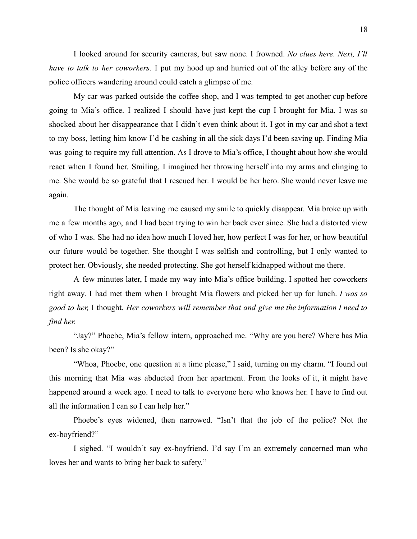I looked around for security cameras, but saw none. I frowned. *No clues here. Next, I'll have to talk to her coworkers.* I put my hood up and hurried out of the alley before any of the police officers wandering around could catch a glimpse of me.

My car was parked outside the coffee shop, and I was tempted to get another cup before going to Mia's office. I realized I should have just kept the cup I brought for Mia. I was so shocked about her disappearance that I didn't even think about it. I got in my car and shot a text to my boss, letting him know I'd be cashing in all the sick days I'd been saving up. Finding Mia was going to require my full attention. As I drove to Mia's office, I thought about how she would react when I found her. Smiling, I imagined her throwing herself into my arms and clinging to me. She would be so grateful that I rescued her. I would be her hero. She would never leave me again.

The thought of Mia leaving me caused my smile to quickly disappear. Mia broke up with me a few months ago, and I had been trying to win her back ever since. She had a distorted view of who I was. She had no idea how much I loved her, how perfect I was for her, or how beautiful our future would be together. She thought I was selfish and controlling, but I only wanted to protect her. Obviously, she needed protecting. She got herself kidnapped without me there.

A few minutes later, I made my way into Mia's office building. I spotted her coworkers right away. I had met them when I brought Mia flowers and picked her up for lunch. *I was so good to her,* I thought. *Her coworkers will remember that and give me the information I need to find her.*

"Jay?" Phoebe, Mia's fellow intern, approached me. "Why are you here? Where has Mia been? Is she okay?"

"Whoa, Phoebe, one question at a time please," I said, turning on my charm. "I found out this morning that Mia was abducted from her apartment. From the looks of it, it might have happened around a week ago. I need to talk to everyone here who knows her. I have to find out all the information I can so I can help her."

Phoebe's eyes widened, then narrowed. "Isn't that the job of the police? Not the ex-boyfriend?"

I sighed. "I wouldn't say ex-boyfriend. I'd say I'm an extremely concerned man who loves her and wants to bring her back to safety."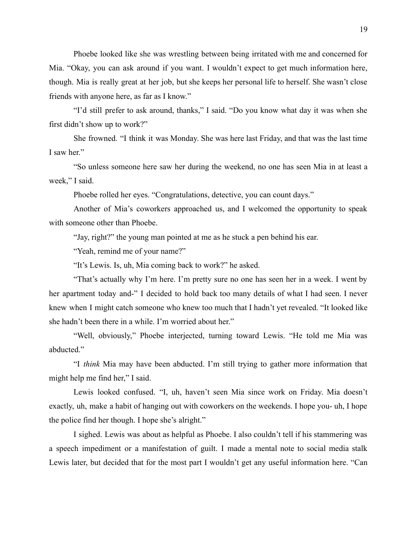Phoebe looked like she was wrestling between being irritated with me and concerned for Mia. "Okay, you can ask around if you want. I wouldn't expect to get much information here, though. Mia is really great at her job, but she keeps her personal life to herself. She wasn't close friends with anyone here, as far as I know."

"I'd still prefer to ask around, thanks," I said. "Do you know what day it was when she first didn't show up to work?"

She frowned. "I think it was Monday. She was here last Friday, and that was the last time I saw her."

"So unless someone here saw her during the weekend, no one has seen Mia in at least a week," I said.

Phoebe rolled her eyes. "Congratulations, detective, you can count days."

Another of Mia's coworkers approached us, and I welcomed the opportunity to speak with someone other than Phoebe.

"Jay, right?" the young man pointed at me as he stuck a pen behind his ear.

"Yeah, remind me of your name?"

"It's Lewis. Is, uh, Mia coming back to work?" he asked.

"That's actually why I'm here. I'm pretty sure no one has seen her in a week. I went by her apartment today and-" I decided to hold back too many details of what I had seen. I never knew when I might catch someone who knew too much that I hadn't yet revealed. "It looked like she hadn't been there in a while. I'm worried about her."

"Well, obviously," Phoebe interjected, turning toward Lewis. "He told me Mia was abducted."

"I *think* Mia may have been abducted. I'm still trying to gather more information that might help me find her," I said.

Lewis looked confused. "I, uh, haven't seen Mia since work on Friday. Mia doesn't exactly, uh, make a habit of hanging out with coworkers on the weekends. I hope you- uh, I hope the police find her though. I hope she's alright."

I sighed. Lewis was about as helpful as Phoebe. I also couldn't tell if his stammering was a speech impediment or a manifestation of guilt. I made a mental note to social media stalk Lewis later, but decided that for the most part I wouldn't get any useful information here. "Can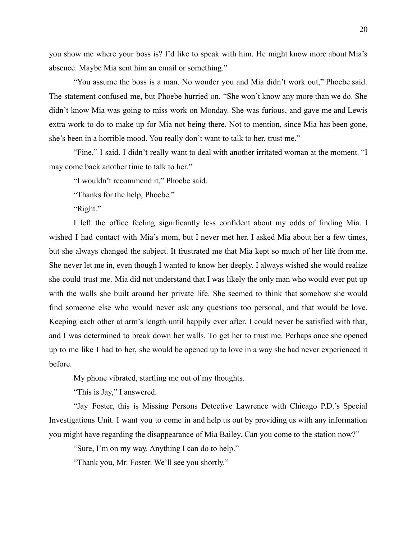you show me where your boss is? I'd like to speak with him. He might know more about Mia's absence. Maybe Mia sent him an email or something."

"You assume the boss is a man. No wonder you and Mia didn't work out," Phoebe said. The statement confused me, but Phoebe hurried on. "She won't know any more than we do. She didn't know Mia was going to miss work on Monday. She was furious, and gave me and Lewis extra work to do to make up for Mia not being there. Not to mention, since Mia has been gone, she's been in a horrible mood. You really don't want to talk to her, trust me."

"Fine," I said. I didn't really want to deal with another irritated woman at the moment. "I may come back another time to talk to her."

"I wouldn't recommend it," Phoebe said.

"Thanks for the help, Phoebe."

"Right."

I left the office feeling significantly less confident about my odds of finding Mia. I wished I had contact with Mia's mom, but I never met her. I asked Mia about her a few times, but she always changed the subject. It frustrated me that Mia kept so much of her life from me. She never let me in, even though I wanted to know her deeply. I always wished she would realize she could trust me. Mia did not understand that I was likely the only man who would ever put up with the walls she built around her private life. She seemed to think that somehow she would find someone else who would never ask any questions too personal, and that would be love. Keeping each other at arm's length until happily ever after. I could never be satisfied with that, and I was determined to break down her walls. To get her to trust me. Perhaps once she opened up to me like I had to her, she would be opened up to love in a way she had never experienced it before.

My phone vibrated, startling me out of my thoughts.

"This is Jay," I answered.

"Jay Foster, this is Missing Persons Detective Lawrence with Chicago P.D.'s Special Investigations Unit. I want you to come in and help us out by providing us with any information you might have regarding the disappearance of Mia Bailey. Can you come to the station now?"

"Sure, I'm on my way. Anything I can do to help."

"Thank you, Mr. Foster. We'll see you shortly."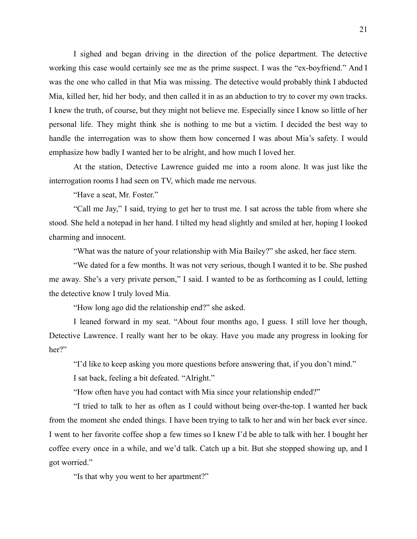I sighed and began driving in the direction of the police department. The detective working this case would certainly see me as the prime suspect. I was the "ex-boyfriend." And I was the one who called in that Mia was missing. The detective would probably think I abducted Mia, killed her, hid her body, and then called it in as an abduction to try to cover my own tracks. I knew the truth, of course, but they might not believe me. Especially since I know so little of her personal life. They might think she is nothing to me but a victim. I decided the best way to handle the interrogation was to show them how concerned I was about Mia's safety. I would emphasize how badly I wanted her to be alright, and how much I loved her.

At the station, Detective Lawrence guided me into a room alone. It was just like the interrogation rooms I had seen on TV, which made me nervous.

"Have a seat, Mr. Foster."

"Call me Jay," I said, trying to get her to trust me. I sat across the table from where she stood. She held a notepad in her hand. I tilted my head slightly and smiled at her, hoping I looked charming and innocent.

"What was the nature of your relationship with Mia Bailey?" she asked, her face stern.

"We dated for a few months. It was not very serious, though I wanted it to be. She pushed me away. She's a very private person," I said. I wanted to be as forthcoming as I could, letting the detective know I truly loved Mia.

"How long ago did the relationship end?" she asked.

I leaned forward in my seat. "About four months ago, I guess. I still love her though, Detective Lawrence. I really want her to be okay. Have you made any progress in looking for her?"

"I'd like to keep asking you more questions before answering that, if you don't mind."

I sat back, feeling a bit defeated. "Alright."

"How often have you had contact with Mia since your relationship ended?"

"I tried to talk to her as often as I could without being over-the-top. I wanted her back from the moment she ended things. I have been trying to talk to her and win her back ever since. I went to her favorite coffee shop a few times so I knew I'd be able to talk with her. I bought her coffee every once in a while, and we'd talk. Catch up a bit. But she stopped showing up, and I got worried."

"Is that why you went to her apartment?"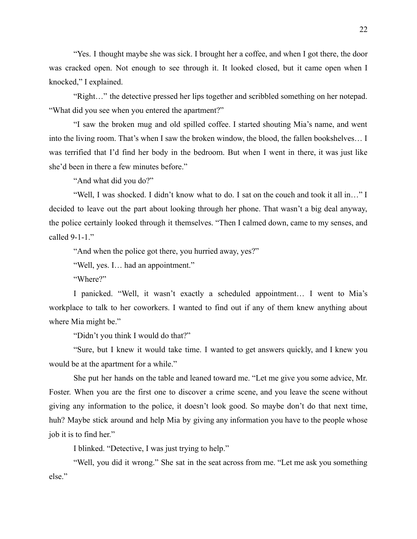"Yes. I thought maybe she was sick. I brought her a coffee, and when I got there, the door was cracked open. Not enough to see through it. It looked closed, but it came open when I knocked," I explained.

"Right…" the detective pressed her lips together and scribbled something on her notepad. "What did you see when you entered the apartment?"

"I saw the broken mug and old spilled coffee. I started shouting Mia's name, and went into the living room. That's when I saw the broken window, the blood, the fallen bookshelves… I was terrified that I'd find her body in the bedroom. But when I went in there, it was just like she'd been in there a few minutes before."

"And what did you do?"

"Well, I was shocked. I didn't know what to do. I sat on the couch and took it all in…" I decided to leave out the part about looking through her phone. That wasn't a big deal anyway, the police certainly looked through it themselves. "Then I calmed down, came to my senses, and called 9-1-1."

"And when the police got there, you hurried away, yes?"

"Well, yes. I… had an appointment."

"Where?"

I panicked. "Well, it wasn't exactly a scheduled appointment… I went to Mia's workplace to talk to her coworkers. I wanted to find out if any of them knew anything about where Mia might be."

"Didn't you think I would do that?"

"Sure, but I knew it would take time. I wanted to get answers quickly, and I knew you would be at the apartment for a while."

She put her hands on the table and leaned toward me. "Let me give you some advice, Mr. Foster. When you are the first one to discover a crime scene, and you leave the scene without giving any information to the police, it doesn't look good. So maybe don't do that next time, huh? Maybe stick around and help Mia by giving any information you have to the people whose job it is to find her."

I blinked. "Detective, I was just trying to help."

"Well, you did it wrong." She sat in the seat across from me. "Let me ask you something else."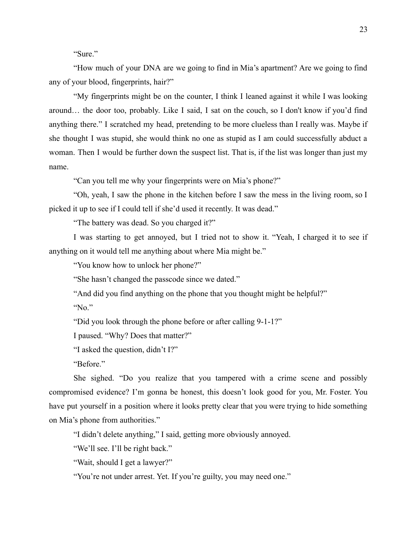"Sure"

"How much of your DNA are we going to find in Mia's apartment? Are we going to find any of your blood, fingerprints, hair?"

"My fingerprints might be on the counter, I think I leaned against it while I was looking around… the door too, probably. Like I said, I sat on the couch, so I don't know if you'd find anything there." I scratched my head, pretending to be more clueless than I really was. Maybe if she thought I was stupid, she would think no one as stupid as I am could successfully abduct a woman. Then I would be further down the suspect list. That is, if the list was longer than just my name.

"Can you tell me why your fingerprints were on Mia's phone?"

"Oh, yeah, I saw the phone in the kitchen before I saw the mess in the living room, so I picked it up to see if I could tell if she'd used it recently. It was dead."

"The battery was dead. So you charged it?"

I was starting to get annoyed, but I tried not to show it. "Yeah, I charged it to see if anything on it would tell me anything about where Mia might be."

"You know how to unlock her phone?"

"She hasn't changed the passcode since we dated."

"And did you find anything on the phone that you thought might be helpful?"

"No."

"Did you look through the phone before or after calling 9-1-1?"

I paused. "Why? Does that matter?"

"I asked the question, didn't I?"

"Before."

She sighed. "Do you realize that you tampered with a crime scene and possibly compromised evidence? I'm gonna be honest, this doesn't look good for you, Mr. Foster. You have put yourself in a position where it looks pretty clear that you were trying to hide something on Mia's phone from authorities."

"I didn't delete anything," I said, getting more obviously annoyed.

"We'll see. I'll be right back."

"Wait, should I get a lawyer?"

"You're not under arrest. Yet. If you're guilty, you may need one."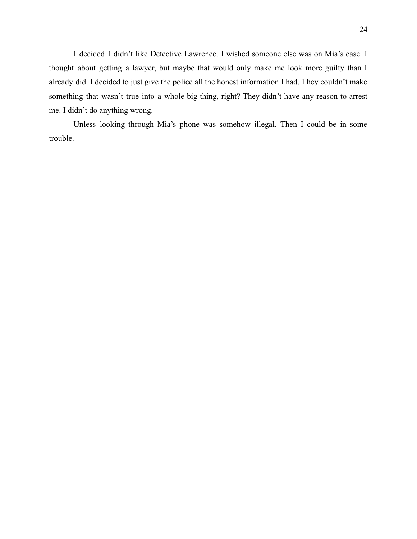I decided I didn't like Detective Lawrence. I wished someone else was on Mia's case. I thought about getting a lawyer, but maybe that would only make me look more guilty than I already did. I decided to just give the police all the honest information I had. They couldn't make something that wasn't true into a whole big thing, right? They didn't have any reason to arrest me. I didn't do anything wrong.

Unless looking through Mia's phone was somehow illegal. Then I could be in some trouble.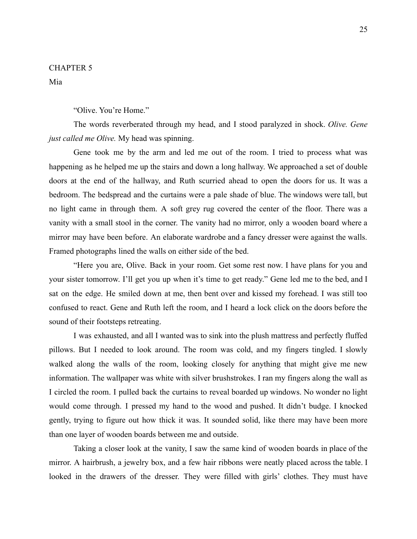### CHAPTER 5

Mia

"Olive. You're Home."

The words reverberated through my head, and I stood paralyzed in shock. *Olive. Gene just called me Olive.* My head was spinning.

Gene took me by the arm and led me out of the room. I tried to process what was happening as he helped me up the stairs and down a long hallway. We approached a set of double doors at the end of the hallway, and Ruth scurried ahead to open the doors for us. It was a bedroom. The bedspread and the curtains were a pale shade of blue. The windows were tall, but no light came in through them. A soft grey rug covered the center of the floor. There was a vanity with a small stool in the corner. The vanity had no mirror, only a wooden board where a mirror may have been before. An elaborate wardrobe and a fancy dresser were against the walls. Framed photographs lined the walls on either side of the bed.

"Here you are, Olive. Back in your room. Get some rest now. I have plans for you and your sister tomorrow. I'll get you up when it's time to get ready." Gene led me to the bed, and I sat on the edge. He smiled down at me, then bent over and kissed my forehead. I was still too confused to react. Gene and Ruth left the room, and I heard a lock click on the doors before the sound of their footsteps retreating.

I was exhausted, and all I wanted was to sink into the plush mattress and perfectly fluffed pillows. But I needed to look around. The room was cold, and my fingers tingled. I slowly walked along the walls of the room, looking closely for anything that might give me new information. The wallpaper was white with silver brushstrokes. I ran my fingers along the wall as I circled the room. I pulled back the curtains to reveal boarded up windows. No wonder no light would come through. I pressed my hand to the wood and pushed. It didn't budge. I knocked gently, trying to figure out how thick it was. It sounded solid, like there may have been more than one layer of wooden boards between me and outside.

Taking a closer look at the vanity, I saw the same kind of wooden boards in place of the mirror. A hairbrush, a jewelry box, and a few hair ribbons were neatly placed across the table. I looked in the drawers of the dresser. They were filled with girls' clothes. They must have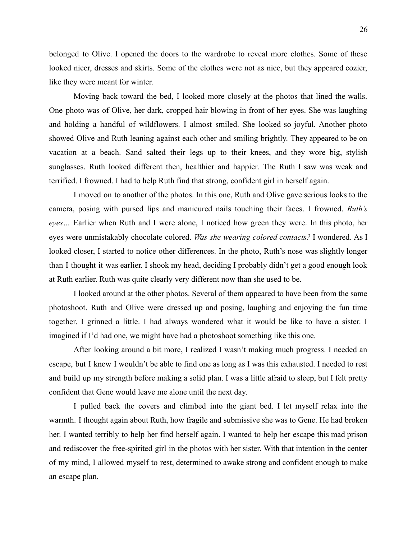belonged to Olive. I opened the doors to the wardrobe to reveal more clothes. Some of these looked nicer, dresses and skirts. Some of the clothes were not as nice, but they appeared cozier, like they were meant for winter.

Moving back toward the bed, I looked more closely at the photos that lined the walls. One photo was of Olive, her dark, cropped hair blowing in front of her eyes. She was laughing and holding a handful of wildflowers. I almost smiled. She looked so joyful. Another photo showed Olive and Ruth leaning against each other and smiling brightly. They appeared to be on vacation at a beach. Sand salted their legs up to their knees, and they wore big, stylish sunglasses. Ruth looked different then, healthier and happier. The Ruth I saw was weak and terrified. I frowned. I had to help Ruth find that strong, confident girl in herself again.

I moved on to another of the photos. In this one, Ruth and Olive gave serious looks to the camera, posing with pursed lips and manicured nails touching their faces. I frowned. *Ruth's eyes…* Earlier when Ruth and I were alone, I noticed how green they were. In this photo, her eyes were unmistakably chocolate colored. *Was she wearing colored contacts?* I wondered. As I looked closer, I started to notice other differences. In the photo, Ruth's nose was slightly longer than I thought it was earlier. I shook my head, deciding I probably didn't get a good enough look at Ruth earlier. Ruth was quite clearly very different now than she used to be.

I looked around at the other photos. Several of them appeared to have been from the same photoshoot. Ruth and Olive were dressed up and posing, laughing and enjoying the fun time together. I grinned a little. I had always wondered what it would be like to have a sister. I imagined if I'd had one, we might have had a photoshoot something like this one.

After looking around a bit more, I realized I wasn't making much progress. I needed an escape, but I knew I wouldn't be able to find one as long as I was this exhausted. I needed to rest and build up my strength before making a solid plan. I was a little afraid to sleep, but I felt pretty confident that Gene would leave me alone until the next day.

I pulled back the covers and climbed into the giant bed. I let myself relax into the warmth. I thought again about Ruth, how fragile and submissive she was to Gene. He had broken her. I wanted terribly to help her find herself again. I wanted to help her escape this mad prison and rediscover the free-spirited girl in the photos with her sister. With that intention in the center of my mind, I allowed myself to rest, determined to awake strong and confident enough to make an escape plan.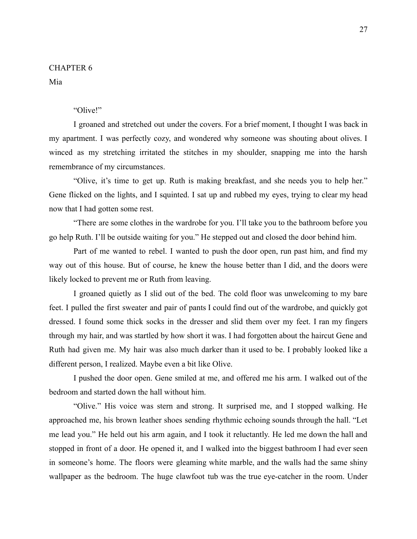## CHAPTER 6

Mia

## "Olive!"

I groaned and stretched out under the covers. For a brief moment, I thought I was back in my apartment. I was perfectly cozy, and wondered why someone was shouting about olives. I winced as my stretching irritated the stitches in my shoulder, snapping me into the harsh remembrance of my circumstances.

"Olive, it's time to get up. Ruth is making breakfast, and she needs you to help her." Gene flicked on the lights, and I squinted. I sat up and rubbed my eyes, trying to clear my head now that I had gotten some rest.

"There are some clothes in the wardrobe for you. I'll take you to the bathroom before you go help Ruth. I'll be outside waiting for you." He stepped out and closed the door behind him.

Part of me wanted to rebel. I wanted to push the door open, run past him, and find my way out of this house. But of course, he knew the house better than I did, and the doors were likely locked to prevent me or Ruth from leaving.

I groaned quietly as I slid out of the bed. The cold floor was unwelcoming to my bare feet. I pulled the first sweater and pair of pants I could find out of the wardrobe, and quickly got dressed. I found some thick socks in the dresser and slid them over my feet. I ran my fingers through my hair, and was startled by how short it was. I had forgotten about the haircut Gene and Ruth had given me. My hair was also much darker than it used to be. I probably looked like a different person, I realized. Maybe even a bit like Olive.

I pushed the door open. Gene smiled at me, and offered me his arm. I walked out of the bedroom and started down the hall without him.

"Olive." His voice was stern and strong. It surprised me, and I stopped walking. He approached me, his brown leather shoes sending rhythmic echoing sounds through the hall. "Let me lead you." He held out his arm again, and I took it reluctantly. He led me down the hall and stopped in front of a door. He opened it, and I walked into the biggest bathroom I had ever seen in someone's home. The floors were gleaming white marble, and the walls had the same shiny wallpaper as the bedroom. The huge clawfoot tub was the true eye-catcher in the room. Under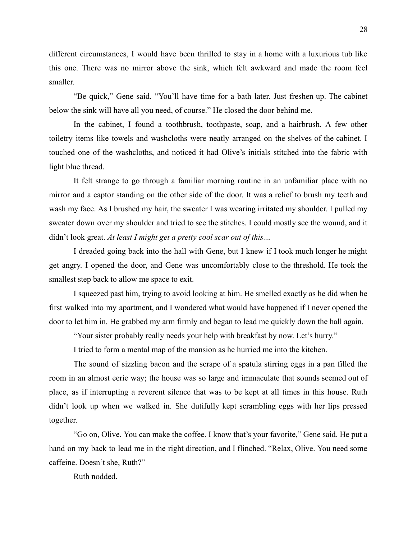different circumstances, I would have been thrilled to stay in a home with a luxurious tub like this one. There was no mirror above the sink, which felt awkward and made the room feel smaller.

"Be quick," Gene said. "You'll have time for a bath later. Just freshen up. The cabinet below the sink will have all you need, of course." He closed the door behind me.

In the cabinet, I found a toothbrush, toothpaste, soap, and a hairbrush. A few other toiletry items like towels and washcloths were neatly arranged on the shelves of the cabinet. I touched one of the washcloths, and noticed it had Olive's initials stitched into the fabric with light blue thread.

It felt strange to go through a familiar morning routine in an unfamiliar place with no mirror and a captor standing on the other side of the door. It was a relief to brush my teeth and wash my face. As I brushed my hair, the sweater I was wearing irritated my shoulder. I pulled my sweater down over my shoulder and tried to see the stitches. I could mostly see the wound, and it didn't look great. *At least I might get a pretty cool scar out of this…*

I dreaded going back into the hall with Gene, but I knew if I took much longer he might get angry. I opened the door, and Gene was uncomfortably close to the threshold. He took the smallest step back to allow me space to exit.

I squeezed past him, trying to avoid looking at him. He smelled exactly as he did when he first walked into my apartment, and I wondered what would have happened if I never opened the door to let him in. He grabbed my arm firmly and began to lead me quickly down the hall again.

"Your sister probably really needs your help with breakfast by now. Let's hurry."

I tried to form a mental map of the mansion as he hurried me into the kitchen.

The sound of sizzling bacon and the scrape of a spatula stirring eggs in a pan filled the room in an almost eerie way; the house was so large and immaculate that sounds seemed out of place, as if interrupting a reverent silence that was to be kept at all times in this house. Ruth didn't look up when we walked in. She dutifully kept scrambling eggs with her lips pressed together.

"Go on, Olive. You can make the coffee. I know that's your favorite," Gene said. He put a hand on my back to lead me in the right direction, and I flinched. "Relax, Olive. You need some caffeine. Doesn't she, Ruth?"

Ruth nodded.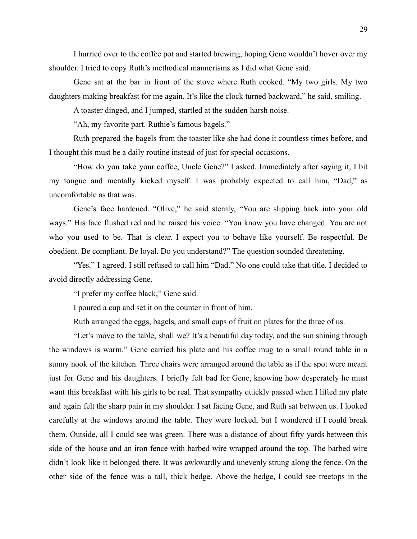I hurried over to the coffee pot and started brewing, hoping Gene wouldn't hover over my shoulder. I tried to copy Ruth's methodical mannerisms as I did what Gene said.

Gene sat at the bar in front of the stove where Ruth cooked. "My two girls. My two daughters making breakfast for me again. It's like the clock turned backward," he said, smiling.

A toaster dinged, and I jumped, startled at the sudden harsh noise.

"Ah, my favorite part. Ruthie's famous bagels."

Ruth prepared the bagels from the toaster like she had done it countless times before, and I thought this must be a daily routine instead of just for special occasions.

"How do you take your coffee, Uncle Gene?" I asked. Immediately after saying it, I bit my tongue and mentally kicked myself. I was probably expected to call him, "Dad," as uncomfortable as that was.

Gene's face hardened. "Olive," he said sternly, "You are slipping back into your old ways." His face flushed red and he raised his voice. "You know you have changed. You are not who you used to be. That is clear. I expect you to behave like yourself. Be respectful. Be obedient. Be compliant. Be loyal. Do you understand?" The question sounded threatening.

"Yes." I agreed. I still refused to call him "Dad." No one could take that title. I decided to avoid directly addressing Gene.

"I prefer my coffee black," Gene said.

I poured a cup and set it on the counter in front of him.

Ruth arranged the eggs, bagels, and small cups of fruit on plates for the three of us.

"Let's move to the table, shall we? It's a beautiful day today, and the sun shining through the windows is warm." Gene carried his plate and his coffee mug to a small round table in a sunny nook of the kitchen. Three chairs were arranged around the table as if the spot were meant just for Gene and his daughters. I briefly felt bad for Gene, knowing how desperately he must want this breakfast with his girls to be real. That sympathy quickly passed when I lifted my plate and again felt the sharp pain in my shoulder. I sat facing Gene, and Ruth sat between us. I looked carefully at the windows around the table. They were locked, but I wondered if I could break them. Outside, all I could see was green. There was a distance of about fifty yards between this side of the house and an iron fence with barbed wire wrapped around the top. The barbed wire didn't look like it belonged there. It was awkwardly and unevenly strung along the fence. On the other side of the fence was a tall, thick hedge. Above the hedge, I could see treetops in the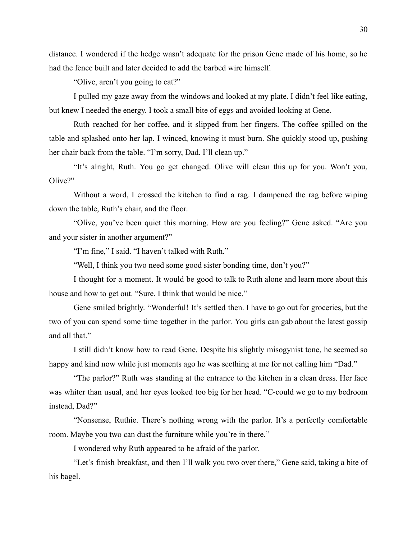distance. I wondered if the hedge wasn't adequate for the prison Gene made of his home, so he had the fence built and later decided to add the barbed wire himself.

"Olive, aren't you going to eat?"

I pulled my gaze away from the windows and looked at my plate. I didn't feel like eating, but knew I needed the energy. I took a small bite of eggs and avoided looking at Gene.

Ruth reached for her coffee, and it slipped from her fingers. The coffee spilled on the table and splashed onto her lap. I winced, knowing it must burn. She quickly stood up, pushing her chair back from the table. "I'm sorry, Dad. I'll clean up."

"It's alright, Ruth. You go get changed. Olive will clean this up for you. Won't you, Olive?"

Without a word, I crossed the kitchen to find a rag. I dampened the rag before wiping down the table, Ruth's chair, and the floor.

"Olive, you've been quiet this morning. How are you feeling?" Gene asked. "Are you and your sister in another argument?"

"I'm fine," I said. "I haven't talked with Ruth."

"Well, I think you two need some good sister bonding time, don't you?"

I thought for a moment. It would be good to talk to Ruth alone and learn more about this house and how to get out. "Sure. I think that would be nice."

Gene smiled brightly. "Wonderful! It's settled then. I have to go out for groceries, but the two of you can spend some time together in the parlor. You girls can gab about the latest gossip and all that."

I still didn't know how to read Gene. Despite his slightly misogynist tone, he seemed so happy and kind now while just moments ago he was seething at me for not calling him "Dad."

"The parlor?" Ruth was standing at the entrance to the kitchen in a clean dress. Her face was whiter than usual, and her eyes looked too big for her head. "C-could we go to my bedroom instead, Dad?"

"Nonsense, Ruthie. There's nothing wrong with the parlor. It's a perfectly comfortable room. Maybe you two can dust the furniture while you're in there."

I wondered why Ruth appeared to be afraid of the parlor.

"Let's finish breakfast, and then I'll walk you two over there," Gene said, taking a bite of his bagel.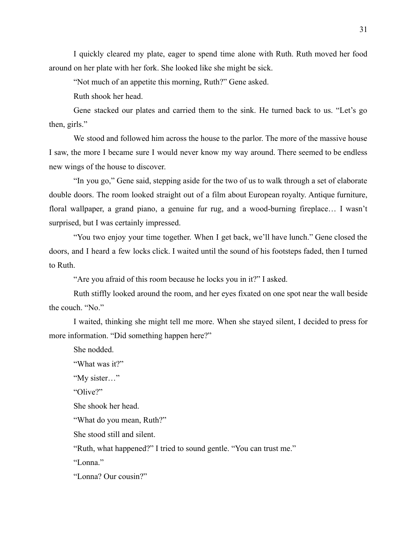I quickly cleared my plate, eager to spend time alone with Ruth. Ruth moved her food around on her plate with her fork. She looked like she might be sick.

"Not much of an appetite this morning, Ruth?" Gene asked.

Ruth shook her head.

Gene stacked our plates and carried them to the sink. He turned back to us. "Let's go then, girls."

We stood and followed him across the house to the parlor. The more of the massive house I saw, the more I became sure I would never know my way around. There seemed to be endless new wings of the house to discover.

"In you go," Gene said, stepping aside for the two of us to walk through a set of elaborate double doors. The room looked straight out of a film about European royalty. Antique furniture, floral wallpaper, a grand piano, a genuine fur rug, and a wood-burning fireplace… I wasn't surprised, but I was certainly impressed.

"You two enjoy your time together. When I get back, we'll have lunch." Gene closed the doors, and I heard a few locks click. I waited until the sound of his footsteps faded, then I turned to Ruth.

"Are you afraid of this room because he locks you in it?" I asked.

Ruth stiffly looked around the room, and her eyes fixated on one spot near the wall beside the couch. "No."

I waited, thinking she might tell me more. When she stayed silent, I decided to press for more information. "Did something happen here?"

She nodded.

"What was it?"

"My sister…"

"Olive?"

She shook her head.

"What do you mean, Ruth?"

She stood still and silent.

"Ruth, what happened?" I tried to sound gentle. "You can trust me."

"Lonna."

"Lonna? Our cousin?"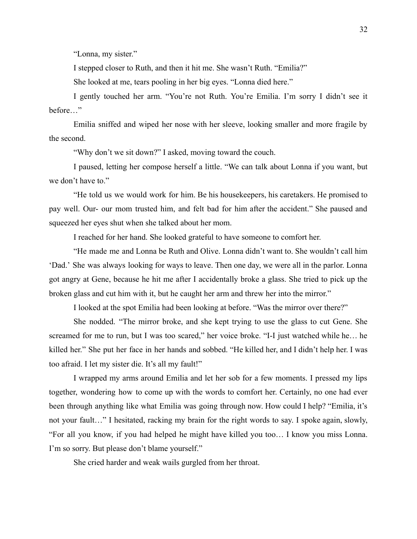"Lonna, my sister."

I stepped closer to Ruth, and then it hit me. She wasn't Ruth. "Emilia?"

She looked at me, tears pooling in her big eyes. "Lonna died here."

I gently touched her arm. "You're not Ruth. You're Emilia. I'm sorry I didn't see it before…"

Emilia sniffed and wiped her nose with her sleeve, looking smaller and more fragile by the second.

"Why don't we sit down?" I asked, moving toward the couch.

I paused, letting her compose herself a little. "We can talk about Lonna if you want, but we don't have to."

"He told us we would work for him. Be his housekeepers, his caretakers. He promised to pay well. Our- our mom trusted him, and felt bad for him after the accident." She paused and squeezed her eyes shut when she talked about her mom.

I reached for her hand. She looked grateful to have someone to comfort her.

"He made me and Lonna be Ruth and Olive. Lonna didn't want to. She wouldn't call him 'Dad.' She was always looking for ways to leave. Then one day, we were all in the parlor. Lonna got angry at Gene, because he hit me after I accidentally broke a glass. She tried to pick up the broken glass and cut him with it, but he caught her arm and threw her into the mirror."

I looked at the spot Emilia had been looking at before. "Was the mirror over there?"

She nodded. "The mirror broke, and she kept trying to use the glass to cut Gene. She screamed for me to run, but I was too scared," her voice broke. "I-I just watched while he… he killed her." She put her face in her hands and sobbed. "He killed her, and I didn't help her. I was too afraid. I let my sister die. It's all my fault!"

I wrapped my arms around Emilia and let her sob for a few moments. I pressed my lips together, wondering how to come up with the words to comfort her. Certainly, no one had ever been through anything like what Emilia was going through now. How could I help? "Emilia, it's not your fault…" I hesitated, racking my brain for the right words to say. I spoke again, slowly, "For all you know, if you had helped he might have killed you too… I know you miss Lonna. I'm so sorry. But please don't blame yourself."

She cried harder and weak wails gurgled from her throat.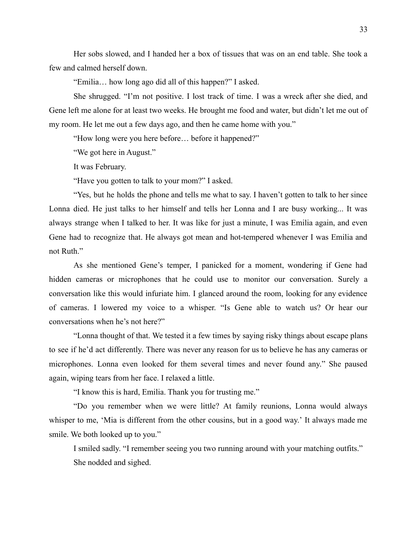Her sobs slowed, and I handed her a box of tissues that was on an end table. She took a few and calmed herself down.

"Emilia… how long ago did all of this happen?" I asked.

She shrugged. "I'm not positive. I lost track of time. I was a wreck after she died, and Gene left me alone for at least two weeks. He brought me food and water, but didn't let me out of my room. He let me out a few days ago, and then he came home with you."

"How long were you here before… before it happened?"

"We got here in August."

It was February.

"Have you gotten to talk to your mom?" I asked.

"Yes, but he holds the phone and tells me what to say. I haven't gotten to talk to her since Lonna died. He just talks to her himself and tells her Lonna and I are busy working... It was always strange when I talked to her. It was like for just a minute, I was Emilia again, and even Gene had to recognize that. He always got mean and hot-tempered whenever I was Emilia and not Ruth."

As she mentioned Gene's temper, I panicked for a moment, wondering if Gene had hidden cameras or microphones that he could use to monitor our conversation. Surely a conversation like this would infuriate him. I glanced around the room, looking for any evidence of cameras. I lowered my voice to a whisper. "Is Gene able to watch us? Or hear our conversations when he's not here?"

"Lonna thought of that. We tested it a few times by saying risky things about escape plans to see if he'd act differently. There was never any reason for us to believe he has any cameras or microphones. Lonna even looked for them several times and never found any." She paused again, wiping tears from her face. I relaxed a little.

"I know this is hard, Emilia. Thank you for trusting me."

"Do you remember when we were little? At family reunions, Lonna would always whisper to me, 'Mia is different from the other cousins, but in a good way.' It always made me smile. We both looked up to you."

I smiled sadly. "I remember seeing you two running around with your matching outfits." She nodded and sighed.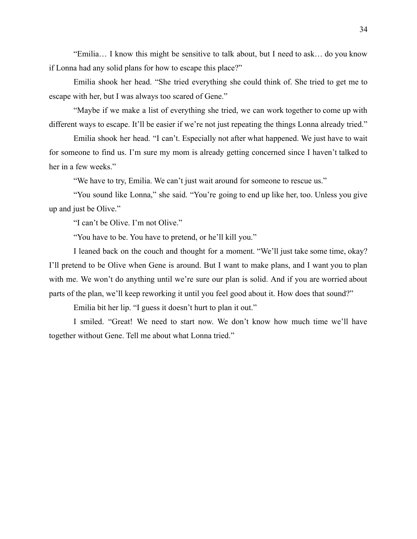"Emilia… I know this might be sensitive to talk about, but I need to ask… do you know if Lonna had any solid plans for how to escape this place?"

Emilia shook her head. "She tried everything she could think of. She tried to get me to escape with her, but I was always too scared of Gene."

"Maybe if we make a list of everything she tried, we can work together to come up with different ways to escape. It'll be easier if we're not just repeating the things Lonna already tried."

Emilia shook her head. "I can't. Especially not after what happened. We just have to wait for someone to find us. I'm sure my mom is already getting concerned since I haven't talked to her in a few weeks."

"We have to try, Emilia. We can't just wait around for someone to rescue us."

"You sound like Lonna," she said. "You're going to end up like her, too. Unless you give up and just be Olive."

"I can't be Olive. I'm not Olive."

"You have to be. You have to pretend, or he'll kill you."

I leaned back on the couch and thought for a moment. "We'll just take some time, okay? I'll pretend to be Olive when Gene is around. But I want to make plans, and I want you to plan with me. We won't do anything until we're sure our plan is solid. And if you are worried about parts of the plan, we'll keep reworking it until you feel good about it. How does that sound?"

Emilia bit her lip. "I guess it doesn't hurt to plan it out."

I smiled. "Great! We need to start now. We don't know how much time we'll have together without Gene. Tell me about what Lonna tried."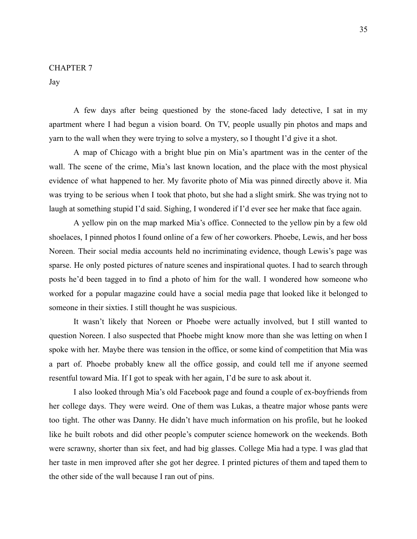#### CHAPTER 7

Jay

A few days after being questioned by the stone-faced lady detective, I sat in my apartment where I had begun a vision board. On TV, people usually pin photos and maps and yarn to the wall when they were trying to solve a mystery, so I thought I'd give it a shot.

A map of Chicago with a bright blue pin on Mia's apartment was in the center of the wall. The scene of the crime, Mia's last known location, and the place with the most physical evidence of what happened to her. My favorite photo of Mia was pinned directly above it. Mia was trying to be serious when I took that photo, but she had a slight smirk. She was trying not to laugh at something stupid I'd said. Sighing, I wondered if I'd ever see her make that face again.

A yellow pin on the map marked Mia's office. Connected to the yellow pin by a few old shoelaces, I pinned photos I found online of a few of her coworkers. Phoebe, Lewis, and her boss Noreen. Their social media accounts held no incriminating evidence, though Lewis's page was sparse. He only posted pictures of nature scenes and inspirational quotes. I had to search through posts he'd been tagged in to find a photo of him for the wall. I wondered how someone who worked for a popular magazine could have a social media page that looked like it belonged to someone in their sixties. I still thought he was suspicious.

It wasn't likely that Noreen or Phoebe were actually involved, but I still wanted to question Noreen. I also suspected that Phoebe might know more than she was letting on when I spoke with her. Maybe there was tension in the office, or some kind of competition that Mia was a part of. Phoebe probably knew all the office gossip, and could tell me if anyone seemed resentful toward Mia. If I got to speak with her again, I'd be sure to ask about it.

I also looked through Mia's old Facebook page and found a couple of ex-boyfriends from her college days. They were weird. One of them was Lukas, a theatre major whose pants were too tight. The other was Danny. He didn't have much information on his profile, but he looked like he built robots and did other people's computer science homework on the weekends. Both were scrawny, shorter than six feet, and had big glasses. College Mia had a type. I was glad that her taste in men improved after she got her degree. I printed pictures of them and taped them to the other side of the wall because I ran out of pins.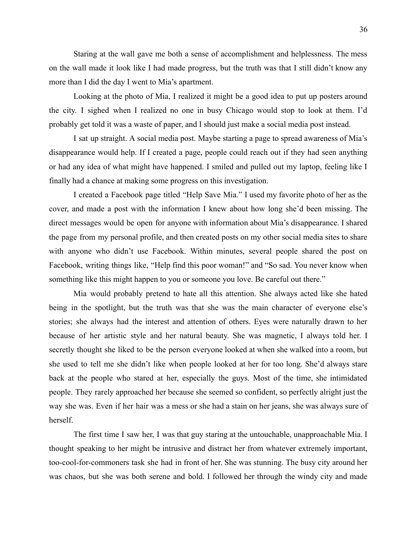Staring at the wall gave me both a sense of accomplishment and helplessness. The mess on the wall made it look like I had made progress, but the truth was that I still didn't know any more than I did the day I went to Mia's apartment.

Looking at the photo of Mia, I realized it might be a good idea to put up posters around the city. I sighed when I realized no one in busy Chicago would stop to look at them. I'd probably get told it was a waste of paper, and I should just make a social media post instead.

I sat up straight. A social media post. Maybe starting a page to spread awareness of Mia's disappearance would help. If I created a page, people could reach out if they had seen anything or had any idea of what might have happened. I smiled and pulled out my laptop, feeling like I finally had a chance at making some progress on this investigation.

I created a Facebook page titled "Help Save Mia." I used my favorite photo of her as the cover, and made a post with the information I knew about how long she'd been missing. The direct messages would be open for anyone with information about Mia's disappearance. I shared the page from my personal profile, and then created posts on my other social media sites to share with anyone who didn't use Facebook. Within minutes, several people shared the post on Facebook, writing things like, "Help find this poor woman!" and "So sad. You never know when something like this might happen to you or someone you love. Be careful out there."

Mia would probably pretend to hate all this attention. She always acted like she hated being in the spotlight, but the truth was that she was the main character of everyone else's stories; she always had the interest and attention of others. Eyes were naturally drawn to her because of her artistic style and her natural beauty. She was magnetic, I always told her. I secretly thought she liked to be the person everyone looked at when she walked into a room, but she used to tell me she didn't like when people looked at her for too long. She'd always stare back at the people who stared at her, especially the guys. Most of the time, she intimidated people. They rarely approached her because she seemed so confident, so perfectly alright just the way she was. Even if her hair was a mess or she had a stain on her jeans, she was always sure of herself.

The first time I saw her, I was that guy staring at the untouchable, unapproachable Mia. I thought speaking to her might be intrusive and distract her from whatever extremely important, too-cool-for-commoners task she had in front of her. She was stunning. The busy city around her was chaos, but she was both serene and bold. I followed her through the windy city and made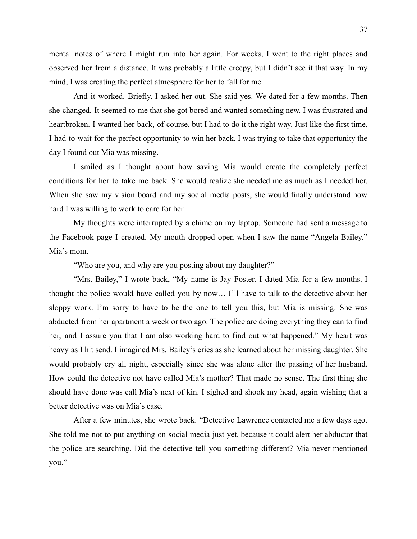mental notes of where I might run into her again. For weeks, I went to the right places and observed her from a distance. It was probably a little creepy, but I didn't see it that way. In my mind, I was creating the perfect atmosphere for her to fall for me.

And it worked. Briefly. I asked her out. She said yes. We dated for a few months. Then she changed. It seemed to me that she got bored and wanted something new. I was frustrated and heartbroken. I wanted her back, of course, but I had to do it the right way. Just like the first time, I had to wait for the perfect opportunity to win her back. I was trying to take that opportunity the day I found out Mia was missing.

I smiled as I thought about how saving Mia would create the completely perfect conditions for her to take me back. She would realize she needed me as much as I needed her. When she saw my vision board and my social media posts, she would finally understand how hard I was willing to work to care for her.

My thoughts were interrupted by a chime on my laptop. Someone had sent a message to the Facebook page I created. My mouth dropped open when I saw the name "Angela Bailey." Mia's mom.

"Who are you, and why are you posting about my daughter?"

"Mrs. Bailey," I wrote back, "My name is Jay Foster. I dated Mia for a few months. I thought the police would have called you by now… I'll have to talk to the detective about her sloppy work. I'm sorry to have to be the one to tell you this, but Mia is missing. She was abducted from her apartment a week or two ago. The police are doing everything they can to find her, and I assure you that I am also working hard to find out what happened." My heart was heavy as I hit send. I imagined Mrs. Bailey's cries as she learned about her missing daughter. She would probably cry all night, especially since she was alone after the passing of her husband. How could the detective not have called Mia's mother? That made no sense. The first thing she should have done was call Mia's next of kin. I sighed and shook my head, again wishing that a better detective was on Mia's case.

After a few minutes, she wrote back. "Detective Lawrence contacted me a few days ago. She told me not to put anything on social media just yet, because it could alert her abductor that the police are searching. Did the detective tell you something different? Mia never mentioned you."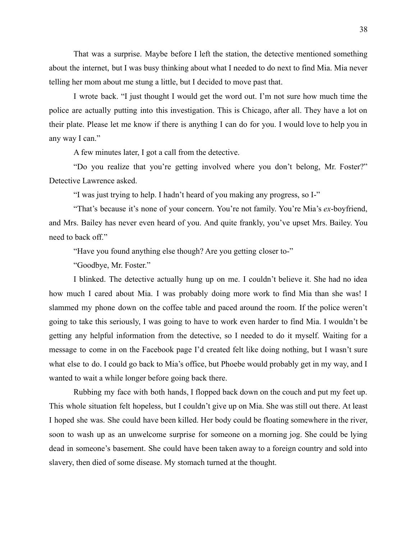That was a surprise. Maybe before I left the station, the detective mentioned something about the internet, but I was busy thinking about what I needed to do next to find Mia. Mia never telling her mom about me stung a little, but I decided to move past that.

I wrote back. "I just thought I would get the word out. I'm not sure how much time the police are actually putting into this investigation. This is Chicago, after all. They have a lot on their plate. Please let me know if there is anything I can do for you. I would love to help you in any way I can."

A few minutes later, I got a call from the detective.

"Do you realize that you're getting involved where you don't belong, Mr. Foster?" Detective Lawrence asked.

"I was just trying to help. I hadn't heard of you making any progress, so I-"

"That's because it's none of your concern. You're not family. You're Mia's *ex*-boyfriend, and Mrs. Bailey has never even heard of you. And quite frankly, you've upset Mrs. Bailey. You need to back off."

"Have you found anything else though? Are you getting closer to-"

"Goodbye, Mr. Foster."

I blinked. The detective actually hung up on me. I couldn't believe it. She had no idea how much I cared about Mia. I was probably doing more work to find Mia than she was! I slammed my phone down on the coffee table and paced around the room. If the police weren't going to take this seriously, I was going to have to work even harder to find Mia. I wouldn't be getting any helpful information from the detective, so I needed to do it myself. Waiting for a message to come in on the Facebook page I'd created felt like doing nothing, but I wasn't sure what else to do. I could go back to Mia's office, but Phoebe would probably get in my way, and I wanted to wait a while longer before going back there.

Rubbing my face with both hands, I flopped back down on the couch and put my feet up. This whole situation felt hopeless, but I couldn't give up on Mia. She was still out there. At least I hoped she was. She could have been killed. Her body could be floating somewhere in the river, soon to wash up as an unwelcome surprise for someone on a morning jog. She could be lying dead in someone's basement. She could have been taken away to a foreign country and sold into slavery, then died of some disease. My stomach turned at the thought.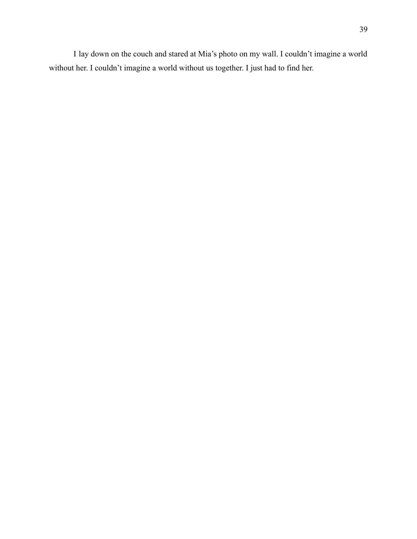I lay down on the couch and stared at Mia's photo on my wall. I couldn't imagine a world without her. I couldn't imagine a world without us together. I just had to find her.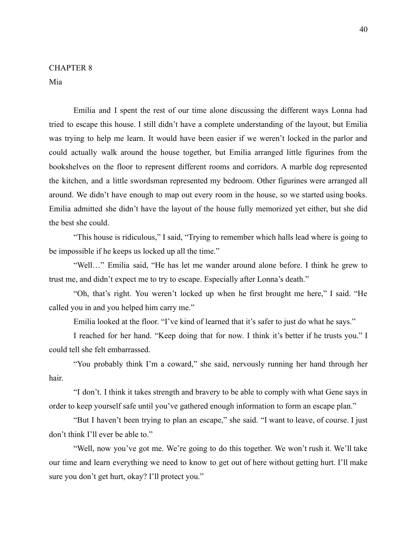# CHAPTER 8

Mia

Emilia and I spent the rest of our time alone discussing the different ways Lonna had tried to escape this house. I still didn't have a complete understanding of the layout, but Emilia was trying to help me learn. It would have been easier if we weren't locked in the parlor and could actually walk around the house together, but Emilia arranged little figurines from the bookshelves on the floor to represent different rooms and corridors. A marble dog represented the kitchen, and a little swordsman represented my bedroom. Other figurines were arranged all around. We didn't have enough to map out every room in the house, so we started using books. Emilia admitted she didn't have the layout of the house fully memorized yet either, but she did the best she could.

"This house is ridiculous," I said, "Trying to remember which halls lead where is going to be impossible if he keeps us locked up all the time."

"Well…" Emilia said, "He has let me wander around alone before. I think he grew to trust me, and didn't expect me to try to escape. Especially after Lonna's death."

"Oh, that's right. You weren't locked up when he first brought me here," I said. "He called you in and you helped him carry me."

Emilia looked at the floor. "I've kind of learned that it's safer to just do what he says."

I reached for her hand. "Keep doing that for now. I think it's better if he trusts you." I could tell she felt embarrassed.

"You probably think I'm a coward," she said, nervously running her hand through her hair.

"I don't. I think it takes strength and bravery to be able to comply with what Gene says in order to keep yourself safe until you've gathered enough information to form an escape plan."

"But I haven't been trying to plan an escape," she said. "I want to leave, of course. I just don't think I'll ever be able to."

"Well, now you've got me. We're going to do this together. We won't rush it. We'll take our time and learn everything we need to know to get out of here without getting hurt. I'll make sure you don't get hurt, okay? I'll protect you."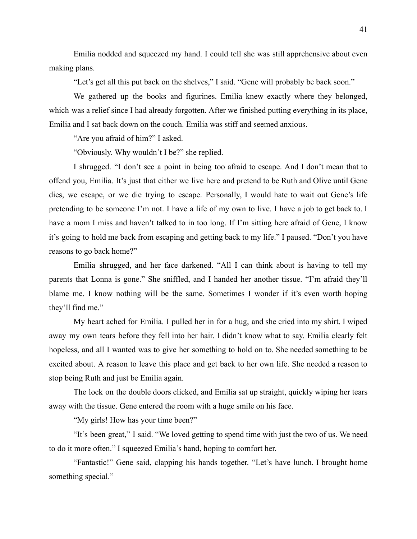Emilia nodded and squeezed my hand. I could tell she was still apprehensive about even making plans.

"Let's get all this put back on the shelves," I said. "Gene will probably be back soon."

We gathered up the books and figurines. Emilia knew exactly where they belonged, which was a relief since I had already forgotten. After we finished putting everything in its place, Emilia and I sat back down on the couch. Emilia was stiff and seemed anxious.

"Are you afraid of him?" I asked.

"Obviously. Why wouldn't I be?" she replied.

I shrugged. "I don't see a point in being too afraid to escape. And I don't mean that to offend you, Emilia. It's just that either we live here and pretend to be Ruth and Olive until Gene dies, we escape, or we die trying to escape. Personally, I would hate to wait out Gene's life pretending to be someone I'm not. I have a life of my own to live. I have a job to get back to. I have a mom I miss and haven't talked to in too long. If I'm sitting here afraid of Gene, I know it's going to hold me back from escaping and getting back to my life." I paused. "Don't you have reasons to go back home?"

Emilia shrugged, and her face darkened. "All I can think about is having to tell my parents that Lonna is gone." She sniffled, and I handed her another tissue. "I'm afraid they'll blame me. I know nothing will be the same. Sometimes I wonder if it's even worth hoping they'll find me."

My heart ached for Emilia. I pulled her in for a hug, and she cried into my shirt. I wiped away my own tears before they fell into her hair. I didn't know what to say. Emilia clearly felt hopeless, and all I wanted was to give her something to hold on to. She needed something to be excited about. A reason to leave this place and get back to her own life. She needed a reason to stop being Ruth and just be Emilia again.

The lock on the double doors clicked, and Emilia sat up straight, quickly wiping her tears away with the tissue. Gene entered the room with a huge smile on his face.

"My girls! How has your time been?"

"It's been great," I said. "We loved getting to spend time with just the two of us. We need to do it more often." I squeezed Emilia's hand, hoping to comfort her.

"Fantastic!" Gene said, clapping his hands together. "Let's have lunch. I brought home something special."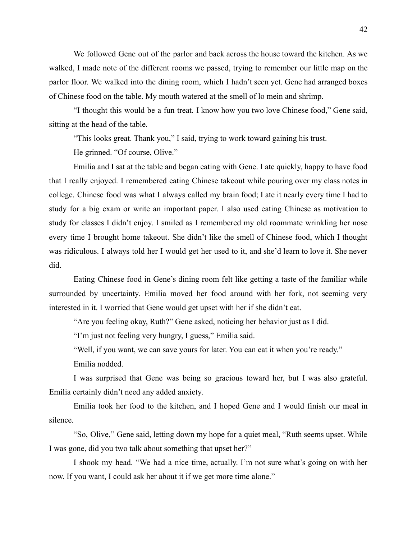We followed Gene out of the parlor and back across the house toward the kitchen. As we walked, I made note of the different rooms we passed, trying to remember our little map on the parlor floor. We walked into the dining room, which I hadn't seen yet. Gene had arranged boxes of Chinese food on the table. My mouth watered at the smell of lo mein and shrimp.

"I thought this would be a fun treat. I know how you two love Chinese food," Gene said, sitting at the head of the table.

"This looks great. Thank you," I said, trying to work toward gaining his trust.

He grinned. "Of course, Olive."

Emilia and I sat at the table and began eating with Gene. I ate quickly, happy to have food that I really enjoyed. I remembered eating Chinese takeout while pouring over my class notes in college. Chinese food was what I always called my brain food; I ate it nearly every time I had to study for a big exam or write an important paper. I also used eating Chinese as motivation to study for classes I didn't enjoy. I smiled as I remembered my old roommate wrinkling her nose every time I brought home takeout. She didn't like the smell of Chinese food, which I thought was ridiculous. I always told her I would get her used to it, and she'd learn to love it. She never did.

Eating Chinese food in Gene's dining room felt like getting a taste of the familiar while surrounded by uncertainty. Emilia moved her food around with her fork, not seeming very interested in it. I worried that Gene would get upset with her if she didn't eat.

"Are you feeling okay, Ruth?" Gene asked, noticing her behavior just as I did.

"I'm just not feeling very hungry, I guess," Emilia said.

"Well, if you want, we can save yours for later. You can eat it when you're ready."

Emilia nodded.

I was surprised that Gene was being so gracious toward her, but I was also grateful. Emilia certainly didn't need any added anxiety.

Emilia took her food to the kitchen, and I hoped Gene and I would finish our meal in silence.

"So, Olive," Gene said, letting down my hope for a quiet meal, "Ruth seems upset. While I was gone, did you two talk about something that upset her?"

I shook my head. "We had a nice time, actually. I'm not sure what's going on with her now. If you want, I could ask her about it if we get more time alone."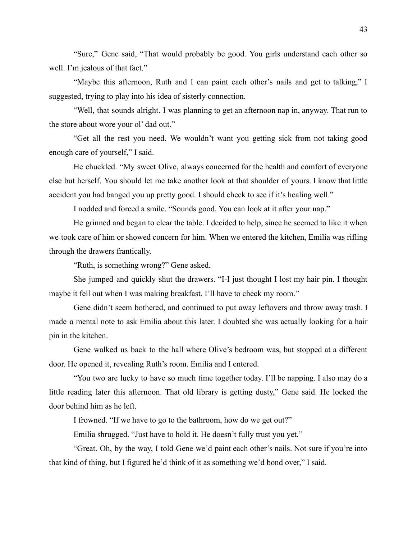"Sure," Gene said, "That would probably be good. You girls understand each other so well. I'm jealous of that fact."

"Maybe this afternoon, Ruth and I can paint each other's nails and get to talking," I suggested, trying to play into his idea of sisterly connection.

"Well, that sounds alright. I was planning to get an afternoon nap in, anyway. That run to the store about wore your ol' dad out."

"Get all the rest you need. We wouldn't want you getting sick from not taking good enough care of yourself," I said.

He chuckled. "My sweet Olive, always concerned for the health and comfort of everyone else but herself. You should let me take another look at that shoulder of yours. I know that little accident you had banged you up pretty good. I should check to see if it's healing well."

I nodded and forced a smile. "Sounds good. You can look at it after your nap."

He grinned and began to clear the table. I decided to help, since he seemed to like it when we took care of him or showed concern for him. When we entered the kitchen, Emilia was rifling through the drawers frantically.

"Ruth, is something wrong?" Gene asked.

She jumped and quickly shut the drawers. "I-I just thought I lost my hair pin. I thought maybe it fell out when I was making breakfast. I'll have to check my room."

Gene didn't seem bothered, and continued to put away leftovers and throw away trash. I made a mental note to ask Emilia about this later. I doubted she was actually looking for a hair pin in the kitchen.

Gene walked us back to the hall where Olive's bedroom was, but stopped at a different door. He opened it, revealing Ruth's room. Emilia and I entered.

"You two are lucky to have so much time together today. I'll be napping. I also may do a little reading later this afternoon. That old library is getting dusty," Gene said. He locked the door behind him as he left.

I frowned. "If we have to go to the bathroom, how do we get out?"

Emilia shrugged. "Just have to hold it. He doesn't fully trust you yet."

"Great. Oh, by the way, I told Gene we'd paint each other's nails. Not sure if you're into that kind of thing, but I figured he'd think of it as something we'd bond over," I said.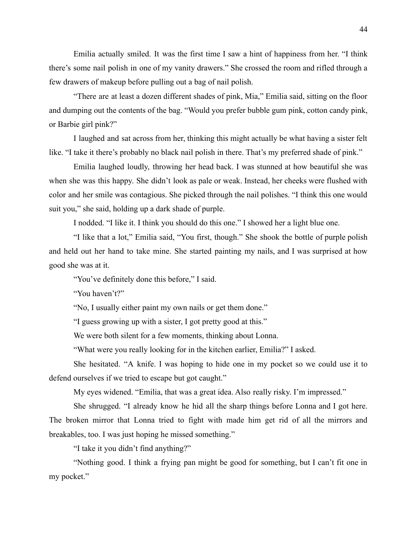Emilia actually smiled. It was the first time I saw a hint of happiness from her. "I think there's some nail polish in one of my vanity drawers." She crossed the room and rifled through a few drawers of makeup before pulling out a bag of nail polish.

"There are at least a dozen different shades of pink, Mia," Emilia said, sitting on the floor and dumping out the contents of the bag. "Would you prefer bubble gum pink, cotton candy pink, or Barbie girl pink?"

I laughed and sat across from her, thinking this might actually be what having a sister felt like. "I take it there's probably no black nail polish in there. That's my preferred shade of pink."

Emilia laughed loudly, throwing her head back. I was stunned at how beautiful she was when she was this happy. She didn't look as pale or weak. Instead, her cheeks were flushed with color and her smile was contagious. She picked through the nail polishes. "I think this one would suit you," she said, holding up a dark shade of purple.

I nodded. "I like it. I think you should do this one." I showed her a light blue one.

"I like that a lot," Emilia said, "You first, though." She shook the bottle of purple polish and held out her hand to take mine. She started painting my nails, and I was surprised at how good she was at it.

"You've definitely done this before," I said.

"You haven't?"

"No, I usually either paint my own nails or get them done."

"I guess growing up with a sister, I got pretty good at this."

We were both silent for a few moments, thinking about Lonna.

"What were you really looking for in the kitchen earlier, Emilia?" I asked.

She hesitated. "A knife. I was hoping to hide one in my pocket so we could use it to defend ourselves if we tried to escape but got caught."

My eyes widened. "Emilia, that was a great idea. Also really risky. I'm impressed."

She shrugged. "I already know he hid all the sharp things before Lonna and I got here. The broken mirror that Lonna tried to fight with made him get rid of all the mirrors and breakables, too. I was just hoping he missed something."

"I take it you didn't find anything?"

"Nothing good. I think a frying pan might be good for something, but I can't fit one in my pocket."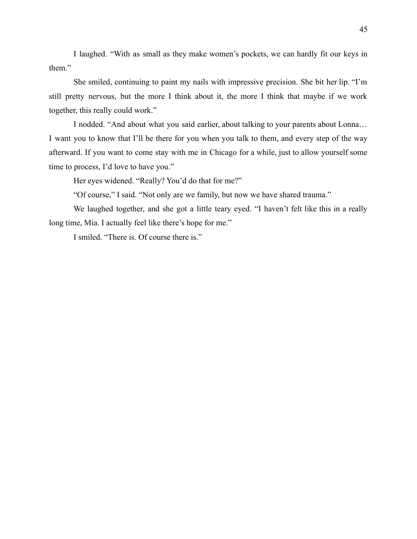I laughed. "With as small as they make women's pockets, we can hardly fit our keys in them."

She smiled, continuing to paint my nails with impressive precision. She bit her lip. "I'm still pretty nervous, but the more I think about it, the more I think that maybe if we work together, this really could work."

I nodded. "And about what you said earlier, about talking to your parents about Lonna… I want you to know that I'll be there for you when you talk to them, and every step of the way afterward. If you want to come stay with me in Chicago for a while, just to allow yourself some time to process, I'd love to have you."

Her eyes widened. "Really? You'd do that for me?"

"Of course," I said. "Not only are we family, but now we have shared trauma."

We laughed together, and she got a little teary eyed. "I haven't felt like this in a really long time, Mia. I actually feel like there's hope for me."

I smiled. "There is. Of course there is."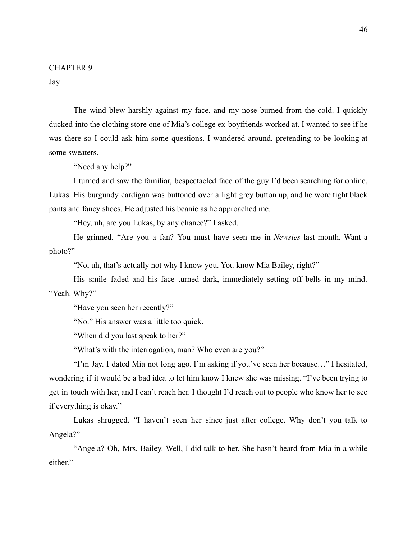#### CHAPTER 9

Jay

The wind blew harshly against my face, and my nose burned from the cold. I quickly ducked into the clothing store one of Mia's college ex-boyfriends worked at. I wanted to see if he was there so I could ask him some questions. I wandered around, pretending to be looking at some sweaters.

"Need any help?"

I turned and saw the familiar, bespectacled face of the guy I'd been searching for online, Lukas. His burgundy cardigan was buttoned over a light grey button up, and he wore tight black pants and fancy shoes. He adjusted his beanie as he approached me.

"Hey, uh, are you Lukas, by any chance?" I asked.

He grinned. "Are you a fan? You must have seen me in *Newsies* last month. Want a photo?"

"No, uh, that's actually not why I know you. You know Mia Bailey, right?"

His smile faded and his face turned dark, immediately setting off bells in my mind. "Yeah. Why?"

"Have you seen her recently?"

"No." His answer was a little too quick.

"When did you last speak to her?"

"What's with the interrogation, man? Who even are you?"

"I'm Jay. I dated Mia not long ago. I'm asking if you've seen her because…" I hesitated, wondering if it would be a bad idea to let him know I knew she was missing. "I've been trying to get in touch with her, and I can't reach her. I thought I'd reach out to people who know her to see if everything is okay."

Lukas shrugged. "I haven't seen her since just after college. Why don't you talk to Angela?"

"Angela? Oh, Mrs. Bailey. Well, I did talk to her. She hasn't heard from Mia in a while either."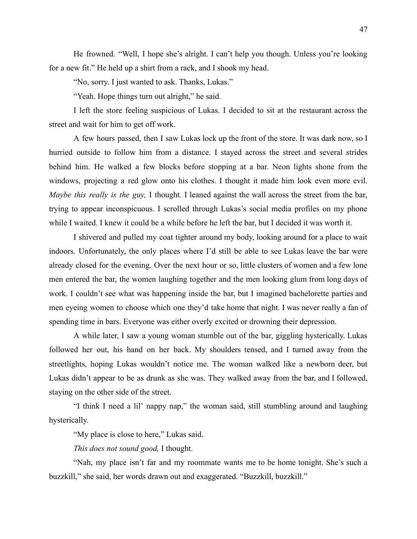He frowned. "Well, I hope she's alright. I can't help you though. Unless you're looking for a new fit." He held up a shirt from a rack, and I shook my head.

"No, sorry. I just wanted to ask. Thanks, Lukas."

"Yeah. Hope things turn out alright," he said.

I left the store feeling suspicious of Lukas. I decided to sit at the restaurant across the street and wait for him to get off work.

A few hours passed, then I saw Lukas lock up the front of the store. It was dark now, so I hurried outside to follow him from a distance. I stayed across the street and several strides behind him. He walked a few blocks before stopping at a bar. Neon lights shone from the windows, projecting a red glow onto his clothes. I thought it made him look even more evil. *Maybe this really is the guy,* I thought*.* I leaned against the wall across the street from the bar, trying to appear inconspicuous. I scrolled through Lukas's social media profiles on my phone while I waited. I knew it could be a while before he left the bar, but I decided it was worth it.

I shivered and pulled my coat tighter around my body, looking around for a place to wait indoors. Unfortunately, the only places where I'd still be able to see Lukas leave the bar were already closed for the evening. Over the next hour or so, little clusters of women and a few lone men entered the bar, the women laughing together and the men looking glum from long days of work. I couldn't see what was happening inside the bar, but I imagined bachelorette parties and men eyeing women to choose which one they'd take home that night. I was never really a fan of spending time in bars. Everyone was either overly excited or drowning their depression.

A while later, I saw a young woman stumble out of the bar, giggling hysterically. Lukas followed her out, his hand on her back. My shoulders tensed, and I turned away from the streetlights, hoping Lukas wouldn't notice me. The woman walked like a newborn deer, but Lukas didn't appear to be as drunk as she was. They walked away from the bar, and I followed, staying on the other side of the street.

"I think I need a lil' nappy nap," the woman said, still stumbling around and laughing hysterically.

"My place is close to here," Lukas said.

*This does not sound good,* I thought.

"Nah, my place isn't far and my roommate wants me to be home tonight. She's such a buzzkill," she said, her words drawn out and exaggerated. "Buzzkill, buzzkill."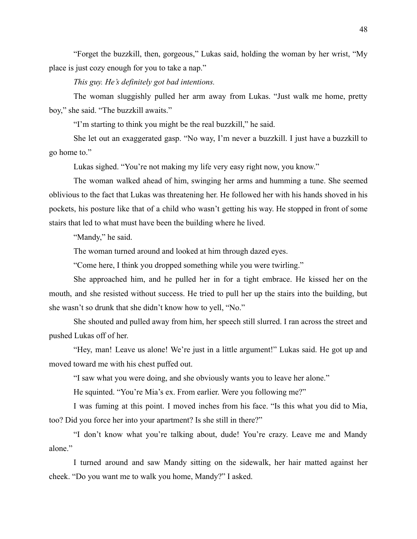"Forget the buzzkill, then, gorgeous," Lukas said, holding the woman by her wrist, "My place is just cozy enough for you to take a nap."

*This guy. He's definitely got bad intentions.*

The woman sluggishly pulled her arm away from Lukas. "Just walk me home, pretty boy," she said. "The buzzkill awaits."

"I'm starting to think you might be the real buzzkill," he said.

She let out an exaggerated gasp. "No way, I'm never a buzzkill. I just have a buzzkill to go home to."

Lukas sighed. "You're not making my life very easy right now, you know."

The woman walked ahead of him, swinging her arms and humming a tune. She seemed oblivious to the fact that Lukas was threatening her. He followed her with his hands shoved in his pockets, his posture like that of a child who wasn't getting his way. He stopped in front of some stairs that led to what must have been the building where he lived.

"Mandy," he said.

The woman turned around and looked at him through dazed eyes.

"Come here, I think you dropped something while you were twirling."

She approached him, and he pulled her in for a tight embrace. He kissed her on the mouth, and she resisted without success. He tried to pull her up the stairs into the building, but she wasn't so drunk that she didn't know how to yell, "No."

She shouted and pulled away from him, her speech still slurred. I ran across the street and pushed Lukas off of her.

"Hey, man! Leave us alone! We're just in a little argument!" Lukas said. He got up and moved toward me with his chest puffed out.

"I saw what you were doing, and she obviously wants you to leave her alone."

He squinted. "You're Mia's ex. From earlier. Were you following me?"

I was fuming at this point. I moved inches from his face. "Is this what you did to Mia, too? Did you force her into your apartment? Is she still in there?"

"I don't know what you're talking about, dude! You're crazy. Leave me and Mandy alone."

I turned around and saw Mandy sitting on the sidewalk, her hair matted against her cheek. "Do you want me to walk you home, Mandy?" I asked.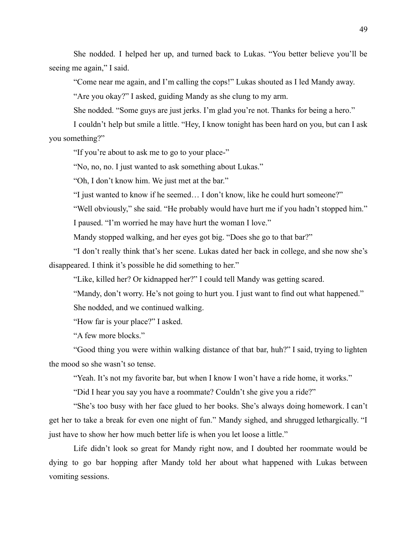She nodded. I helped her up, and turned back to Lukas. "You better believe you'll be seeing me again," I said.

"Come near me again, and I'm calling the cops!" Lukas shouted as I led Mandy away.

"Are you okay?" I asked, guiding Mandy as she clung to my arm.

She nodded. "Some guys are just jerks. I'm glad you're not. Thanks for being a hero."

I couldn't help but smile a little. "Hey, I know tonight has been hard on you, but can I ask you something?"

"If you're about to ask me to go to your place-"

"No, no, no. I just wanted to ask something about Lukas."

"Oh, I don't know him. We just met at the bar."

"I just wanted to know if he seemed… I don't know, like he could hurt someone?"

"Well obviously," she said. "He probably would have hurt me if you hadn't stopped him."

I paused. "I'm worried he may have hurt the woman I love."

Mandy stopped walking, and her eyes got big. "Does she go to that bar?"

"I don't really think that's her scene. Lukas dated her back in college, and she now she's disappeared. I think it's possible he did something to her."

"Like, killed her? Or kidnapped her?" I could tell Mandy was getting scared.

"Mandy, don't worry. He's not going to hurt you. I just want to find out what happened."

She nodded, and we continued walking.

"How far is your place?" I asked.

"A few more blocks."

"Good thing you were within walking distance of that bar, huh?" I said, trying to lighten the mood so she wasn't so tense.

"Yeah. It's not my favorite bar, but when I know I won't have a ride home, it works."

"Did I hear you say you have a roommate? Couldn't she give you a ride?"

"She's too busy with her face glued to her books. She's always doing homework. I can't get her to take a break for even one night of fun." Mandy sighed, and shrugged lethargically. "I just have to show her how much better life is when you let loose a little."

Life didn't look so great for Mandy right now, and I doubted her roommate would be dying to go bar hopping after Mandy told her about what happened with Lukas between vomiting sessions.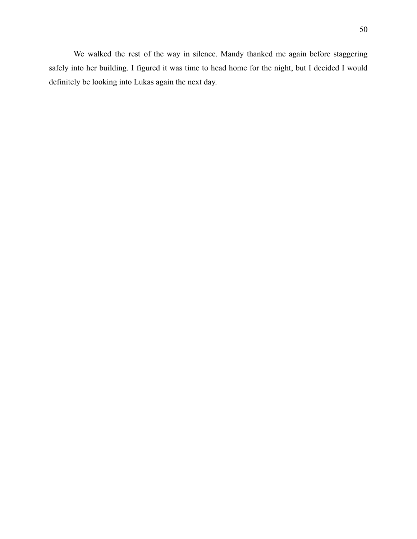We walked the rest of the way in silence. Mandy thanked me again before staggering safely into her building. I figured it was time to head home for the night, but I decided I would definitely be looking into Lukas again the next day.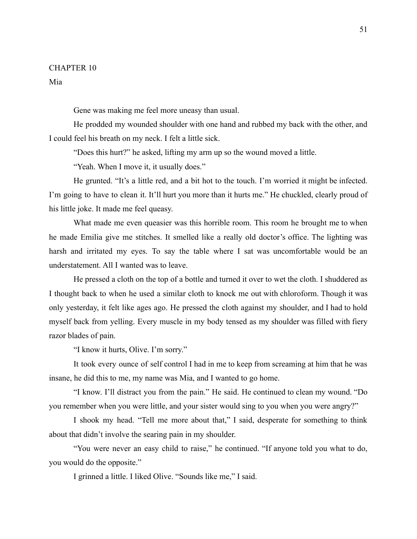#### CHAPTER 10

Mia

Gene was making me feel more uneasy than usual.

He prodded my wounded shoulder with one hand and rubbed my back with the other, and I could feel his breath on my neck. I felt a little sick.

"Does this hurt?" he asked, lifting my arm up so the wound moved a little.

"Yeah. When I move it, it usually does."

He grunted. "It's a little red, and a bit hot to the touch. I'm worried it might be infected. I'm going to have to clean it. It'll hurt you more than it hurts me." He chuckled, clearly proud of his little joke. It made me feel queasy.

What made me even queasier was this horrible room. This room he brought me to when he made Emilia give me stitches. It smelled like a really old doctor's office. The lighting was harsh and irritated my eyes. To say the table where I sat was uncomfortable would be an understatement. All I wanted was to leave.

He pressed a cloth on the top of a bottle and turned it over to wet the cloth. I shuddered as I thought back to when he used a similar cloth to knock me out with chloroform. Though it was only yesterday, it felt like ages ago. He pressed the cloth against my shoulder, and I had to hold myself back from yelling. Every muscle in my body tensed as my shoulder was filled with fiery razor blades of pain.

"I know it hurts, Olive. I'm sorry."

It took every ounce of self control I had in me to keep from screaming at him that he was insane, he did this to me, my name was Mia, and I wanted to go home.

"I know. I'll distract you from the pain." He said. He continued to clean my wound. "Do you remember when you were little, and your sister would sing to you when you were angry?"

I shook my head. "Tell me more about that," I said, desperate for something to think about that didn't involve the searing pain in my shoulder.

"You were never an easy child to raise," he continued. "If anyone told you what to do, you would do the opposite."

I grinned a little. I liked Olive. "Sounds like me," I said.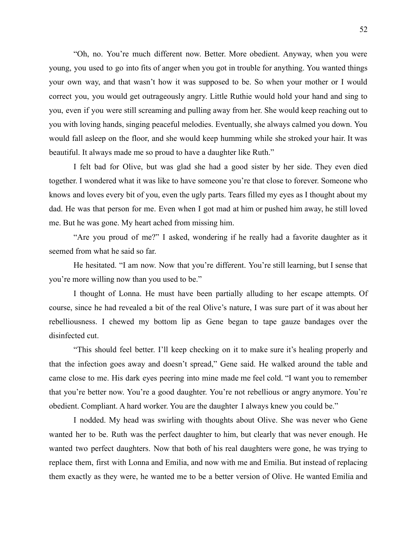"Oh, no. You're much different now. Better. More obedient. Anyway, when you were young, you used to go into fits of anger when you got in trouble for anything. You wanted things your own way, and that wasn't how it was supposed to be. So when your mother or I would correct you, you would get outrageously angry. Little Ruthie would hold your hand and sing to you, even if you were still screaming and pulling away from her. She would keep reaching out to you with loving hands, singing peaceful melodies. Eventually, she always calmed you down. You would fall asleep on the floor, and she would keep humming while she stroked your hair. It was beautiful. It always made me so proud to have a daughter like Ruth."

I felt bad for Olive, but was glad she had a good sister by her side. They even died together. I wondered what it was like to have someone you're that close to forever. Someone who knows and loves every bit of you, even the ugly parts. Tears filled my eyes as I thought about my dad. He was that person for me. Even when I got mad at him or pushed him away, he still loved me. But he was gone. My heart ached from missing him.

"Are you proud of me?" I asked, wondering if he really had a favorite daughter as it seemed from what he said so far.

He hesitated. "I am now. Now that you're different. You're still learning, but I sense that you're more willing now than you used to be."

I thought of Lonna. He must have been partially alluding to her escape attempts. Of course, since he had revealed a bit of the real Olive's nature, I was sure part of it was about her rebelliousness. I chewed my bottom lip as Gene began to tape gauze bandages over the disinfected cut.

"This should feel better. I'll keep checking on it to make sure it's healing properly and that the infection goes away and doesn't spread," Gene said. He walked around the table and came close to me. His dark eyes peering into mine made me feel cold. "I want you to remember that you're better now. You're a good daughter. You're not rebellious or angry anymore. You're obedient. Compliant. A hard worker. You are the daughter I always knew you could be."

I nodded. My head was swirling with thoughts about Olive. She was never who Gene wanted her to be. Ruth was the perfect daughter to him, but clearly that was never enough. He wanted two perfect daughters. Now that both of his real daughters were gone, he was trying to replace them, first with Lonna and Emilia, and now with me and Emilia. But instead of replacing them exactly as they were, he wanted me to be a better version of Olive. He wanted Emilia and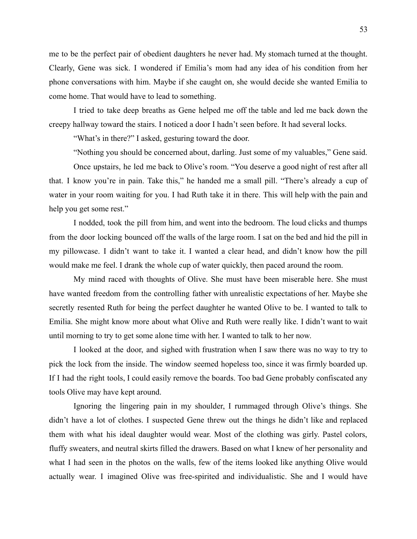me to be the perfect pair of obedient daughters he never had. My stomach turned at the thought. Clearly, Gene was sick. I wondered if Emilia's mom had any idea of his condition from her phone conversations with him. Maybe if she caught on, she would decide she wanted Emilia to come home. That would have to lead to something.

I tried to take deep breaths as Gene helped me off the table and led me back down the creepy hallway toward the stairs. I noticed a door I hadn't seen before. It had several locks.

"What's in there?" I asked, gesturing toward the door.

"Nothing you should be concerned about, darling. Just some of my valuables," Gene said.

Once upstairs, he led me back to Olive's room. "You deserve a good night of rest after all that. I know you're in pain. Take this," he handed me a small pill. "There's already a cup of water in your room waiting for you. I had Ruth take it in there. This will help with the pain and help you get some rest."

I nodded, took the pill from him, and went into the bedroom. The loud clicks and thumps from the door locking bounced off the walls of the large room. I sat on the bed and hid the pill in my pillowcase. I didn't want to take it. I wanted a clear head, and didn't know how the pill would make me feel. I drank the whole cup of water quickly, then paced around the room.

My mind raced with thoughts of Olive. She must have been miserable here. She must have wanted freedom from the controlling father with unrealistic expectations of her. Maybe she secretly resented Ruth for being the perfect daughter he wanted Olive to be. I wanted to talk to Emilia. She might know more about what Olive and Ruth were really like. I didn't want to wait until morning to try to get some alone time with her. I wanted to talk to her now.

I looked at the door, and sighed with frustration when I saw there was no way to try to pick the lock from the inside. The window seemed hopeless too, since it was firmly boarded up. If I had the right tools, I could easily remove the boards. Too bad Gene probably confiscated any tools Olive may have kept around.

Ignoring the lingering pain in my shoulder, I rummaged through Olive's things. She didn't have a lot of clothes. I suspected Gene threw out the things he didn't like and replaced them with what his ideal daughter would wear. Most of the clothing was girly. Pastel colors, fluffy sweaters, and neutral skirts filled the drawers. Based on what I knew of her personality and what I had seen in the photos on the walls, few of the items looked like anything Olive would actually wear. I imagined Olive was free-spirited and individualistic. She and I would have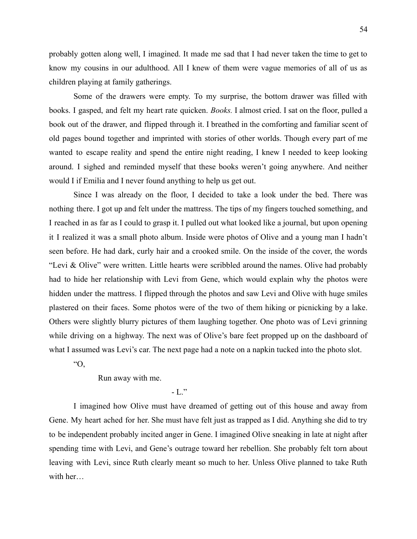probably gotten along well, I imagined. It made me sad that I had never taken the time to get to know my cousins in our adulthood. All I knew of them were vague memories of all of us as children playing at family gatherings.

Some of the drawers were empty. To my surprise, the bottom drawer was filled with books. I gasped, and felt my heart rate quicken. *Books.* I almost cried. I sat on the floor, pulled a book out of the drawer, and flipped through it. I breathed in the comforting and familiar scent of old pages bound together and imprinted with stories of other worlds. Though every part of me wanted to escape reality and spend the entire night reading, I knew I needed to keep looking around. I sighed and reminded myself that these books weren't going anywhere. And neither would I if Emilia and I never found anything to help us get out.

Since I was already on the floor, I decided to take a look under the bed. There was nothing there. I got up and felt under the mattress. The tips of my fingers touched something, and I reached in as far as I could to grasp it. I pulled out what looked like a journal, but upon opening it I realized it was a small photo album. Inside were photos of Olive and a young man I hadn't seen before. He had dark, curly hair and a crooked smile. On the inside of the cover, the words "Levi & Olive" were written. Little hearts were scribbled around the names. Olive had probably had to hide her relationship with Levi from Gene, which would explain why the photos were hidden under the mattress. I flipped through the photos and saw Levi and Olive with huge smiles plastered on their faces. Some photos were of the two of them hiking or picnicking by a lake. Others were slightly blurry pictures of them laughing together. One photo was of Levi grinning while driving on a highway. The next was of Olive's bare feet propped up on the dashboard of what I assumed was Levi's car. The next page had a note on a napkin tucked into the photo slot.

 $O$ .

Run away with me.

 $-L$ ."

I imagined how Olive must have dreamed of getting out of this house and away from Gene. My heart ached for her. She must have felt just as trapped as I did. Anything she did to try to be independent probably incited anger in Gene. I imagined Olive sneaking in late at night after spending time with Levi, and Gene's outrage toward her rebellion. She probably felt torn about leaving with Levi, since Ruth clearly meant so much to her. Unless Olive planned to take Ruth with her…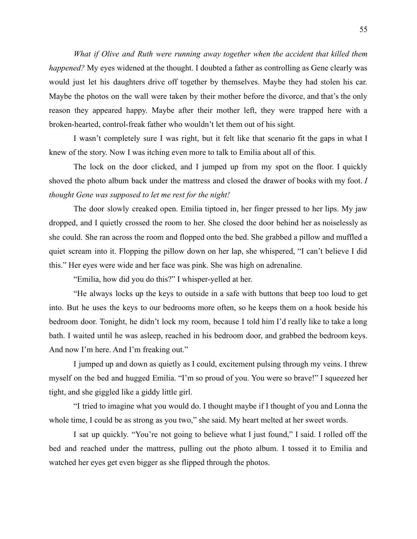*What if Olive and Ruth were running away together when the accident that killed them happened?* My eyes widened at the thought. I doubted a father as controlling as Gene clearly was would just let his daughters drive off together by themselves. Maybe they had stolen his car. Maybe the photos on the wall were taken by their mother before the divorce, and that's the only reason they appeared happy. Maybe after their mother left, they were trapped here with a broken-hearted, control-freak father who wouldn't let them out of his sight.

I wasn't completely sure I was right, but it felt like that scenario fit the gaps in what I knew of the story. Now I was itching even more to talk to Emilia about all of this.

The lock on the door clicked, and I jumped up from my spot on the floor. I quickly shoved the photo album back under the mattress and closed the drawer of books with my foot. *I thought Gene was supposed to let me rest for the night!*

The door slowly creaked open. Emilia tiptoed in, her finger pressed to her lips. My jaw dropped, and I quietly crossed the room to her. She closed the door behind her as noiselessly as she could. She ran across the room and flopped onto the bed. She grabbed a pillow and muffled a quiet scream into it. Flopping the pillow down on her lap, she whispered, "I can't believe I did this." Her eyes were wide and her face was pink. She was high on adrenaline.

"Emilia, how did you do this?" I whisper-yelled at her.

"He always locks up the keys to outside in a safe with buttons that beep too loud to get into. But he uses the keys to our bedrooms more often, so he keeps them on a hook beside his bedroom door. Tonight, he didn't lock my room, because I told him I'd really like to take a long bath. I waited until he was asleep, reached in his bedroom door, and grabbed the bedroom keys. And now I'm here. And I'm freaking out."

I jumped up and down as quietly as I could, excitement pulsing through my veins. I threw myself on the bed and hugged Emilia. "I'm so proud of you. You were so brave!" I squeezed her tight, and she giggled like a giddy little girl.

"I tried to imagine what you would do. I thought maybe if I thought of you and Lonna the whole time, I could be as strong as you two," she said. My heart melted at her sweet words.

I sat up quickly. "You're not going to believe what I just found," I said. I rolled off the bed and reached under the mattress, pulling out the photo album. I tossed it to Emilia and watched her eyes get even bigger as she flipped through the photos.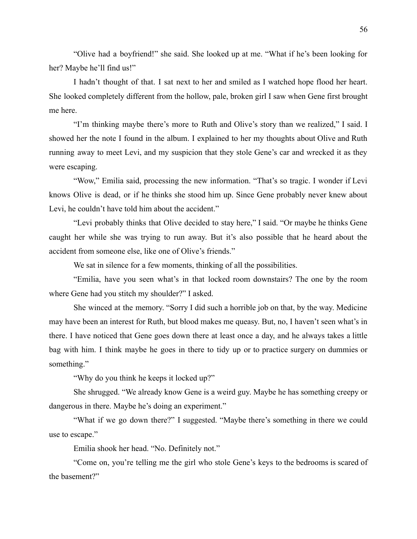"Olive had a boyfriend!" she said. She looked up at me. "What if he's been looking for her? Maybe he'll find us!"

I hadn't thought of that. I sat next to her and smiled as I watched hope flood her heart. She looked completely different from the hollow, pale, broken girl I saw when Gene first brought me here.

"I'm thinking maybe there's more to Ruth and Olive's story than we realized," I said. I showed her the note I found in the album. I explained to her my thoughts about Olive and Ruth running away to meet Levi, and my suspicion that they stole Gene's car and wrecked it as they were escaping.

"Wow," Emilia said, processing the new information. "That's so tragic. I wonder if Levi knows Olive is dead, or if he thinks she stood him up. Since Gene probably never knew about Levi, he couldn't have told him about the accident."

"Levi probably thinks that Olive decided to stay here," I said. "Or maybe he thinks Gene caught her while she was trying to run away. But it's also possible that he heard about the accident from someone else, like one of Olive's friends."

We sat in silence for a few moments, thinking of all the possibilities.

"Emilia, have you seen what's in that locked room downstairs? The one by the room where Gene had you stitch my shoulder?" I asked.

She winced at the memory. "Sorry I did such a horrible job on that, by the way. Medicine may have been an interest for Ruth, but blood makes me queasy. But, no, I haven't seen what's in there. I have noticed that Gene goes down there at least once a day, and he always takes a little bag with him. I think maybe he goes in there to tidy up or to practice surgery on dummies or something."

"Why do you think he keeps it locked up?"

She shrugged. "We already know Gene is a weird guy. Maybe he has something creepy or dangerous in there. Maybe he's doing an experiment."

"What if we go down there?" I suggested. "Maybe there's something in there we could use to escape."

Emilia shook her head. "No. Definitely not."

"Come on, you're telling me the girl who stole Gene's keys to the bedrooms is scared of the basement?"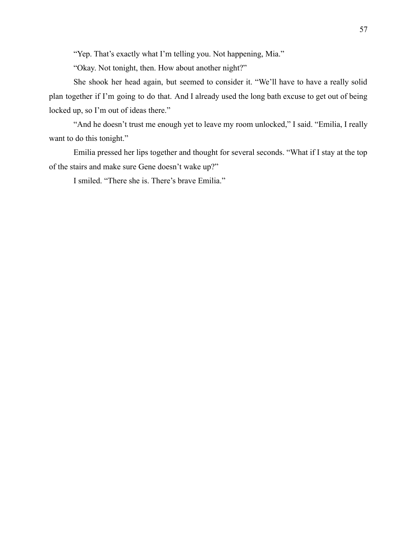"Yep. That's exactly what I'm telling you. Not happening, Mia."

"Okay. Not tonight, then. How about another night?"

She shook her head again, but seemed to consider it. "We'll have to have a really solid plan together if I'm going to do that. And I already used the long bath excuse to get out of being locked up, so I'm out of ideas there."

"And he doesn't trust me enough yet to leave my room unlocked," I said. "Emilia, I really want to do this tonight."

Emilia pressed her lips together and thought for several seconds. "What if I stay at the top of the stairs and make sure Gene doesn't wake up?"

I smiled. "There she is. There's brave Emilia."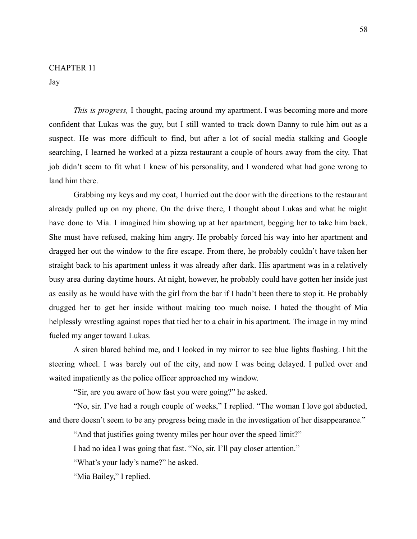### CHAPTER 11

Jay

*This is progress,* I thought, pacing around my apartment. I was becoming more and more confident that Lukas was the guy, but I still wanted to track down Danny to rule him out as a suspect. He was more difficult to find, but after a lot of social media stalking and Google searching, I learned he worked at a pizza restaurant a couple of hours away from the city. That job didn't seem to fit what I knew of his personality, and I wondered what had gone wrong to land him there.

Grabbing my keys and my coat, I hurried out the door with the directions to the restaurant already pulled up on my phone. On the drive there, I thought about Lukas and what he might have done to Mia. I imagined him showing up at her apartment, begging her to take him back. She must have refused, making him angry. He probably forced his way into her apartment and dragged her out the window to the fire escape. From there, he probably couldn't have taken her straight back to his apartment unless it was already after dark. His apartment was in a relatively busy area during daytime hours. At night, however, he probably could have gotten her inside just as easily as he would have with the girl from the bar if I hadn't been there to stop it. He probably drugged her to get her inside without making too much noise. I hated the thought of Mia helplessly wrestling against ropes that tied her to a chair in his apartment. The image in my mind fueled my anger toward Lukas.

A siren blared behind me, and I looked in my mirror to see blue lights flashing. I hit the steering wheel. I was barely out of the city, and now I was being delayed. I pulled over and waited impatiently as the police officer approached my window.

"Sir, are you aware of how fast you were going?" he asked.

"No, sir. I've had a rough couple of weeks," I replied. "The woman I love got abducted, and there doesn't seem to be any progress being made in the investigation of her disappearance."

"And that justifies going twenty miles per hour over the speed limit?"

I had no idea I was going that fast. "No, sir. I'll pay closer attention."

"What's your lady's name?" he asked.

"Mia Bailey," I replied.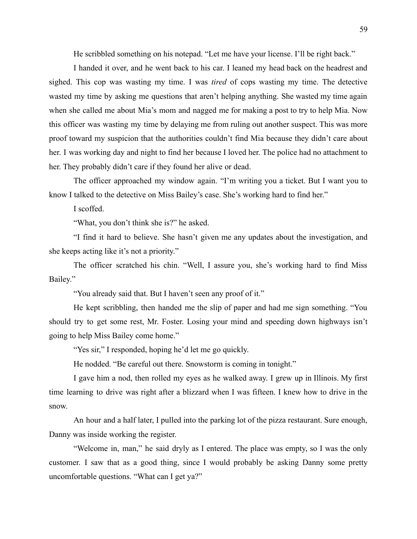He scribbled something on his notepad. "Let me have your license. I'll be right back."

I handed it over, and he went back to his car. I leaned my head back on the headrest and sighed. This cop was wasting my time. I was *tired* of cops wasting my time. The detective wasted my time by asking me questions that aren't helping anything. She wasted my time again when she called me about Mia's mom and nagged me for making a post to try to help Mia. Now this officer was wasting my time by delaying me from ruling out another suspect. This was more proof toward my suspicion that the authorities couldn't find Mia because they didn't care about her. I was working day and night to find her because I loved her. The police had no attachment to her. They probably didn't care if they found her alive or dead.

The officer approached my window again. "I'm writing you a ticket. But I want you to know I talked to the detective on Miss Bailey's case. She's working hard to find her."

I scoffed.

"What, you don't think she is?" he asked.

"I find it hard to believe. She hasn't given me any updates about the investigation, and she keeps acting like it's not a priority."

The officer scratched his chin. "Well, I assure you, she's working hard to find Miss Bailey."

"You already said that. But I haven't seen any proof of it."

He kept scribbling, then handed me the slip of paper and had me sign something. "You should try to get some rest, Mr. Foster. Losing your mind and speeding down highways isn't going to help Miss Bailey come home."

"Yes sir," I responded, hoping he'd let me go quickly.

He nodded. "Be careful out there. Snowstorm is coming in tonight."

I gave him a nod, then rolled my eyes as he walked away. I grew up in Illinois. My first time learning to drive was right after a blizzard when I was fifteen. I knew how to drive in the snow.

An hour and a half later, I pulled into the parking lot of the pizza restaurant. Sure enough, Danny was inside working the register.

"Welcome in, man," he said dryly as I entered. The place was empty, so I was the only customer. I saw that as a good thing, since I would probably be asking Danny some pretty uncomfortable questions. "What can I get ya?"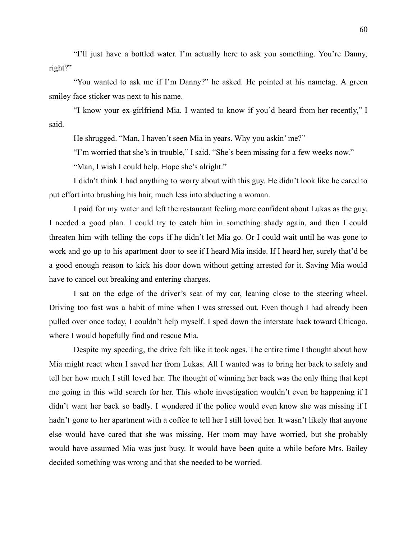"I'll just have a bottled water. I'm actually here to ask you something. You're Danny, right?"

"You wanted to ask me if I'm Danny?" he asked. He pointed at his nametag. A green smiley face sticker was next to his name.

"I know your ex-girlfriend Mia. I wanted to know if you'd heard from her recently," I said.

He shrugged. "Man, I haven't seen Mia in years. Why you askin' me?"

"I'm worried that she's in trouble," I said. "She's been missing for a few weeks now."

"Man, I wish I could help. Hope she's alright."

I didn't think I had anything to worry about with this guy. He didn't look like he cared to put effort into brushing his hair, much less into abducting a woman.

I paid for my water and left the restaurant feeling more confident about Lukas as the guy. I needed a good plan. I could try to catch him in something shady again, and then I could threaten him with telling the cops if he didn't let Mia go. Or I could wait until he was gone to work and go up to his apartment door to see if I heard Mia inside. If I heard her, surely that'd be a good enough reason to kick his door down without getting arrested for it. Saving Mia would have to cancel out breaking and entering charges.

I sat on the edge of the driver's seat of my car, leaning close to the steering wheel. Driving too fast was a habit of mine when I was stressed out. Even though I had already been pulled over once today, I couldn't help myself. I sped down the interstate back toward Chicago, where I would hopefully find and rescue Mia.

Despite my speeding, the drive felt like it took ages. The entire time I thought about how Mia might react when I saved her from Lukas. All I wanted was to bring her back to safety and tell her how much I still loved her. The thought of winning her back was the only thing that kept me going in this wild search for her. This whole investigation wouldn't even be happening if I didn't want her back so badly. I wondered if the police would even know she was missing if I hadn't gone to her apartment with a coffee to tell her I still loved her. It wasn't likely that anyone else would have cared that she was missing. Her mom may have worried, but she probably would have assumed Mia was just busy. It would have been quite a while before Mrs. Bailey decided something was wrong and that she needed to be worried.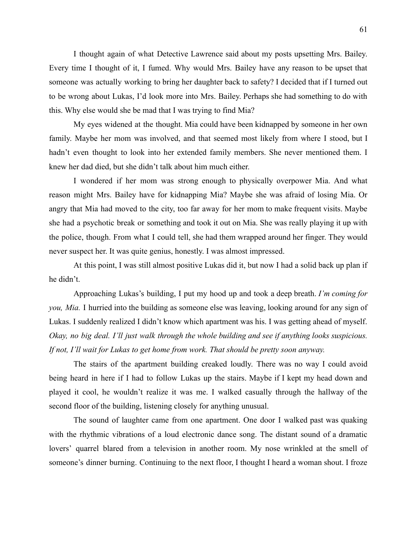I thought again of what Detective Lawrence said about my posts upsetting Mrs. Bailey. Every time I thought of it, I fumed. Why would Mrs. Bailey have any reason to be upset that someone was actually working to bring her daughter back to safety? I decided that if I turned out to be wrong about Lukas, I'd look more into Mrs. Bailey. Perhaps she had something to do with this. Why else would she be mad that I was trying to find Mia?

My eyes widened at the thought. Mia could have been kidnapped by someone in her own family. Maybe her mom was involved, and that seemed most likely from where I stood, but I hadn't even thought to look into her extended family members. She never mentioned them. I knew her dad died, but she didn't talk about him much either.

I wondered if her mom was strong enough to physically overpower Mia. And what reason might Mrs. Bailey have for kidnapping Mia? Maybe she was afraid of losing Mia. Or angry that Mia had moved to the city, too far away for her mom to make frequent visits. Maybe she had a psychotic break or something and took it out on Mia. She was really playing it up with the police, though. From what I could tell, she had them wrapped around her finger. They would never suspect her. It was quite genius, honestly. I was almost impressed.

At this point, I was still almost positive Lukas did it, but now I had a solid back up plan if he didn't.

Approaching Lukas's building, I put my hood up and took a deep breath. *I'm coming for you, Mia.* I hurried into the building as someone else was leaving, looking around for any sign of Lukas. I suddenly realized I didn't know which apartment was his. I was getting ahead of myself. *Okay, no big deal. I'll just walk through the whole building and see if anything looks suspicious. If not, I'll wait for Lukas to get home from work. That should be pretty soon anyway.*

The stairs of the apartment building creaked loudly. There was no way I could avoid being heard in here if I had to follow Lukas up the stairs. Maybe if I kept my head down and played it cool, he wouldn't realize it was me. I walked casually through the hallway of the second floor of the building, listening closely for anything unusual.

The sound of laughter came from one apartment. One door I walked past was quaking with the rhythmic vibrations of a loud electronic dance song. The distant sound of a dramatic lovers' quarrel blared from a television in another room. My nose wrinkled at the smell of someone's dinner burning. Continuing to the next floor, I thought I heard a woman shout. I froze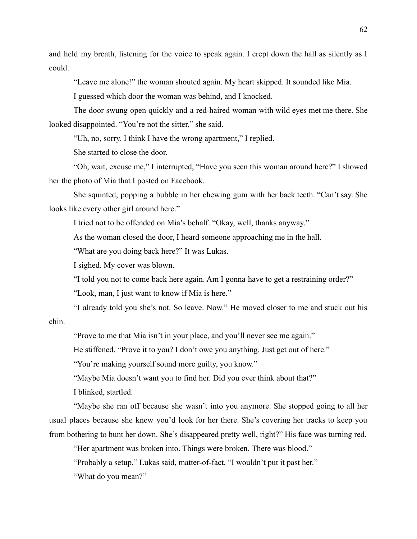and held my breath, listening for the voice to speak again. I crept down the hall as silently as I could.

"Leave me alone!" the woman shouted again. My heart skipped. It sounded like Mia.

I guessed which door the woman was behind, and I knocked.

The door swung open quickly and a red-haired woman with wild eyes met me there. She looked disappointed. "You're not the sitter," she said.

"Uh, no, sorry. I think I have the wrong apartment," I replied.

She started to close the door.

"Oh, wait, excuse me," I interrupted, "Have you seen this woman around here?" I showed her the photo of Mia that I posted on Facebook.

She squinted, popping a bubble in her chewing gum with her back teeth. "Can't say. She looks like every other girl around here."

I tried not to be offended on Mia's behalf. "Okay, well, thanks anyway."

As the woman closed the door, I heard someone approaching me in the hall.

"What are you doing back here?" It was Lukas.

I sighed. My cover was blown.

"I told you not to come back here again. Am I gonna have to get a restraining order?"

"Look, man, I just want to know if Mia is here."

"I already told you she's not. So leave. Now." He moved closer to me and stuck out his

chin.

"Prove to me that Mia isn't in your place, and you'll never see me again."

He stiffened. "Prove it to you? I don't owe you anything. Just get out of here."

"You're making yourself sound more guilty, you know."

"Maybe Mia doesn't want you to find her. Did you ever think about that?"

I blinked, startled.

"Maybe she ran off because she wasn't into you anymore. She stopped going to all her usual places because she knew you'd look for her there. She's covering her tracks to keep you from bothering to hunt her down. She's disappeared pretty well, right?" His face was turning red.

"Her apartment was broken into. Things were broken. There was blood."

"Probably a setup," Lukas said, matter-of-fact. "I wouldn't put it past her."

"What do you mean?"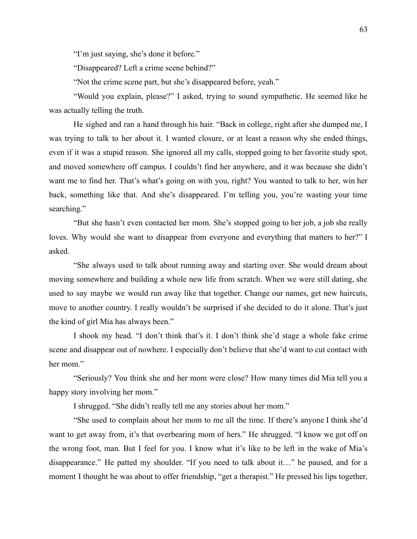"I'm just saying, she's done it before."

"Disappeared? Left a crime scene behind?"

"Not the crime scene part, but she's disappeared before, yeah."

"Would you explain, please?" I asked, trying to sound sympathetic. He seemed like he was actually telling the truth.

He sighed and ran a hand through his hair. "Back in college, right after she dumped me, I was trying to talk to her about it. I wanted closure, or at least a reason why she ended things, even if it was a stupid reason. She ignored all my calls, stopped going to her favorite study spot, and moved somewhere off campus. I couldn't find her anywhere, and it was because she didn't want me to find her. That's what's going on with you, right? You wanted to talk to her, win her back, something like that. And she's disappeared. I'm telling you, you're wasting your time searching."

"But she hasn't even contacted her mom. She's stopped going to her job, a job she really loves. Why would she want to disappear from everyone and everything that matters to her?" I asked.

"She always used to talk about running away and starting over. She would dream about moving somewhere and building a whole new life from scratch. When we were still dating, she used to say maybe we would run away like that together. Change our names, get new haircuts, move to another country. I really wouldn't be surprised if she decided to do it alone. That's just the kind of girl Mia has always been."

I shook my head. "I don't think that's it. I don't think she'd stage a whole fake crime scene and disappear out of nowhere. I especially don't believe that she'd want to cut contact with her mom."

"Seriously? You think she and her mom were close? How many times did Mia tell you a happy story involving her mom."

I shrugged. "She didn't really tell me any stories about her mom."

"She used to complain about her mom to me all the time. If there's anyone I think she'd want to get away from, it's that overbearing mom of hers." He shrugged. "I know we got off on the wrong foot, man. But I feel for you. I know what it's like to be left in the wake of Mia's disappearance." He patted my shoulder. "If you need to talk about it…" he paused, and for a moment I thought he was about to offer friendship, "get a therapist." He pressed his lips together,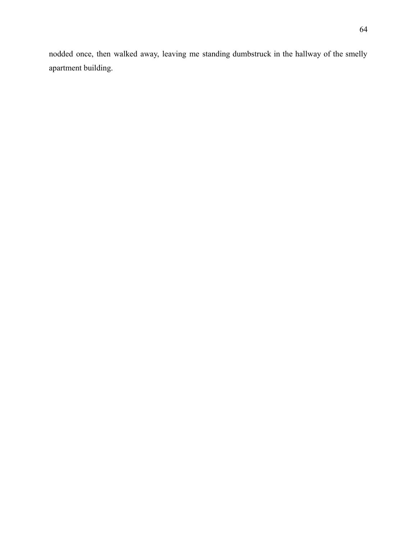nodded once, then walked away, leaving me standing dumbstruck in the hallway of the smelly apartment building.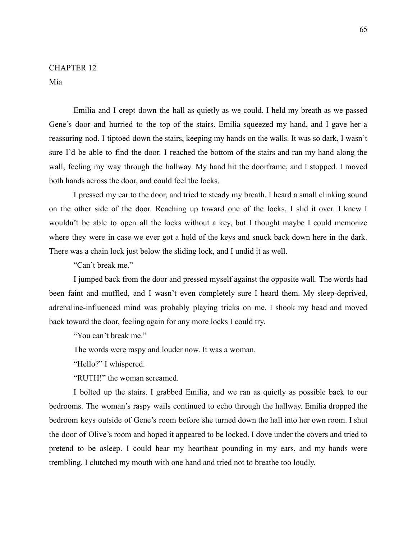## CHAPTER 12

Mia

Emilia and I crept down the hall as quietly as we could. I held my breath as we passed Gene's door and hurried to the top of the stairs. Emilia squeezed my hand, and I gave her a reassuring nod. I tiptoed down the stairs, keeping my hands on the walls. It was so dark, I wasn't sure I'd be able to find the door. I reached the bottom of the stairs and ran my hand along the wall, feeling my way through the hallway. My hand hit the doorframe, and I stopped. I moved both hands across the door, and could feel the locks.

I pressed my ear to the door, and tried to steady my breath. I heard a small clinking sound on the other side of the door. Reaching up toward one of the locks, I slid it over. I knew I wouldn't be able to open all the locks without a key, but I thought maybe I could memorize where they were in case we ever got a hold of the keys and snuck back down here in the dark. There was a chain lock just below the sliding lock, and I undid it as well.

"Can't break me."

I jumped back from the door and pressed myself against the opposite wall. The words had been faint and muffled, and I wasn't even completely sure I heard them. My sleep-deprived, adrenaline-influenced mind was probably playing tricks on me. I shook my head and moved back toward the door, feeling again for any more locks I could try.

"You can't break me."

The words were raspy and louder now. It was a woman.

"Hello?" I whispered.

"RUTH!" the woman screamed.

I bolted up the stairs. I grabbed Emilia, and we ran as quietly as possible back to our bedrooms. The woman's raspy wails continued to echo through the hallway. Emilia dropped the bedroom keys outside of Gene's room before she turned down the hall into her own room. I shut the door of Olive's room and hoped it appeared to be locked. I dove under the covers and tried to pretend to be asleep. I could hear my heartbeat pounding in my ears, and my hands were trembling. I clutched my mouth with one hand and tried not to breathe too loudly.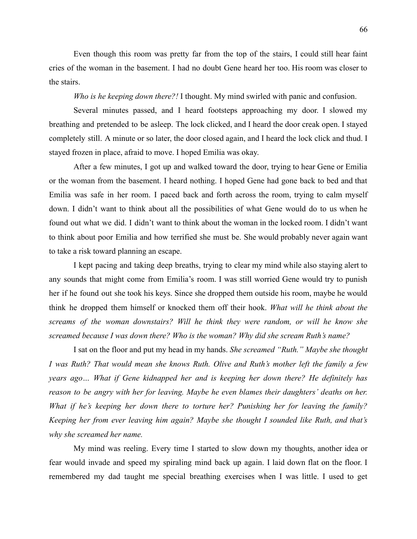Even though this room was pretty far from the top of the stairs, I could still hear faint cries of the woman in the basement. I had no doubt Gene heard her too. His room was closer to the stairs.

*Who is he keeping down there?!* I thought. My mind swirled with panic and confusion.

Several minutes passed, and I heard footsteps approaching my door. I slowed my breathing and pretended to be asleep. The lock clicked, and I heard the door creak open. I stayed completely still. A minute or so later, the door closed again, and I heard the lock click and thud. I stayed frozen in place, afraid to move. I hoped Emilia was okay.

After a few minutes, I got up and walked toward the door, trying to hear Gene or Emilia or the woman from the basement. I heard nothing. I hoped Gene had gone back to bed and that Emilia was safe in her room. I paced back and forth across the room, trying to calm myself down. I didn't want to think about all the possibilities of what Gene would do to us when he found out what we did. I didn't want to think about the woman in the locked room. I didn't want to think about poor Emilia and how terrified she must be. She would probably never again want to take a risk toward planning an escape.

I kept pacing and taking deep breaths, trying to clear my mind while also staying alert to any sounds that might come from Emilia's room. I was still worried Gene would try to punish her if he found out she took his keys. Since she dropped them outside his room, maybe he would think he dropped them himself or knocked them off their hook. *What will he think about the screams of the woman downstairs? Will he think they were random, or will he know she screamed because I was down there? Who is the woman? Why did she scream Ruth's name?*

I sat on the floor and put my head in my hands. *She screamed "Ruth." Maybe she thought I was Ruth? That would mean she knows Ruth. Olive and Ruth's mother left the family a few years ago… What if Gene kidnapped her and is keeping her down there? He definitely has reason to be angry with her for leaving. Maybe he even blames their daughters' deaths on her. What if he's keeping her down there to torture her? Punishing her for leaving the family? Keeping her from ever leaving him again? Maybe she thought I sounded like Ruth, and that's why she screamed her name.*

My mind was reeling. Every time I started to slow down my thoughts, another idea or fear would invade and speed my spiraling mind back up again. I laid down flat on the floor. I remembered my dad taught me special breathing exercises when I was little. I used to get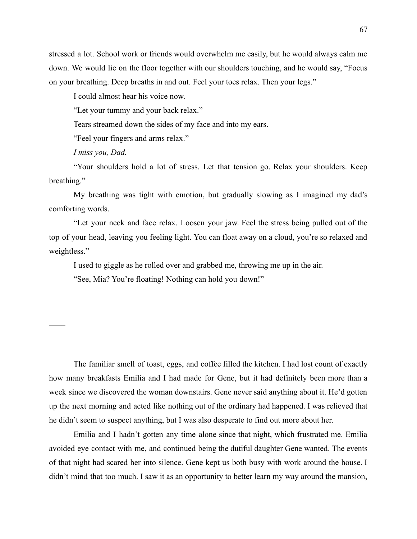stressed a lot. School work or friends would overwhelm me easily, but he would always calm me down. We would lie on the floor together with our shoulders touching, and he would say, "Focus on your breathing. Deep breaths in and out. Feel your toes relax. Then your legs."

I could almost hear his voice now.

"Let your tummy and your back relax."

Tears streamed down the sides of my face and into my ears.

"Feel your fingers and arms relax."

*I miss you, Dad.*

 $\mathcal{L}_\mathcal{L}$ 

"Your shoulders hold a lot of stress. Let that tension go. Relax your shoulders. Keep breathing."

My breathing was tight with emotion, but gradually slowing as I imagined my dad's comforting words.

"Let your neck and face relax. Loosen your jaw. Feel the stress being pulled out of the top of your head, leaving you feeling light. You can float away on a cloud, you're so relaxed and weightless."

I used to giggle as he rolled over and grabbed me, throwing me up in the air.

"See, Mia? You're floating! Nothing can hold you down!"

The familiar smell of toast, eggs, and coffee filled the kitchen. I had lost count of exactly how many breakfasts Emilia and I had made for Gene, but it had definitely been more than a week since we discovered the woman downstairs. Gene never said anything about it. He'd gotten up the next morning and acted like nothing out of the ordinary had happened. I was relieved that he didn't seem to suspect anything, but I was also desperate to find out more about her.

Emilia and I hadn't gotten any time alone since that night, which frustrated me. Emilia avoided eye contact with me, and continued being the dutiful daughter Gene wanted. The events of that night had scared her into silence. Gene kept us both busy with work around the house. I didn't mind that too much. I saw it as an opportunity to better learn my way around the mansion,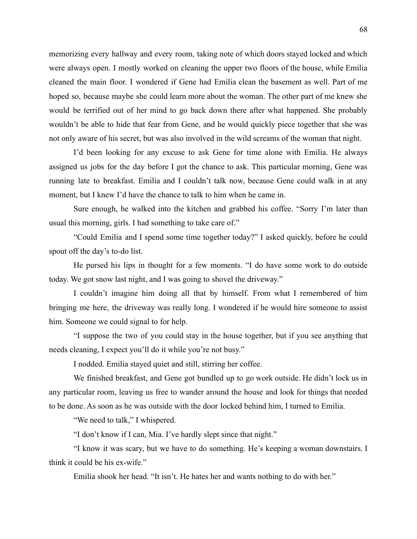memorizing every hallway and every room, taking note of which doors stayed locked and which were always open. I mostly worked on cleaning the upper two floors of the house, while Emilia cleaned the main floor. I wondered if Gene had Emilia clean the basement as well. Part of me hoped so, because maybe she could learn more about the woman. The other part of me knew she would be terrified out of her mind to go back down there after what happened. She probably wouldn't be able to hide that fear from Gene, and he would quickly piece together that she was not only aware of his secret, but was also involved in the wild screams of the woman that night.

I'd been looking for any excuse to ask Gene for time alone with Emilia. He always assigned us jobs for the day before I got the chance to ask. This particular morning, Gene was running late to breakfast. Emilia and I couldn't talk now, because Gene could walk in at any moment, but I knew I'd have the chance to talk to him when he came in.

Sure enough, he walked into the kitchen and grabbed his coffee. "Sorry I'm later than usual this morning, girls. I had something to take care of."

"Could Emilia and I spend some time together today?" I asked quickly, before he could spout off the day's to-do list.

He pursed his lips in thought for a few moments. "I do have some work to do outside today. We got snow last night, and I was going to shovel the driveway."

I couldn't imagine him doing all that by himself. From what I remembered of him bringing me here, the driveway was really long. I wondered if he would hire someone to assist him. Someone we could signal to for help.

"I suppose the two of you could stay in the house together, but if you see anything that needs cleaning, I expect you'll do it while you're not busy."

I nodded. Emilia stayed quiet and still, stirring her coffee.

We finished breakfast, and Gene got bundled up to go work outside. He didn't lock us in any particular room, leaving us free to wander around the house and look for things that needed to be done. As soon as he was outside with the door locked behind him, I turned to Emilia.

"We need to talk," I whispered.

"I don't know if I can, Mia. I've hardly slept since that night."

"I know it was scary, but we have to do something. He's keeping a woman downstairs. I think it could be his ex-wife."

Emilia shook her head. "It isn't. He hates her and wants nothing to do with her."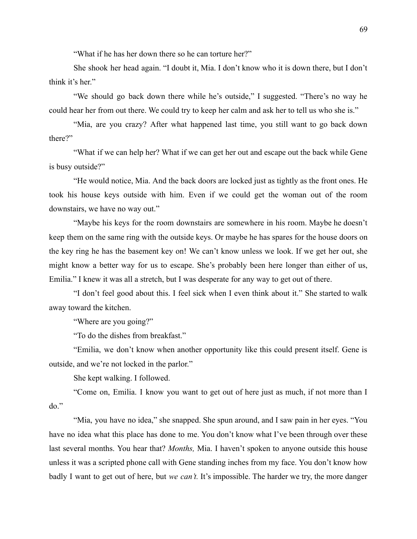"What if he has her down there so he can torture her?"

She shook her head again. "I doubt it, Mia. I don't know who it is down there, but I don't think it's her."

"We should go back down there while he's outside," I suggested. "There's no way he could hear her from out there. We could try to keep her calm and ask her to tell us who she is."

"Mia, are you crazy? After what happened last time, you still want to go back down there?"

"What if we can help her? What if we can get her out and escape out the back while Gene is busy outside?"

"He would notice, Mia. And the back doors are locked just as tightly as the front ones. He took his house keys outside with him. Even if we could get the woman out of the room downstairs, we have no way out."

"Maybe his keys for the room downstairs are somewhere in his room. Maybe he doesn't keep them on the same ring with the outside keys. Or maybe he has spares for the house doors on the key ring he has the basement key on! We can't know unless we look. If we get her out, she might know a better way for us to escape. She's probably been here longer than either of us, Emilia." I knew it was all a stretch, but I was desperate for any way to get out of there.

"I don't feel good about this. I feel sick when I even think about it." She started to walk away toward the kitchen.

"Where are you going?"

"To do the dishes from breakfast."

"Emilia, we don't know when another opportunity like this could present itself. Gene is outside, and we're not locked in the parlor."

She kept walking. I followed.

"Come on, Emilia. I know you want to get out of here just as much, if not more than I do."

"Mia, you have no idea," she snapped. She spun around, and I saw pain in her eyes. "You have no idea what this place has done to me. You don't know what I've been through over these last several months. You hear that? *Months,* Mia. I haven't spoken to anyone outside this house unless it was a scripted phone call with Gene standing inches from my face. You don't know how badly I want to get out of here, but *we can't.* It's impossible. The harder we try, the more danger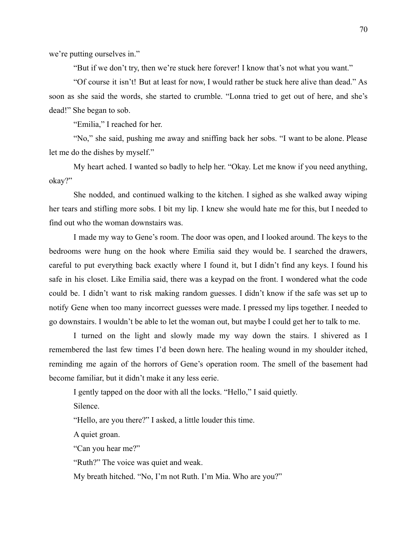we're putting ourselves in."

"But if we don't try, then we're stuck here forever! I know that's not what you want."

"Of course it isn't! But at least for now, I would rather be stuck here alive than dead." As soon as she said the words, she started to crumble. "Lonna tried to get out of here, and she's dead!" She began to sob.

"Emilia," I reached for her.

"No," she said, pushing me away and sniffing back her sobs. "I want to be alone. Please let me do the dishes by myself."

My heart ached. I wanted so badly to help her. "Okay. Let me know if you need anything, okay?"

She nodded, and continued walking to the kitchen. I sighed as she walked away wiping her tears and stifling more sobs. I bit my lip. I knew she would hate me for this, but I needed to find out who the woman downstairs was.

I made my way to Gene's room. The door was open, and I looked around. The keys to the bedrooms were hung on the hook where Emilia said they would be. I searched the drawers, careful to put everything back exactly where I found it, but I didn't find any keys. I found his safe in his closet. Like Emilia said, there was a keypad on the front. I wondered what the code could be. I didn't want to risk making random guesses. I didn't know if the safe was set up to notify Gene when too many incorrect guesses were made. I pressed my lips together. I needed to go downstairs. I wouldn't be able to let the woman out, but maybe I could get her to talk to me.

I turned on the light and slowly made my way down the stairs. I shivered as I remembered the last few times I'd been down here. The healing wound in my shoulder itched, reminding me again of the horrors of Gene's operation room. The smell of the basement had become familiar, but it didn't make it any less eerie.

I gently tapped on the door with all the locks. "Hello," I said quietly.

Silence.

"Hello, are you there?" I asked, a little louder this time.

A quiet groan.

"Can you hear me?"

"Ruth?" The voice was quiet and weak.

My breath hitched. "No, I'm not Ruth. I'm Mia. Who are you?"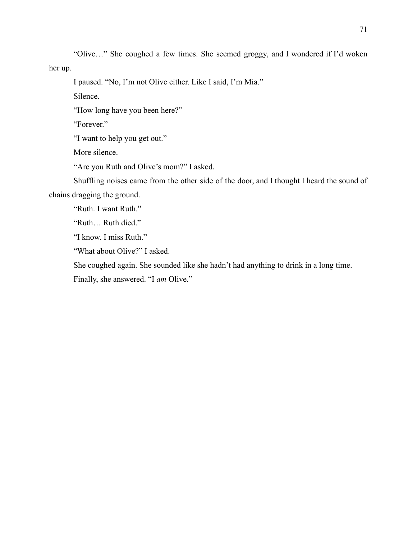"Olive…" She coughed a few times. She seemed groggy, and I wondered if I'd woken her up.

I paused. "No, I'm not Olive either. Like I said, I'm Mia."

Silence.

"How long have you been here?"

"Forever."

"I want to help you get out."

More silence.

"Are you Ruth and Olive's mom?" I asked.

Shuffling noises came from the other side of the door, and I thought I heard the sound of chains dragging the ground.

"Ruth. I want Ruth."

"Ruth… Ruth died."

"I know. I miss Ruth."

"What about Olive?" I asked.

She coughed again. She sounded like she hadn't had anything to drink in a long time.

Finally, she answered. "I *am* Olive."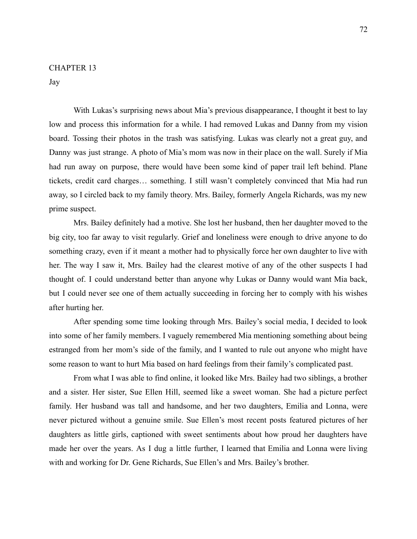Jay

With Lukas's surprising news about Mia's previous disappearance, I thought it best to lay low and process this information for a while. I had removed Lukas and Danny from my vision board. Tossing their photos in the trash was satisfying. Lukas was clearly not a great guy, and Danny was just strange. A photo of Mia's mom was now in their place on the wall. Surely if Mia had run away on purpose, there would have been some kind of paper trail left behind. Plane tickets, credit card charges… something. I still wasn't completely convinced that Mia had run away, so I circled back to my family theory. Mrs. Bailey, formerly Angela Richards, was my new prime suspect.

Mrs. Bailey definitely had a motive. She lost her husband, then her daughter moved to the big city, too far away to visit regularly. Grief and loneliness were enough to drive anyone to do something crazy, even if it meant a mother had to physically force her own daughter to live with her. The way I saw it, Mrs. Bailey had the clearest motive of any of the other suspects I had thought of. I could understand better than anyone why Lukas or Danny would want Mia back, but I could never see one of them actually succeeding in forcing her to comply with his wishes after hurting her.

After spending some time looking through Mrs. Bailey's social media, I decided to look into some of her family members. I vaguely remembered Mia mentioning something about being estranged from her mom's side of the family, and I wanted to rule out anyone who might have some reason to want to hurt Mia based on hard feelings from their family's complicated past.

From what I was able to find online, it looked like Mrs. Bailey had two siblings, a brother and a sister. Her sister, Sue Ellen Hill, seemed like a sweet woman. She had a picture perfect family. Her husband was tall and handsome, and her two daughters, Emilia and Lonna, were never pictured without a genuine smile. Sue Ellen's most recent posts featured pictures of her daughters as little girls, captioned with sweet sentiments about how proud her daughters have made her over the years. As I dug a little further, I learned that Emilia and Lonna were living with and working for Dr. Gene Richards, Sue Ellen's and Mrs. Bailey's brother.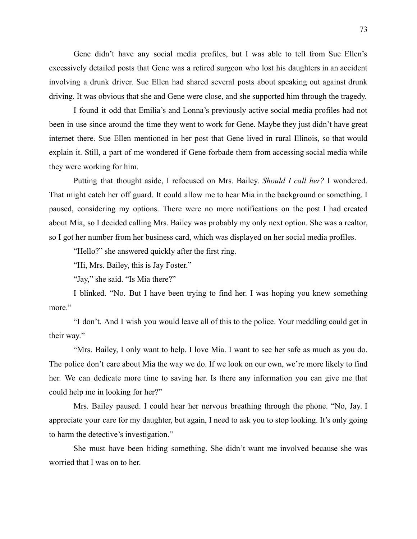Gene didn't have any social media profiles, but I was able to tell from Sue Ellen's excessively detailed posts that Gene was a retired surgeon who lost his daughters in an accident involving a drunk driver. Sue Ellen had shared several posts about speaking out against drunk driving. It was obvious that she and Gene were close, and she supported him through the tragedy.

I found it odd that Emilia's and Lonna's previously active social media profiles had not been in use since around the time they went to work for Gene. Maybe they just didn't have great internet there. Sue Ellen mentioned in her post that Gene lived in rural Illinois, so that would explain it. Still, a part of me wondered if Gene forbade them from accessing social media while they were working for him.

Putting that thought aside, I refocused on Mrs. Bailey. *Should I call her?* I wondered. That might catch her off guard. It could allow me to hear Mia in the background or something. I paused, considering my options. There were no more notifications on the post I had created about Mia, so I decided calling Mrs. Bailey was probably my only next option. She was a realtor, so I got her number from her business card, which was displayed on her social media profiles.

"Hello?" she answered quickly after the first ring.

"Hi, Mrs. Bailey, this is Jay Foster."

"Jay," she said. "Is Mia there?"

I blinked. "No. But I have been trying to find her. I was hoping you knew something more."

"I don't. And I wish you would leave all of this to the police. Your meddling could get in their way."

"Mrs. Bailey, I only want to help. I love Mia. I want to see her safe as much as you do. The police don't care about Mia the way we do. If we look on our own, we're more likely to find her. We can dedicate more time to saving her. Is there any information you can give me that could help me in looking for her?"

Mrs. Bailey paused. I could hear her nervous breathing through the phone. "No, Jay. I appreciate your care for my daughter, but again, I need to ask you to stop looking. It's only going to harm the detective's investigation."

She must have been hiding something. She didn't want me involved because she was worried that I was on to her.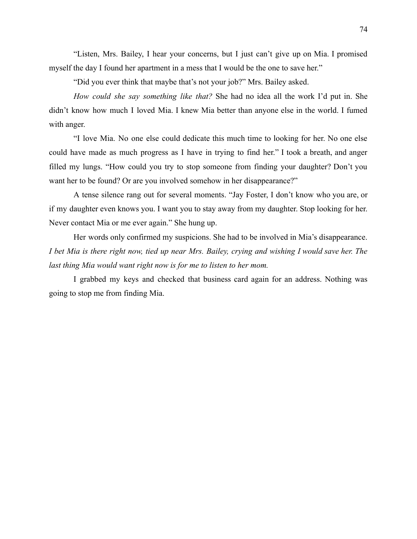"Listen, Mrs. Bailey, I hear your concerns, but I just can't give up on Mia. I promised myself the day I found her apartment in a mess that I would be the one to save her."

"Did you ever think that maybe that's not your job?" Mrs. Bailey asked.

*How could she say something like that?* She had no idea all the work I'd put in. She didn't know how much I loved Mia. I knew Mia better than anyone else in the world. I fumed with anger.

"I love Mia. No one else could dedicate this much time to looking for her. No one else could have made as much progress as I have in trying to find her." I took a breath, and anger filled my lungs. "How could you try to stop someone from finding your daughter? Don't you want her to be found? Or are you involved somehow in her disappearance?"

A tense silence rang out for several moments. "Jay Foster, I don't know who you are, or if my daughter even knows you. I want you to stay away from my daughter. Stop looking for her. Never contact Mia or me ever again." She hung up.

Her words only confirmed my suspicions. She had to be involved in Mia's disappearance. I bet Mia is there right now, tied up near Mrs. Bailey, crying and wishing I would save her. The *last thing Mia would want right now is for me to listen to her mom.*

I grabbed my keys and checked that business card again for an address. Nothing was going to stop me from finding Mia.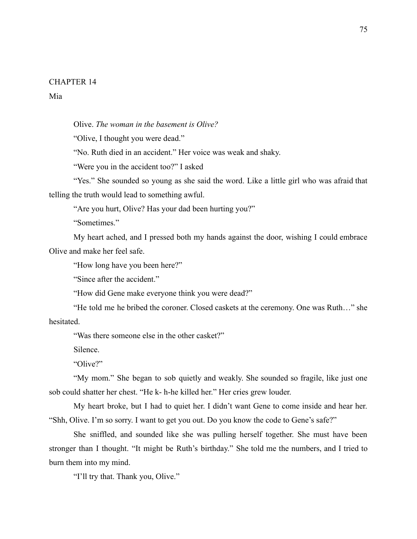Mia

Olive. *The woman in the basement is Olive?*

"Olive, I thought you were dead."

"No. Ruth died in an accident." Her voice was weak and shaky.

"Were you in the accident too?" I asked

"Yes." She sounded so young as she said the word. Like a little girl who was afraid that telling the truth would lead to something awful.

"Are you hurt, Olive? Has your dad been hurting you?"

"Sometimes."

My heart ached, and I pressed both my hands against the door, wishing I could embrace Olive and make her feel safe.

"How long have you been here?"

"Since after the accident."

"How did Gene make everyone think you were dead?"

"He told me he bribed the coroner. Closed caskets at the ceremony. One was Ruth…" she hesitated.

"Was there someone else in the other casket?"

Silence.

"Olive?"

"My mom." She began to sob quietly and weakly. She sounded so fragile, like just one sob could shatter her chest. "He k- h-he killed her." Her cries grew louder.

My heart broke, but I had to quiet her. I didn't want Gene to come inside and hear her. "Shh, Olive. I'm so sorry. I want to get you out. Do you know the code to Gene's safe?"

She sniffled, and sounded like she was pulling herself together. She must have been stronger than I thought. "It might be Ruth's birthday." She told me the numbers, and I tried to burn them into my mind.

"I'll try that. Thank you, Olive."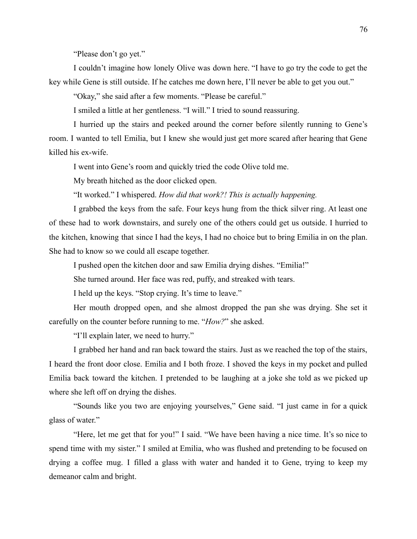"Please don't go yet."

I couldn't imagine how lonely Olive was down here. "I have to go try the code to get the key while Gene is still outside. If he catches me down here, I'll never be able to get you out."

"Okay," she said after a few moments. "Please be careful."

I smiled a little at her gentleness. "I will." I tried to sound reassuring.

I hurried up the stairs and peeked around the corner before silently running to Gene's room. I wanted to tell Emilia, but I knew she would just get more scared after hearing that Gene killed his ex-wife.

I went into Gene's room and quickly tried the code Olive told me.

My breath hitched as the door clicked open.

"It worked." I whispered. *How did that work?! This is actually happening.*

I grabbed the keys from the safe. Four keys hung from the thick silver ring. At least one of these had to work downstairs, and surely one of the others could get us outside. I hurried to the kitchen, knowing that since I had the keys, I had no choice but to bring Emilia in on the plan. She had to know so we could all escape together.

I pushed open the kitchen door and saw Emilia drying dishes. "Emilia!"

She turned around. Her face was red, puffy, and streaked with tears.

I held up the keys. "Stop crying. It's time to leave."

Her mouth dropped open, and she almost dropped the pan she was drying. She set it carefully on the counter before running to me. "*How?*" she asked.

"I'll explain later, we need to hurry."

I grabbed her hand and ran back toward the stairs. Just as we reached the top of the stairs, I heard the front door close. Emilia and I both froze. I shoved the keys in my pocket and pulled Emilia back toward the kitchen. I pretended to be laughing at a joke she told as we picked up where she left off on drying the dishes.

"Sounds like you two are enjoying yourselves," Gene said. "I just came in for a quick glass of water."

"Here, let me get that for you!" I said. "We have been having a nice time. It's so nice to spend time with my sister." I smiled at Emilia, who was flushed and pretending to be focused on drying a coffee mug. I filled a glass with water and handed it to Gene, trying to keep my demeanor calm and bright.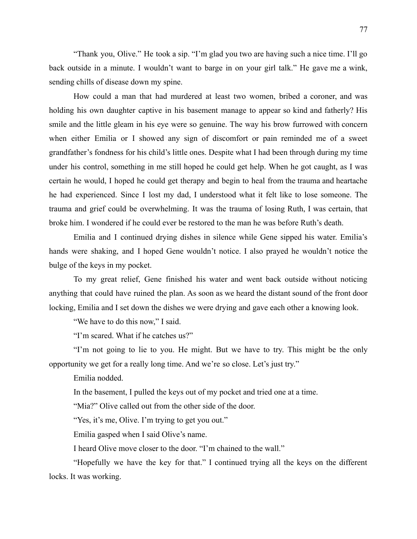"Thank you, Olive." He took a sip. "I'm glad you two are having such a nice time. I'll go back outside in a minute. I wouldn't want to barge in on your girl talk." He gave me a wink, sending chills of disease down my spine.

How could a man that had murdered at least two women, bribed a coroner, and was holding his own daughter captive in his basement manage to appear so kind and fatherly? His smile and the little gleam in his eye were so genuine. The way his brow furrowed with concern when either Emilia or I showed any sign of discomfort or pain reminded me of a sweet grandfather's fondness for his child's little ones. Despite what I had been through during my time under his control, something in me still hoped he could get help. When he got caught, as I was certain he would, I hoped he could get therapy and begin to heal from the trauma and heartache he had experienced. Since I lost my dad, I understood what it felt like to lose someone. The trauma and grief could be overwhelming. It was the trauma of losing Ruth, I was certain, that broke him. I wondered if he could ever be restored to the man he was before Ruth's death.

Emilia and I continued drying dishes in silence while Gene sipped his water. Emilia's hands were shaking, and I hoped Gene wouldn't notice. I also prayed he wouldn't notice the bulge of the keys in my pocket.

To my great relief, Gene finished his water and went back outside without noticing anything that could have ruined the plan. As soon as we heard the distant sound of the front door locking, Emilia and I set down the dishes we were drying and gave each other a knowing look.

"We have to do this now," I said.

"I'm scared. What if he catches us?"

"I'm not going to lie to you. He might. But we have to try. This might be the only opportunity we get for a really long time. And we're so close. Let's just try."

Emilia nodded.

In the basement, I pulled the keys out of my pocket and tried one at a time.

"Mia?" Olive called out from the other side of the door.

"Yes, it's me, Olive. I'm trying to get you out."

Emilia gasped when I said Olive's name.

I heard Olive move closer to the door. "I'm chained to the wall."

"Hopefully we have the key for that." I continued trying all the keys on the different locks. It was working.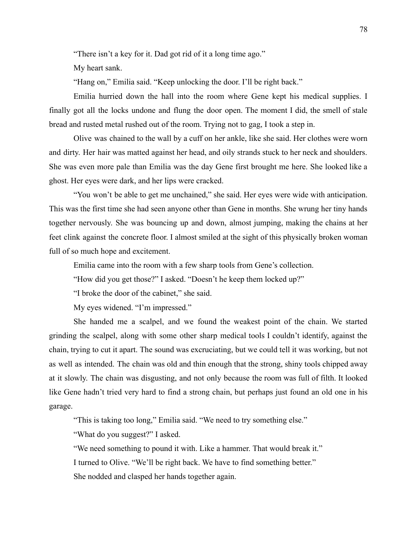"There isn't a key for it. Dad got rid of it a long time ago."

My heart sank.

"Hang on," Emilia said. "Keep unlocking the door. I'll be right back."

Emilia hurried down the hall into the room where Gene kept his medical supplies. I finally got all the locks undone and flung the door open. The moment I did, the smell of stale bread and rusted metal rushed out of the room. Trying not to gag, I took a step in.

Olive was chained to the wall by a cuff on her ankle, like she said. Her clothes were worn and dirty. Her hair was matted against her head, and oily strands stuck to her neck and shoulders. She was even more pale than Emilia was the day Gene first brought me here. She looked like a ghost. Her eyes were dark, and her lips were cracked.

"You won't be able to get me unchained," she said. Her eyes were wide with anticipation. This was the first time she had seen anyone other than Gene in months. She wrung her tiny hands together nervously. She was bouncing up and down, almost jumping, making the chains at her feet clink against the concrete floor. I almost smiled at the sight of this physically broken woman full of so much hope and excitement.

Emilia came into the room with a few sharp tools from Gene's collection.

"How did you get those?" I asked. "Doesn't he keep them locked up?"

"I broke the door of the cabinet," she said.

My eyes widened. "I'm impressed."

She handed me a scalpel, and we found the weakest point of the chain. We started grinding the scalpel, along with some other sharp medical tools I couldn't identify, against the chain, trying to cut it apart. The sound was excruciating, but we could tell it was working, but not as well as intended. The chain was old and thin enough that the strong, shiny tools chipped away at it slowly. The chain was disgusting, and not only because the room was full of filth. It looked like Gene hadn't tried very hard to find a strong chain, but perhaps just found an old one in his garage.

"This is taking too long," Emilia said. "We need to try something else."

"What do you suggest?" I asked.

"We need something to pound it with. Like a hammer. That would break it." I turned to Olive. "We'll be right back. We have to find something better." She nodded and clasped her hands together again.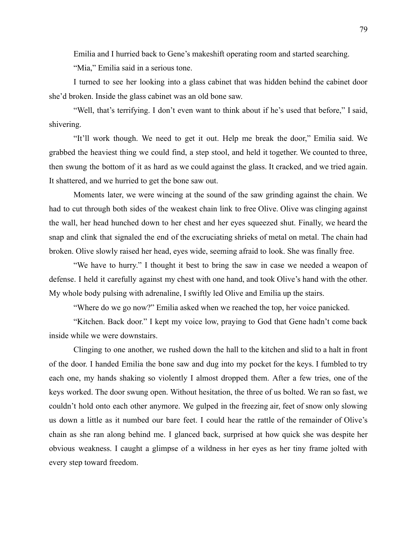Emilia and I hurried back to Gene's makeshift operating room and started searching.

"Mia," Emilia said in a serious tone.

I turned to see her looking into a glass cabinet that was hidden behind the cabinet door she'd broken. Inside the glass cabinet was an old bone saw.

"Well, that's terrifying. I don't even want to think about if he's used that before," I said, shivering.

"It'll work though. We need to get it out. Help me break the door," Emilia said. We grabbed the heaviest thing we could find, a step stool, and held it together. We counted to three, then swung the bottom of it as hard as we could against the glass. It cracked, and we tried again. It shattered, and we hurried to get the bone saw out.

Moments later, we were wincing at the sound of the saw grinding against the chain. We had to cut through both sides of the weakest chain link to free Olive. Olive was clinging against the wall, her head hunched down to her chest and her eyes squeezed shut. Finally, we heard the snap and clink that signaled the end of the excruciating shrieks of metal on metal. The chain had broken. Olive slowly raised her head, eyes wide, seeming afraid to look. She was finally free.

"We have to hurry." I thought it best to bring the saw in case we needed a weapon of defense. I held it carefully against my chest with one hand, and took Olive's hand with the other. My whole body pulsing with adrenaline, I swiftly led Olive and Emilia up the stairs.

"Where do we go now?" Emilia asked when we reached the top, her voice panicked.

"Kitchen. Back door." I kept my voice low, praying to God that Gene hadn't come back inside while we were downstairs.

Clinging to one another, we rushed down the hall to the kitchen and slid to a halt in front of the door. I handed Emilia the bone saw and dug into my pocket for the keys. I fumbled to try each one, my hands shaking so violently I almost dropped them. After a few tries, one of the keys worked. The door swung open. Without hesitation, the three of us bolted. We ran so fast, we couldn't hold onto each other anymore. We gulped in the freezing air, feet of snow only slowing us down a little as it numbed our bare feet. I could hear the rattle of the remainder of Olive's chain as she ran along behind me. I glanced back, surprised at how quick she was despite her obvious weakness. I caught a glimpse of a wildness in her eyes as her tiny frame jolted with every step toward freedom.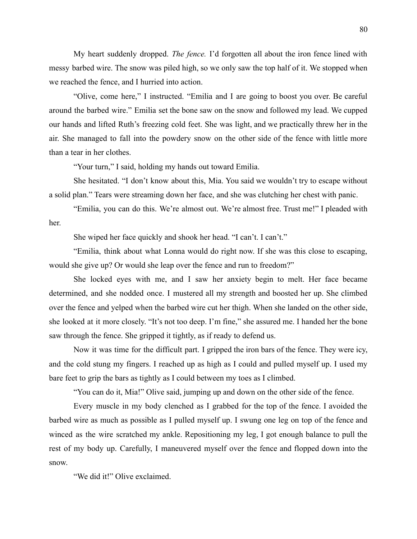My heart suddenly dropped. *The fence.* I'd forgotten all about the iron fence lined with messy barbed wire. The snow was piled high, so we only saw the top half of it. We stopped when we reached the fence, and I hurried into action.

"Olive, come here," I instructed. "Emilia and I are going to boost you over. Be careful around the barbed wire." Emilia set the bone saw on the snow and followed my lead. We cupped our hands and lifted Ruth's freezing cold feet. She was light, and we practically threw her in the air. She managed to fall into the powdery snow on the other side of the fence with little more than a tear in her clothes.

"Your turn," I said, holding my hands out toward Emilia.

She hesitated. "I don't know about this, Mia. You said we wouldn't try to escape without a solid plan." Tears were streaming down her face, and she was clutching her chest with panic.

"Emilia, you can do this. We're almost out. We're almost free. Trust me!" I pleaded with her.

She wiped her face quickly and shook her head. "I can't. I can't."

"Emilia, think about what Lonna would do right now. If she was this close to escaping, would she give up? Or would she leap over the fence and run to freedom?"

She locked eyes with me, and I saw her anxiety begin to melt. Her face became determined, and she nodded once. I mustered all my strength and boosted her up. She climbed over the fence and yelped when the barbed wire cut her thigh. When she landed on the other side, she looked at it more closely. "It's not too deep. I'm fine," she assured me. I handed her the bone saw through the fence. She gripped it tightly, as if ready to defend us.

Now it was time for the difficult part. I gripped the iron bars of the fence. They were icy, and the cold stung my fingers. I reached up as high as I could and pulled myself up. I used my bare feet to grip the bars as tightly as I could between my toes as I climbed.

"You can do it, Mia!" Olive said, jumping up and down on the other side of the fence.

Every muscle in my body clenched as I grabbed for the top of the fence. I avoided the barbed wire as much as possible as I pulled myself up. I swung one leg on top of the fence and winced as the wire scratched my ankle. Repositioning my leg, I got enough balance to pull the rest of my body up. Carefully, I maneuvered myself over the fence and flopped down into the snow.

"We did it!" Olive exclaimed.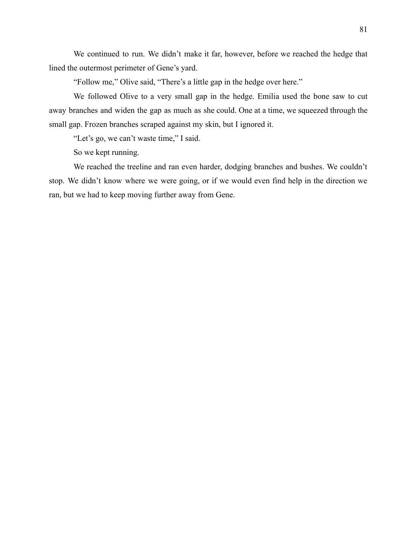We continued to run. We didn't make it far, however, before we reached the hedge that lined the outermost perimeter of Gene's yard.

"Follow me," Olive said, "There's a little gap in the hedge over here."

We followed Olive to a very small gap in the hedge. Emilia used the bone saw to cut away branches and widen the gap as much as she could. One at a time, we squeezed through the small gap. Frozen branches scraped against my skin, but I ignored it.

"Let's go, we can't waste time," I said.

So we kept running.

We reached the treeline and ran even harder, dodging branches and bushes. We couldn't stop. We didn't know where we were going, or if we would even find help in the direction we ran, but we had to keep moving further away from Gene.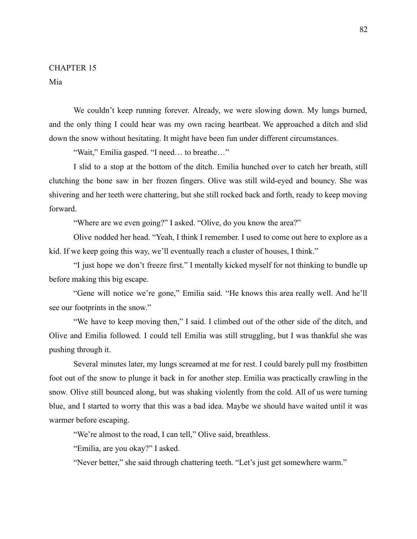Mia

We couldn't keep running forever. Already, we were slowing down. My lungs burned, and the only thing I could hear was my own racing heartbeat. We approached a ditch and slid down the snow without hesitating. It might have been fun under different circumstances.

"Wait," Emilia gasped. "I need… to breathe…"

I slid to a stop at the bottom of the ditch. Emilia hunched over to catch her breath, still clutching the bone saw in her frozen fingers. Olive was still wild-eyed and bouncy. She was shivering and her teeth were chattering, but she still rocked back and forth, ready to keep moving forward.

"Where are we even going?" I asked. "Olive, do you know the area?"

Olive nodded her head. "Yeah, I think I remember. I used to come out here to explore as a kid. If we keep going this way, we'll eventually reach a cluster of houses, I think."

"I just hope we don't freeze first." I mentally kicked myself for not thinking to bundle up before making this big escape.

"Gene will notice we're gone," Emilia said. "He knows this area really well. And he'll see our footprints in the snow."

"We have to keep moving then," I said. I climbed out of the other side of the ditch, and Olive and Emilia followed. I could tell Emilia was still struggling, but I was thankful she was pushing through it.

Several minutes later, my lungs screamed at me for rest. I could barely pull my frostbitten foot out of the snow to plunge it back in for another step. Emilia was practically crawling in the snow. Olive still bounced along, but was shaking violently from the cold. All of us were turning blue, and I started to worry that this was a bad idea. Maybe we should have waited until it was warmer before escaping.

"We're almost to the road, I can tell," Olive said, breathless.

"Emilia, are you okay?" I asked.

"Never better," she said through chattering teeth. "Let's just get somewhere warm."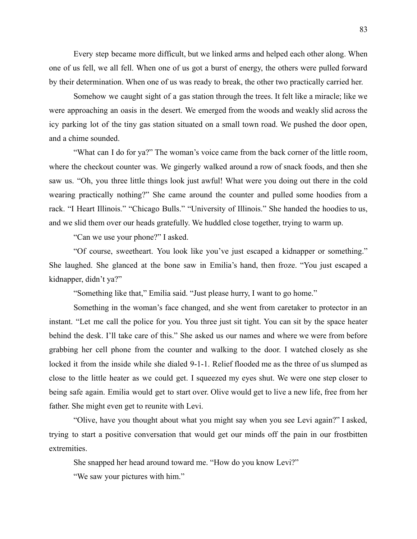Every step became more difficult, but we linked arms and helped each other along. When one of us fell, we all fell. When one of us got a burst of energy, the others were pulled forward by their determination. When one of us was ready to break, the other two practically carried her.

Somehow we caught sight of a gas station through the trees. It felt like a miracle; like we were approaching an oasis in the desert. We emerged from the woods and weakly slid across the icy parking lot of the tiny gas station situated on a small town road. We pushed the door open, and a chime sounded.

"What can I do for ya?" The woman's voice came from the back corner of the little room, where the checkout counter was. We gingerly walked around a row of snack foods, and then she saw us. "Oh, you three little things look just awful! What were you doing out there in the cold wearing practically nothing?" She came around the counter and pulled some hoodies from a rack. "I Heart Illinois." "Chicago Bulls." "University of Illinois." She handed the hoodies to us, and we slid them over our heads gratefully. We huddled close together, trying to warm up.

"Can we use your phone?" I asked.

"Of course, sweetheart. You look like you've just escaped a kidnapper or something." She laughed. She glanced at the bone saw in Emilia's hand, then froze. "You just escaped a kidnapper, didn't ya?"

"Something like that," Emilia said. "Just please hurry, I want to go home."

Something in the woman's face changed, and she went from caretaker to protector in an instant. "Let me call the police for you. You three just sit tight. You can sit by the space heater behind the desk. I'll take care of this." She asked us our names and where we were from before grabbing her cell phone from the counter and walking to the door. I watched closely as she locked it from the inside while she dialed 9-1-1. Relief flooded me as the three of us slumped as close to the little heater as we could get. I squeezed my eyes shut. We were one step closer to being safe again. Emilia would get to start over. Olive would get to live a new life, free from her father. She might even get to reunite with Levi.

"Olive, have you thought about what you might say when you see Levi again?" I asked, trying to start a positive conversation that would get our minds off the pain in our frostbitten extremities.

She snapped her head around toward me. "How do you know Levi?"

"We saw your pictures with him."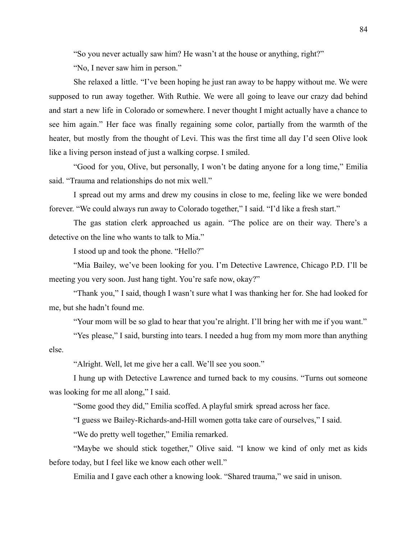"So you never actually saw him? He wasn't at the house or anything, right?"

"No, I never saw him in person."

She relaxed a little. "I've been hoping he just ran away to be happy without me. We were supposed to run away together. With Ruthie. We were all going to leave our crazy dad behind and start a new life in Colorado or somewhere. I never thought I might actually have a chance to see him again." Her face was finally regaining some color, partially from the warmth of the heater, but mostly from the thought of Levi. This was the first time all day I'd seen Olive look like a living person instead of just a walking corpse. I smiled.

"Good for you, Olive, but personally, I won't be dating anyone for a long time," Emilia said. "Trauma and relationships do not mix well."

I spread out my arms and drew my cousins in close to me, feeling like we were bonded forever. "We could always run away to Colorado together," I said. "I'd like a fresh start."

The gas station clerk approached us again. "The police are on their way. There's a detective on the line who wants to talk to Mia."

I stood up and took the phone. "Hello?"

"Mia Bailey, we've been looking for you. I'm Detective Lawrence, Chicago P.D. I'll be meeting you very soon. Just hang tight. You're safe now, okay?"

"Thank you," I said, though I wasn't sure what I was thanking her for. She had looked for me, but she hadn't found me.

"Your mom will be so glad to hear that you're alright. I'll bring her with me if you want."

"Yes please," I said, bursting into tears. I needed a hug from my mom more than anything else.

"Alright. Well, let me give her a call. We'll see you soon."

I hung up with Detective Lawrence and turned back to my cousins. "Turns out someone was looking for me all along," I said.

"Some good they did," Emilia scoffed. A playful smirk spread across her face.

"I guess we Bailey-Richards-and-Hill women gotta take care of ourselves," I said.

"We do pretty well together," Emilia remarked.

"Maybe we should stick together," Olive said. "I know we kind of only met as kids before today, but I feel like we know each other well."

Emilia and I gave each other a knowing look. "Shared trauma," we said in unison.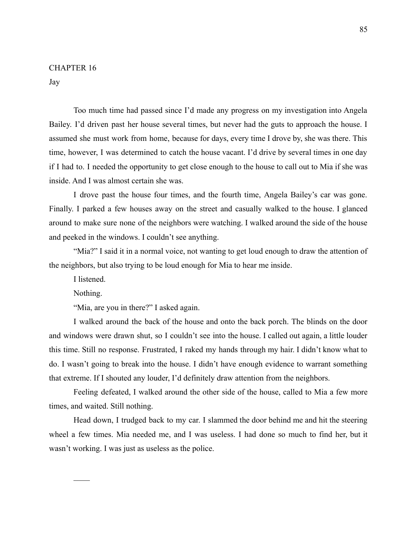Jay

Too much time had passed since I'd made any progress on my investigation into Angela Bailey. I'd driven past her house several times, but never had the guts to approach the house. I assumed she must work from home, because for days, every time I drove by, she was there. This time, however, I was determined to catch the house vacant. I'd drive by several times in one day if I had to. I needed the opportunity to get close enough to the house to call out to Mia if she was inside. And I was almost certain she was.

I drove past the house four times, and the fourth time, Angela Bailey's car was gone. Finally. I parked a few houses away on the street and casually walked to the house. I glanced around to make sure none of the neighbors were watching. I walked around the side of the house and peeked in the windows. I couldn't see anything.

"Mia?" I said it in a normal voice, not wanting to get loud enough to draw the attention of the neighbors, but also trying to be loud enough for Mia to hear me inside.

I listened.

Nothing.

 $\mathcal{L}_\mathcal{L}$ 

"Mia, are you in there?" I asked again.

I walked around the back of the house and onto the back porch. The blinds on the door and windows were drawn shut, so I couldn't see into the house. I called out again, a little louder this time. Still no response. Frustrated, I raked my hands through my hair. I didn't know what to do. I wasn't going to break into the house. I didn't have enough evidence to warrant something that extreme. If I shouted any louder, I'd definitely draw attention from the neighbors.

Feeling defeated, I walked around the other side of the house, called to Mia a few more times, and waited. Still nothing.

Head down, I trudged back to my car. I slammed the door behind me and hit the steering wheel a few times. Mia needed me, and I was useless. I had done so much to find her, but it wasn't working. I was just as useless as the police.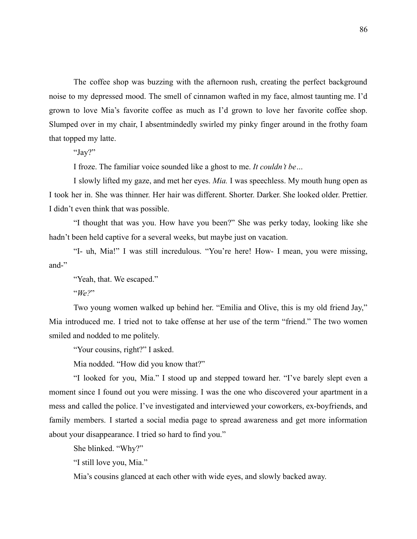The coffee shop was buzzing with the afternoon rush, creating the perfect background noise to my depressed mood. The smell of cinnamon wafted in my face, almost taunting me. I'd grown to love Mia's favorite coffee as much as I'd grown to love her favorite coffee shop. Slumped over in my chair, I absentmindedly swirled my pinky finger around in the frothy foam that topped my latte.

"Jay?"

I froze. The familiar voice sounded like a ghost to me. *It couldn't be…*

I slowly lifted my gaze, and met her eyes. *Mia.* I was speechless. My mouth hung open as I took her in. She was thinner. Her hair was different. Shorter. Darker. She looked older. Prettier. I didn't even think that was possible.

"I thought that was you. How have you been?" She was perky today, looking like she hadn't been held captive for a several weeks, but maybe just on vacation.

"I- uh, Mia!" I was still incredulous. "You're here! How- I mean, you were missing, and-"

"Yeah, that. We escaped."

"*We?*"

Two young women walked up behind her. "Emilia and Olive, this is my old friend Jay," Mia introduced me. I tried not to take offense at her use of the term "friend." The two women smiled and nodded to me politely.

"Your cousins, right?" I asked.

Mia nodded. "How did you know that?"

"I looked for you, Mia." I stood up and stepped toward her. "I've barely slept even a moment since I found out you were missing. I was the one who discovered your apartment in a mess and called the police. I've investigated and interviewed your coworkers, ex-boyfriends, and family members. I started a social media page to spread awareness and get more information about your disappearance. I tried so hard to find you."

She blinked. "Why?"

"I still love you, Mia."

Mia's cousins glanced at each other with wide eyes, and slowly backed away.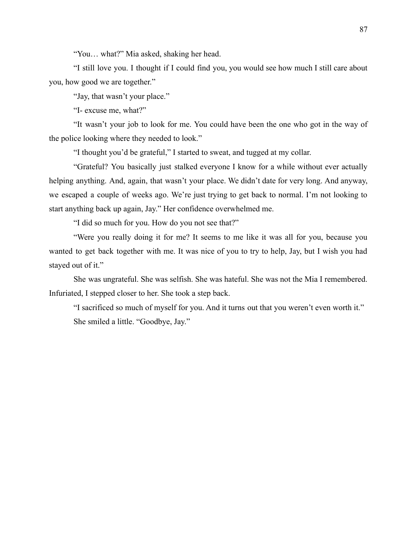"You… what?" Mia asked, shaking her head.

"I still love you. I thought if I could find you, you would see how much I still care about you, how good we are together."

"Jay, that wasn't your place."

"I- excuse me, what?"

"It wasn't your job to look for me. You could have been the one who got in the way of the police looking where they needed to look."

"I thought you'd be grateful," I started to sweat, and tugged at my collar.

"Grateful? You basically just stalked everyone I know for a while without ever actually helping anything. And, again, that wasn't your place. We didn't date for very long. And anyway, we escaped a couple of weeks ago. We're just trying to get back to normal. I'm not looking to start anything back up again, Jay." Her confidence overwhelmed me.

"I did so much for you. How do you not see that?"

"Were you really doing it for me? It seems to me like it was all for you, because you wanted to get back together with me. It was nice of you to try to help, Jay, but I wish you had stayed out of it."

She was ungrateful. She was selfish. She was hateful. She was not the Mia I remembered. Infuriated, I stepped closer to her. She took a step back.

"I sacrificed so much of myself for you. And it turns out that you weren't even worth it." She smiled a little. "Goodbye, Jay."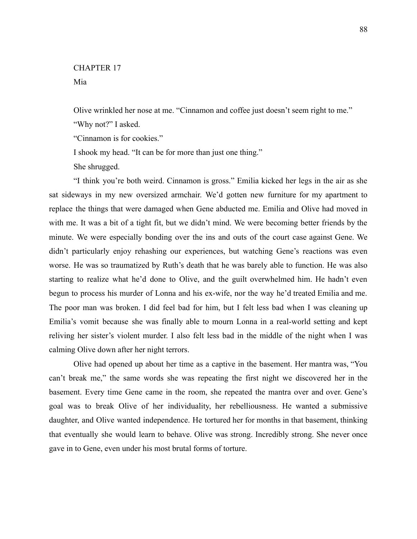Mia

Olive wrinkled her nose at me. "Cinnamon and coffee just doesn't seem right to me."

"Why not?" I asked.

"Cinnamon is for cookies."

I shook my head. "It can be for more than just one thing."

She shrugged.

"I think you're both weird. Cinnamon is gross." Emilia kicked her legs in the air as she sat sideways in my new oversized armchair. We'd gotten new furniture for my apartment to replace the things that were damaged when Gene abducted me. Emilia and Olive had moved in with me. It was a bit of a tight fit, but we didn't mind. We were becoming better friends by the minute. We were especially bonding over the ins and outs of the court case against Gene. We didn't particularly enjoy rehashing our experiences, but watching Gene's reactions was even worse. He was so traumatized by Ruth's death that he was barely able to function. He was also starting to realize what he'd done to Olive, and the guilt overwhelmed him. He hadn't even begun to process his murder of Lonna and his ex-wife, nor the way he'd treated Emilia and me. The poor man was broken. I did feel bad for him, but I felt less bad when I was cleaning up Emilia's vomit because she was finally able to mourn Lonna in a real-world setting and kept reliving her sister's violent murder. I also felt less bad in the middle of the night when I was calming Olive down after her night terrors.

Olive had opened up about her time as a captive in the basement. Her mantra was, "You can't break me," the same words she was repeating the first night we discovered her in the basement. Every time Gene came in the room, she repeated the mantra over and over. Gene's goal was to break Olive of her individuality, her rebelliousness. He wanted a submissive daughter, and Olive wanted independence. He tortured her for months in that basement, thinking that eventually she would learn to behave. Olive was strong. Incredibly strong. She never once gave in to Gene, even under his most brutal forms of torture.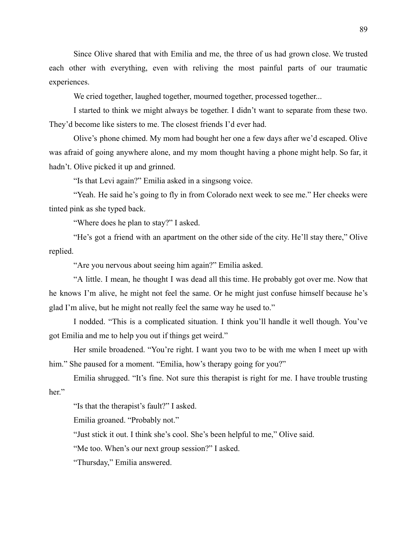Since Olive shared that with Emilia and me, the three of us had grown close. We trusted each other with everything, even with reliving the most painful parts of our traumatic experiences.

We cried together, laughed together, mourned together, processed together...

I started to think we might always be together. I didn't want to separate from these two. They'd become like sisters to me. The closest friends I'd ever had.

Olive's phone chimed. My mom had bought her one a few days after we'd escaped. Olive was afraid of going anywhere alone, and my mom thought having a phone might help. So far, it hadn't. Olive picked it up and grinned.

"Is that Levi again?" Emilia asked in a singsong voice.

"Yeah. He said he's going to fly in from Colorado next week to see me." Her cheeks were tinted pink as she typed back.

"Where does he plan to stay?" I asked.

"He's got a friend with an apartment on the other side of the city. He'll stay there," Olive replied.

"Are you nervous about seeing him again?" Emilia asked.

"A little. I mean, he thought I was dead all this time. He probably got over me. Now that he knows I'm alive, he might not feel the same. Or he might just confuse himself because he's glad I'm alive, but he might not really feel the same way he used to."

I nodded. "This is a complicated situation. I think you'll handle it well though. You've got Emilia and me to help you out if things get weird."

Her smile broadened. "You're right. I want you two to be with me when I meet up with him." She paused for a moment. "Emilia, how's therapy going for you?"

Emilia shrugged. "It's fine. Not sure this therapist is right for me. I have trouble trusting her."

"Is that the therapist's fault?" I asked.

Emilia groaned. "Probably not."

"Just stick it out. I think she's cool. She's been helpful to me," Olive said.

"Me too. When's our next group session?" I asked.

"Thursday," Emilia answered.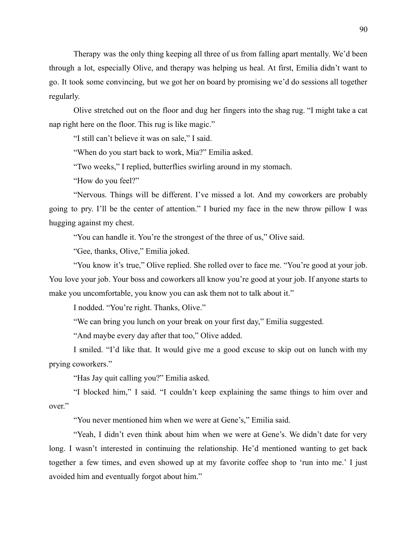Therapy was the only thing keeping all three of us from falling apart mentally. We'd been through a lot, especially Olive, and therapy was helping us heal. At first, Emilia didn't want to go. It took some convincing, but we got her on board by promising we'd do sessions all together regularly.

Olive stretched out on the floor and dug her fingers into the shag rug. "I might take a cat nap right here on the floor. This rug is like magic."

"I still can't believe it was on sale," I said.

"When do you start back to work, Mia?" Emilia asked.

"Two weeks," I replied, butterflies swirling around in my stomach.

"How do you feel?"

"Nervous. Things will be different. I've missed a lot. And my coworkers are probably going to pry. I'll be the center of attention." I buried my face in the new throw pillow I was hugging against my chest.

"You can handle it. You're the strongest of the three of us," Olive said.

"Gee, thanks, Olive," Emilia joked.

"You know it's true," Olive replied. She rolled over to face me. "You're good at your job.

You love your job. Your boss and coworkers all know you're good at your job. If anyone starts to make you uncomfortable, you know you can ask them not to talk about it."

I nodded. "You're right. Thanks, Olive."

"We can bring you lunch on your break on your first day," Emilia suggested.

"And maybe every day after that too," Olive added.

I smiled. "I'd like that. It would give me a good excuse to skip out on lunch with my prying coworkers."

"Has Jay quit calling you?" Emilia asked.

"I blocked him," I said. "I couldn't keep explaining the same things to him over and over."

"You never mentioned him when we were at Gene's," Emilia said.

"Yeah, I didn't even think about him when we were at Gene's. We didn't date for very long. I wasn't interested in continuing the relationship. He'd mentioned wanting to get back together a few times, and even showed up at my favorite coffee shop to 'run into me.' I just avoided him and eventually forgot about him."